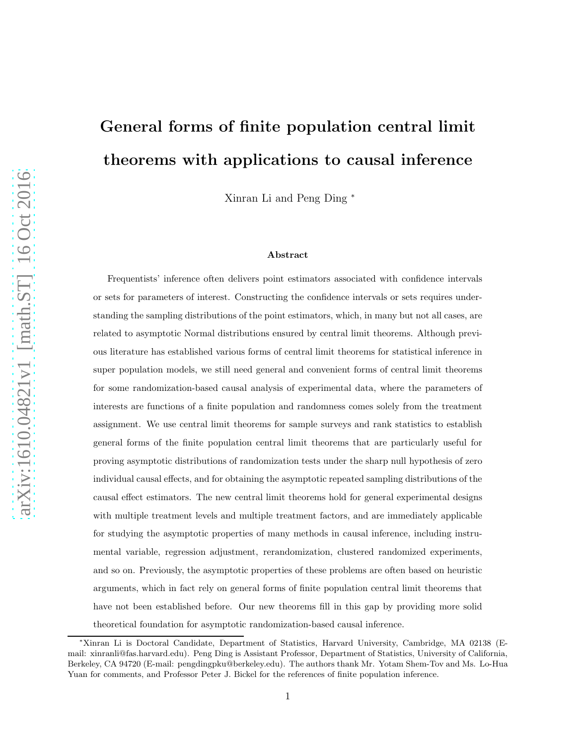# General forms of finite population central limit theorems with applications to causal inference

Xinran Li and Peng Ding <sup>∗</sup>

#### Abstract

Frequentists' inference often delivers point estimators associated with confidence intervals or sets for parameters of interest. Constructing the confidence intervals or sets requires understanding the sampling distributions of the point estimators, which, in many but not all cases, are related to asymptotic Normal distributions ensured by central limit theorems. Although previous literature has established various forms of central limit theorems for statistical inference in super population models, we still need general and convenient forms of central limit theorems for some randomization-based causal analysis of experimental data, where the parameters of interests are functions of a finite population and randomness comes solely from the treatment assignment. We use central limit theorems for sample surveys and rank statistics to establish general forms of the finite population central limit theorems that are particularly useful for proving asymptotic distributions of randomization tests under the sharp null hypothesis of zero individual causal effects, and for obtaining the asymptotic repeated sampling distributions of the causal effect estimators. The new central limit theorems hold for general experimental designs with multiple treatment levels and multiple treatment factors, and are immediately applicable for studying the asymptotic properties of many methods in causal inference, including instrumental variable, regression adjustment, rerandomization, clustered randomized experiments, and so on. Previously, the asymptotic properties of these problems are often based on heuristic arguments, which in fact rely on general forms of finite population central limit theorems that have not been established before. Our new theorems fill in this gap by providing more solid theoretical foundation for asymptotic randomization-based causal inference.

<sup>∗</sup>Xinran Li is Doctoral Candidate, Department of Statistics, Harvard University, Cambridge, MA 02138 (Email: xinranli@fas.harvard.edu). Peng Ding is Assistant Professor, Department of Statistics, University of California, Berkeley, CA 94720 (E-mail: pengdingpku@berkeley.edu). The authors thank Mr. Yotam Shem-Tov and Ms. Lo-Hua Yuan for comments, and Professor Peter J. Bickel for the references of finite population inference.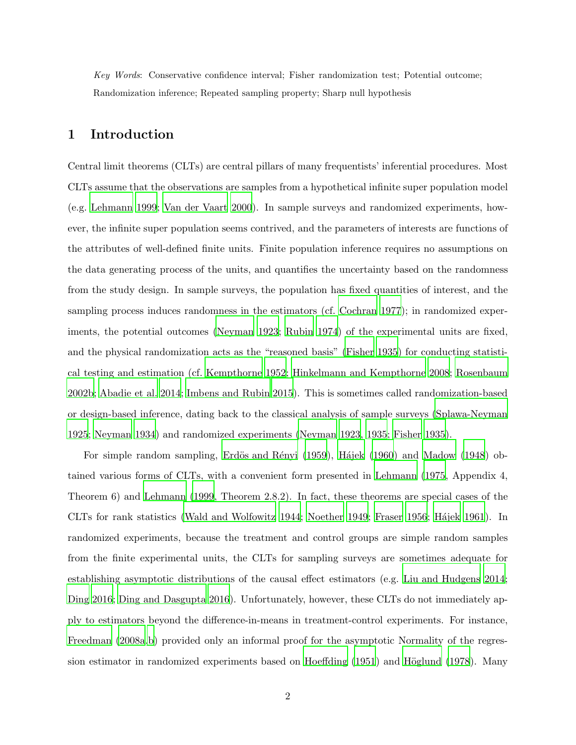*Key Words*: Conservative confidence interval; Fisher randomization test; Potential outcome; Randomization inference; Repeated sampling property; Sharp null hypothesis

# 1 Introduction

Central limit theorems (CLTs) are central pillars of many frequentists' inferential procedures. Most CLTs assume that the observations are samples from a hypothetical infinite super population model (e.g. [Lehmann 1999](#page-26-0); [Van der Vaart 2000](#page-28-0)). In sample surveys and randomized experiments, however, the infinite super population seems contrived, and the parameters of interests are functions of the attributes of well-defined finite units. Finite population inference requires no assumptions on the data generating process of the units, and quantifies the uncertainty based on the randomness from the study design. In sample surveys, the population has fixed quantities of interest, and the sampling process induces randomness in the estimators (cf. [Cochran 1977](#page-24-0)); in randomized experiments, the potential outcomes [\(Neyman 1923](#page-27-0); [Rubin 1974](#page-27-1)) of the experimental units are fixed, and the physical randomization acts as the "reasoned basis" [\(Fisher 1935](#page-25-0)) for conducting statistical testing and estimation (cf. [Kempthorne 1952](#page-26-1); [Hinkelmann and Kempthorne 2008](#page-25-1); [Rosenbaum](#page-27-2) [2002b;](#page-27-2) [Abadie et al. 2014](#page-24-1); [Imbens and Rubin 2015\)](#page-26-2). This is sometimes called randomization-based or design-based inference, dating back to the classical analysis of sample surveys [\(Splawa-Neyman](#page-28-1) [1925;](#page-28-1) [Neyman 1934](#page-27-3)) and randomized experiments [\(Neyman 1923](#page-27-0), [1935;](#page-27-4) [Fisher 1935](#page-25-0)).

For simple random sampling, Erdös and Rényi (1959), Hájek (1960) and [Madow \(1948\)](#page-26-3) obtained various forms of CLTs, with a convenient form presented in [Lehmann \(1975](#page-26-4), Appendix 4, Theorem 6) and [Lehmann \(1999,](#page-26-0) Theorem 2.8.2). In fact, these theorems are special cases of the CLTs for rank statistics [\(Wald and Wolfowitz 1944](#page-28-2); [Noether 1949](#page-27-5); [Fraser 1956](#page-25-3); Hájek 1961). In randomized experiments, because the treatment and control groups are simple random samples from the finite experimental units, the CLTs for sampling surveys are sometimes adequate for establishing asymptotic distributions of the causal effect estimators (e.g. [Liu and Hudgens 2014;](#page-26-5) [Ding 2016;](#page-24-3) [Ding and Dasgupta 2016](#page-24-4)). Unfortunately, however, these CLTs do not immediately apply to estimators beyond the difference-in-means in treatment-control experiments. For instance, [Freedman \(2008a](#page-25-5)[,b\)](#page-25-6) provided only an informal proof for the asymptotic Normality of the regres-sion estimator in randomized experiments based on [Hoeffding \(1951](#page-25-7)) and Höglund (1978). Many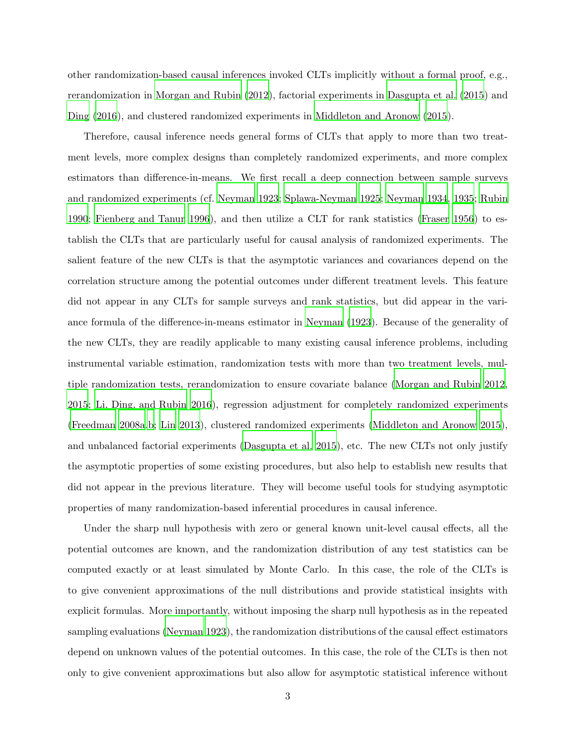other randomization-based causal inferences invoked CLTs implicitly without a formal proof, e.g., rerandomization in [Morgan and Rubin \(2012](#page-26-6)), factorial experiments in [Dasgupta et al. \(2015\)](#page-24-5) and [Ding \(2016](#page-24-3)), and clustered randomized experiments in [Middleton and Aronow \(2015](#page-26-7)).

Therefore, causal inference needs general forms of CLTs that apply to more than two treatment levels, more complex designs than completely randomized experiments, and more complex estimators than difference-in-means. We first recall a deep connection between sample surveys and randomized experiments (cf. [Neyman 1923](#page-27-0); [Splawa-Neyman 1925](#page-28-1); [Neyman 1934,](#page-27-3) [1935](#page-27-4); [Rubin](#page-28-3) [1990;](#page-28-3) [Fienberg and Tanur 1996\)](#page-25-9), and then utilize a CLT for rank statistics [\(Fraser 1956](#page-25-3)) to establish the CLTs that are particularly useful for causal analysis of randomized experiments. The salient feature of the new CLTs is that the asymptotic variances and covariances depend on the correlation structure among the potential outcomes under different treatment levels. This feature did not appear in any CLTs for sample surveys and rank statistics, but did appear in the variance formula of the difference-in-means estimator in [Neyman \(1923](#page-27-0)). Because of the generality of the new CLTs, they are readily applicable to many existing causal inference problems, including instrumental variable estimation, randomization tests with more than two treatment levels, multiple randomization tests, rerandomization to ensure covariate balance [\(Morgan and Rubin 2012,](#page-26-6) [2015;](#page-27-6) [Li, Ding, and Rubin 2016](#page-26-8)), regression adjustment for completely randomized experiments [\(Freedman 2008a](#page-25-5)[,b;](#page-25-6) [Lin 2013\)](#page-26-9), clustered randomized experiments [\(Middleton and Aronow 2015\)](#page-26-7), and unbalanced factorial experiments [\(Dasgupta et al. 2015\)](#page-24-5), etc. The new CLTs not only justify the asymptotic properties of some existing procedures, but also help to establish new results that did not appear in the previous literature. They will become useful tools for studying asymptotic properties of many randomization-based inferential procedures in causal inference.

Under the sharp null hypothesis with zero or general known unit-level causal effects, all the potential outcomes are known, and the randomization distribution of any test statistics can be computed exactly or at least simulated by Monte Carlo. In this case, the role of the CLTs is to give convenient approximations of the null distributions and provide statistical insights with explicit formulas. More importantly, without imposing the sharp null hypothesis as in the repeated sampling evaluations [\(Neyman 1923](#page-27-0)), the randomization distributions of the causal effect estimators depend on unknown values of the potential outcomes. In this case, the role of the CLTs is then not only to give convenient approximations but also allow for asymptotic statistical inference without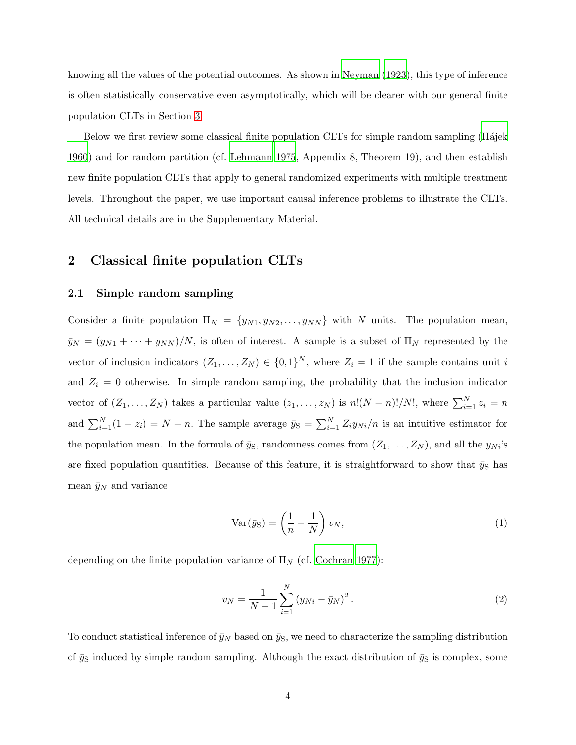knowing all the values of the potential outcomes. As shown in [Neyman \(1923](#page-27-0)), this type of inference is often statistically conservative even asymptotically, which will be clearer with our general finite population CLTs in Section [3.](#page-11-0)

Below we first review some classical finite population CLTs for simple random sampling (Hajek [1960\)](#page-25-2) and for random partition (cf. [Lehmann 1975,](#page-26-4) Appendix 8, Theorem 19), and then establish new finite population CLTs that apply to general randomized experiments with multiple treatment levels. Throughout the paper, we use important causal inference problems to illustrate the CLTs. All technical details are in the Supplementary Material.

# <span id="page-3-1"></span>2 Classical finite population CLTs

#### 2.1 Simple random sampling

Consider a finite population  $\Pi_N = \{y_{N1}, y_{N2}, \ldots, y_{NN}\}\$  with N units. The population mean,  $\bar{y}_N = (y_{N1} + \cdots + y_{NN})/N$ , is often of interest. A sample is a subset of  $\Pi_N$  represented by the vector of inclusion indicators  $(Z_1, \ldots, Z_N) \in \{0,1\}^N$ , where  $Z_i = 1$  if the sample contains unit i and  $Z_i = 0$  otherwise. In simple random sampling, the probability that the inclusion indicator vector of  $(Z_1, \ldots, Z_N)$  takes a particular value  $(z_1, \ldots, z_N)$  is  $n!(N-n)!/N!$ , where  $\sum_{i=1}^N z_i = n$ and  $\sum_{i=1}^{N} (1 - z_i) = N - n$ . The sample average  $\bar{y}_S = \sum_{i=1}^{N} Z_i y_{Ni}/n$  is an intuitive estimator for the population mean. In the formula of  $\bar{y}_S$ , randomness comes from  $(Z_1, \ldots, Z_N)$ , and all the  $y_{Ni}$ 's are fixed population quantities. Because of this feature, it is straightforward to show that  $\bar{y}_S$  has mean  $\bar{y}_N$  and variance

$$
\text{Var}(\bar{y}_{\text{S}}) = \left(\frac{1}{n} - \frac{1}{N}\right)v_N,\tag{1}
$$

depending on the finite population variance of  $\Pi_N$  (cf. [Cochran 1977\)](#page-24-0):

<span id="page-3-0"></span>
$$
v_N = \frac{1}{N-1} \sum_{i=1}^{N} (y_{Ni} - \bar{y}_N)^2.
$$
 (2)

To conduct statistical inference of  $\bar{y}_N$  based on  $\bar{y}_S$ , we need to characterize the sampling distribution of  $\bar{y}_S$  induced by simple random sampling. Although the exact distribution of  $\bar{y}_S$  is complex, some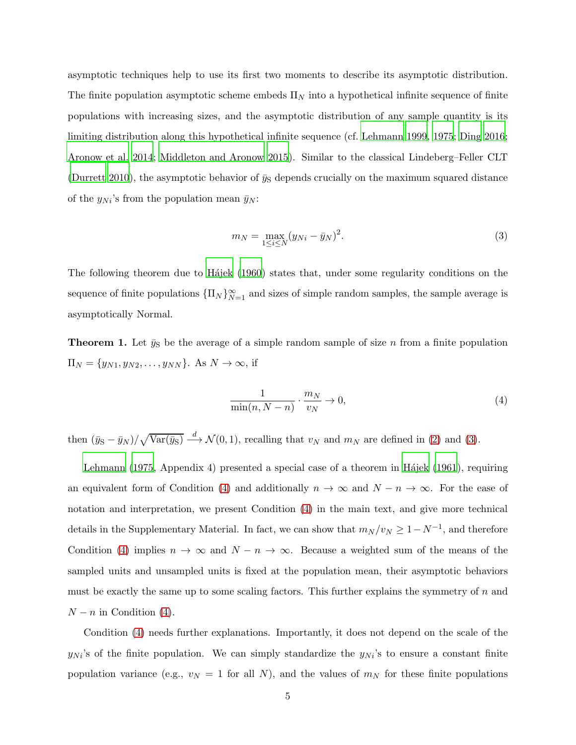asymptotic techniques help to use its first two moments to describe its asymptotic distribution. The finite population asymptotic scheme embeds  $\Pi_N$  into a hypothetical infinite sequence of finite populations with increasing sizes, and the asymptotic distribution of any sample quantity is its limiting distribution along this hypothetical infinite sequence (cf. [Lehmann 1999](#page-26-0), [1975](#page-26-4); [Ding 2016;](#page-24-3) [Aronow et al. 2014;](#page-24-6) [Middleton and Aronow 2015\)](#page-26-7). Similar to the classical Lindeberg–Feller CLT [\(Durrett 2010](#page-24-7)), the asymptotic behavior of  $\bar{y}_S$  depends crucially on the maximum squared distance of the  $y_{Ni}$ 's from the population mean  $\bar{y}_N$ :

<span id="page-4-0"></span>
$$
m_N = \max_{1 \le i \le N} (y_{Ni} - \bar{y}_N)^2.
$$
 (3)

The following theorem due to Hajek (1960) states that, under some regularity conditions on the sequence of finite populations  $\{\Pi_N\}_{N=1}^{\infty}$  and sizes of simple random samples, the sample average is asymptotically Normal.

**Theorem 1.** Let  $\bar{y}_S$  be the average of a simple random sample of size n from a finite population  $\Pi_N = \{y_{N1}, y_{N2}, \ldots, y_{NN}\}.$  As  $N \to \infty$ , if

<span id="page-4-1"></span>
$$
\frac{1}{\min(n, N-n)} \cdot \frac{m_N}{v_N} \to 0,
$$
\n(4)

then  $(\bar{y}_S - \bar{y}_N)/\sqrt{\text{Var}(\bar{y}_S)} \stackrel{d}{\longrightarrow} \mathcal{N}(0, 1)$ , recalling that  $v_N$  and  $m_N$  are defined in [\(2\)](#page-3-0) and [\(3\)](#page-4-0).

[Lehmann \(1975](#page-26-4), Appendix 4) presented a special case of a theorem in Hájek (1961), requiring an equivalent form of Condition [\(4\)](#page-4-1) and additionally  $n \to \infty$  and  $N - n \to \infty$ . For the ease of notation and interpretation, we present Condition [\(4\)](#page-4-1) in the main text, and give more technical details in the Supplementary Material. In fact, we can show that  $m_N / v_N \geq 1 - N^{-1}$ , and therefore Condition [\(4\)](#page-4-1) implies  $n \to \infty$  and  $N - n \to \infty$ . Because a weighted sum of the means of the sampled units and unsampled units is fixed at the population mean, their asymptotic behaviors must be exactly the same up to some scaling factors. This further explains the symmetry of  $n$  and  $N - n$  in Condition [\(4\)](#page-4-1).

Condition [\(4\)](#page-4-1) needs further explanations. Importantly, it does not depend on the scale of the  $y_{Ni}$ 's of the finite population. We can simply standardize the  $y_{Ni}$ 's to ensure a constant finite population variance (e.g.,  $v_N = 1$  for all N), and the values of  $m_N$  for these finite populations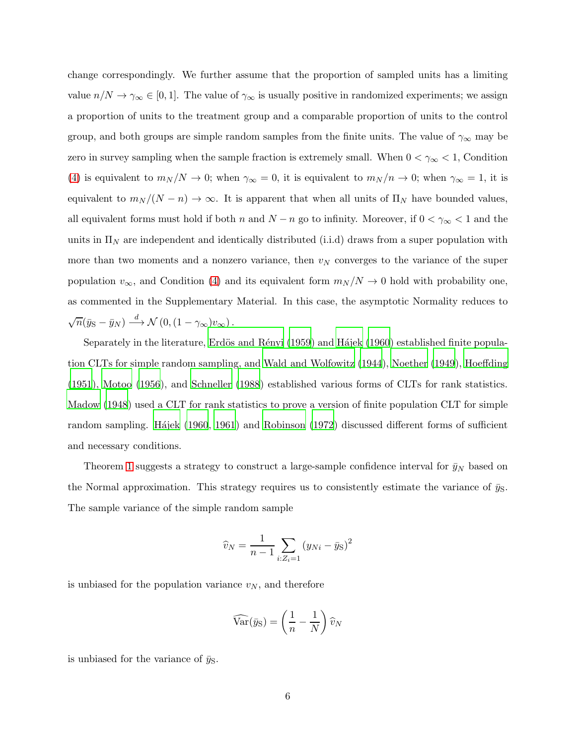change correspondingly. We further assume that the proportion of sampled units has a limiting value  $n/N \to \gamma_\infty \in [0,1]$ . The value of  $\gamma_\infty$  is usually positive in randomized experiments; we assign a proportion of units to the treatment group and a comparable proportion of units to the control group, and both groups are simple random samples from the finite units. The value of  $\gamma_{\infty}$  may be zero in survey sampling when the sample fraction is extremely small. When  $0 < \gamma_{\infty} < 1$ , Condition [\(4\)](#page-4-1) is equivalent to  $m_N/N \to 0$ ; when  $\gamma_\infty = 0$ , it is equivalent to  $m_N/n \to 0$ ; when  $\gamma_\infty = 1$ , it is equivalent to  $m_N/(N-n) \to \infty$ . It is apparent that when all units of  $\Pi_N$  have bounded values, all equivalent forms must hold if both n and  $N - n$  go to infinity. Moreover, if  $0 < \gamma_{\infty} < 1$  and the units in  $\Pi_N$  are independent and identically distributed (i.i.d) draws from a super population with more than two moments and a nonzero variance, then  $v_N$  converges to the variance of the super population  $v_{\infty}$ , and Condition [\(4\)](#page-4-1) and its equivalent form  $m_N/N \to 0$  hold with probability one, as commented in the Supplementary Material. In this case, the asymptotic Normality reduces to  $\sqrt{n}(\bar{y}_{\rm S}-\bar{y}_N) \stackrel{d}{\longrightarrow} \mathcal{N}(0,(1-\gamma_{\infty})v_{\infty}).$ 

Separately in the literature, Erdös and Rényi (1959) and Hájek (1960) established finite population CLTs for simple random sampling, and [Wald and Wolfowitz](#page-28-2) [\(1944](#page-28-2)), [Noether \(1949\)](#page-27-5), [Hoeffding](#page-25-7) [\(1951](#page-25-7)), [Motoo \(1956](#page-27-7)), and [Schneller \(1988](#page-28-4)) established various forms of CLTs for rank statistics. [Madow \(1948\)](#page-26-3) used a CLT for rank statistics to prove a version of finite population CLT for simple random sampling. Hájek (1960, [1961](#page-25-4)) and [Robinson \(1972\)](#page-27-8) discussed different forms of sufficient and necessary conditions.

Theorem [1](#page-47-0) suggests a strategy to construct a large-sample confidence interval for  $\bar{y}_N$  based on the Normal approximation. This strategy requires us to consistently estimate the variance of  $\bar{y}_S$ . The sample variance of the simple random sample

$$
\widehat{v}_N = \frac{1}{n-1} \sum_{i:Z_i=1} (y_{Ni} - \bar{y}_S)^2
$$

is unbiased for the population variance  $v_N$ , and therefore

$$
\widehat{\text{Var}}(\bar{y}_{\text{S}}) = \left(\frac{1}{n} - \frac{1}{N}\right)\widehat{v}_N
$$

<span id="page-5-0"></span>is unbiased for the variance of  $\bar{y}_\text{S}$ .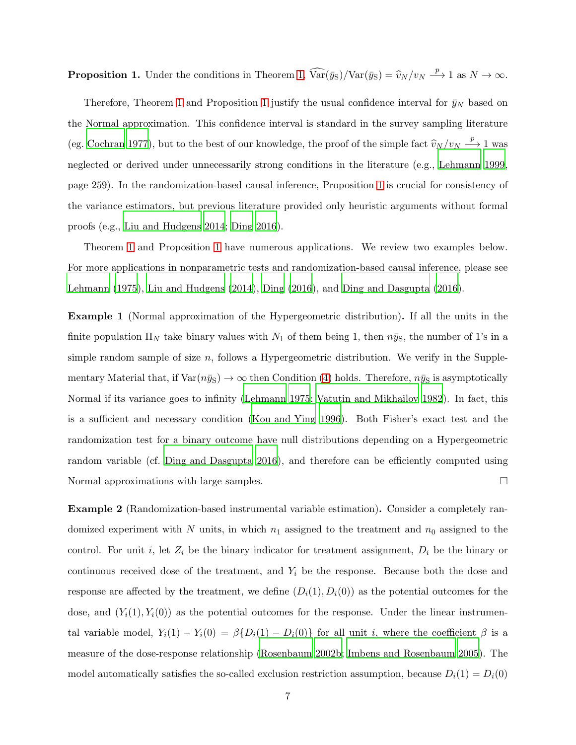**Proposition 1.** Under the conditions in Theorem [1,](#page-47-0)  $\widehat{Var}(\bar{y}_S)/Var(\bar{y}_S) = \widehat{v}_N/v_N \xrightarrow{p} 1$  as  $N \to \infty$ .

Therefore, Theorem [1](#page-5-0) and Proposition 1 justify the usual confidence interval for  $\bar{y}_N$  based on the Normal approximation. This confidence interval is standard in the survey sampling literature (eg. [Cochran 1977](#page-24-0)), but to the best of our knowledge, the proof of the simple fact  $\hat{v}_N / v_N \stackrel{p}{\longrightarrow} 1$  was neglected or derived under unnecessarily strong conditions in the literature (e.g., [Lehmann 1999,](#page-26-0) page 259). In the randomization-based causal inference, Proposition [1](#page-5-0) is crucial for consistency of the variance estimators, but previous literature provided only heuristic arguments without formal proofs (e.g., [Liu and Hudgens 2014](#page-26-5); [Ding 2016](#page-24-3)).

<span id="page-6-0"></span>Theorem [1](#page-47-0) and Proposition [1](#page-5-0) have numerous applications. We review two examples below. For more applications in nonparametric tests and randomization-based causal inference, please see [Lehmann \(1975](#page-26-4)), [Liu and Hudgens \(2014](#page-26-5)), [Ding \(2016\)](#page-24-3), and [Ding and Dasgupta \(2016\)](#page-24-4).

Example 1 (Normal approximation of the Hypergeometric distribution). If all the units in the finite population  $\Pi_N$  take binary values with  $N_1$  of them being 1, then  $n\bar{y}_S$ , the number of 1's in a simple random sample of size  $n$ , follows a Hypergeometric distribution. We verify in the Supplementary Material that, if  $Var(n\bar{y}_S) \to \infty$  then Condition [\(4\)](#page-4-1) holds. Therefore,  $n\bar{y}_S$  is asymptotically Normal if its variance goes to infinity [\(Lehmann 1975;](#page-26-4) [Vatutin and Mikhailov 1982\)](#page-28-5). In fact, this is a sufficient and necessary condition [\(Kou and Ying 1996](#page-26-10)). Both Fisher's exact test and the randomization test for a binary outcome have null distributions depending on a Hypergeometric random variable (cf. [Ding and Dasgupta 2016\)](#page-24-4), and therefore can be efficiently computed using Normal approximations with large samples.

<span id="page-6-1"></span>Example 2 (Randomization-based instrumental variable estimation). Consider a completely randomized experiment with N units, in which  $n_1$  assigned to the treatment and  $n_0$  assigned to the control. For unit i, let  $Z_i$  be the binary indicator for treatment assignment,  $D_i$  be the binary or continuous received dose of the treatment, and  $Y_i$  be the response. Because both the dose and response are affected by the treatment, we define  $(D_i(1), D_i(0))$  as the potential outcomes for the dose, and  $(Y_i(1), Y_i(0))$  as the potential outcomes for the response. Under the linear instrumental variable model,  $Y_i(1) - Y_i(0) = \beta \{D_i(1) - D_i(0)\}\$  for all unit i, where the coefficient  $\beta$  is a measure of the dose-response relationship [\(Rosenbaum 2002b](#page-27-2); [Imbens and Rosenbaum 2005](#page-25-10)). The model automatically satisfies the so-called exclusion restriction assumption, because  $D_i(1) = D_i(0)$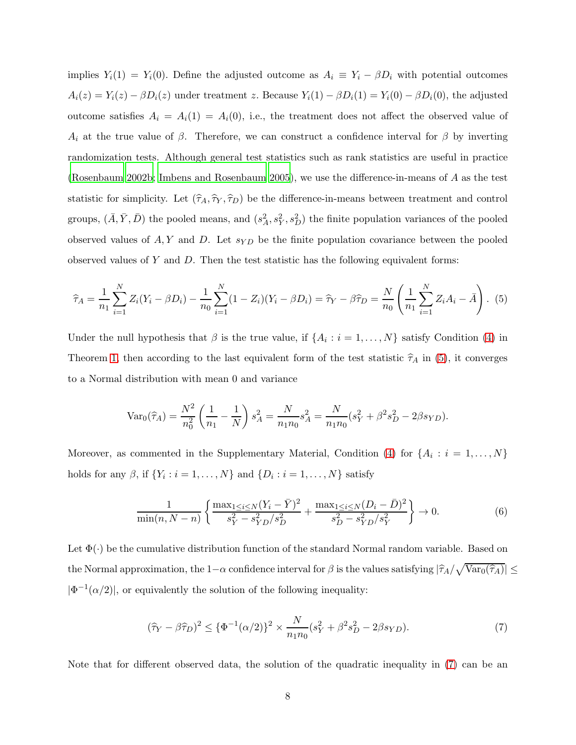implies  $Y_i(1) = Y_i(0)$ . Define the adjusted outcome as  $A_i \equiv Y_i - \beta D_i$  with potential outcomes  $A_i(z) = Y_i(z) - \beta D_i(z)$  under treatment z. Because  $Y_i(1) - \beta D_i(1) = Y_i(0) - \beta D_i(0)$ , the adjusted outcome satisfies  $A_i = A_i(1) = A_i(0)$ , i.e., the treatment does not affect the observed value of  $A_i$  at the true value of  $\beta$ . Therefore, we can construct a confidence interval for  $\beta$  by inverting randomization tests. Although general test statistics such as rank statistics are useful in practice [\(Rosenbaum 2002b](#page-27-2); [Imbens and Rosenbaum 2005](#page-25-10)), we use the difference-in-means of A as the test statistic for simplicity. Let  $(\hat{\tau}_A, \hat{\tau}_Y, \hat{\tau}_D)$  be the difference-in-means between treatment and control groups,  $(\bar{A}, \bar{Y}, \bar{D})$  the pooled means, and  $(s_A^2, s_Y^2, s_D^2)$  the finite population variances of the pooled observed values of  $A, Y$  and  $D$ . Let  $s_{YD}$  be the finite population covariance between the pooled observed values of Y and D. Then the test statistic has the following equivalent forms:

$$
\widehat{\tau}_A = \frac{1}{n_1} \sum_{i=1}^N Z_i (Y_i - \beta D_i) - \frac{1}{n_0} \sum_{i=1}^N (1 - Z_i)(Y_i - \beta D_i) = \widehat{\tau}_Y - \widehat{\beta T}_D = \frac{N}{n_0} \left( \frac{1}{n_1} \sum_{i=1}^N Z_i A_i - \bar{A} \right). \tag{5}
$$

Under the null hypothesis that  $\beta$  is the true value, if  $\{A_i : i = 1, ..., N\}$  satisfy Condition [\(4\)](#page-4-1) in Theorem [1,](#page-47-0) then according to the last equivalent form of the test statistic  $\hat{\tau}_A$  in [\(5\)](#page-7-0), it converges to a Normal distribution with mean 0 and variance

<span id="page-7-0"></span>
$$
\text{Var}_0(\hat{\tau}_A) = \frac{N^2}{n_0^2} \left( \frac{1}{n_1} - \frac{1}{N} \right) s_A^2 = \frac{N}{n_1 n_0} s_A^2 = \frac{N}{n_1 n_0} (s_Y^2 + \beta^2 s_D^2 - 2\beta s_{YD}).
$$

Moreover, as commented in the Supplementary Material, Condition [\(4\)](#page-4-1) for  $\{A_i : i = 1, ..., N\}$ holds for any  $\beta$ , if  $\{Y_i : i = 1, ..., N\}$  and  $\{D_i : i = 1, ..., N\}$  satisfy

<span id="page-7-2"></span>
$$
\frac{1}{\min(n, N-n)} \left\{ \frac{\max_{1 \le i \le N} (Y_i - \bar{Y})^2}{s_Y^2 - s_{YD}^2 / s_D^2} + \frac{\max_{1 \le i \le N} (D_i - \bar{D})^2}{s_D^2 - s_{YD}^2 / s_Y^2} \right\} \to 0.
$$
 (6)

Let  $\Phi(\cdot)$  be the cumulative distribution function of the standard Normal random variable. Based on the Normal approximation, the  $1-\alpha$  confidence interval for  $\beta$  is the values satisfying  $|\hat{\tau}_A/\sqrt{\text{Var}_0(\hat{\tau}_A)}| \le$  $|\Phi^{-1}(\alpha/2)|$ , or equivalently the solution of the following inequality:

<span id="page-7-1"></span>
$$
(\hat{\tau}_Y - \beta \hat{\tau}_D)^2 \le \{\Phi^{-1}(\alpha/2)\}^2 \times \frac{N}{n_1 n_0} (s_Y^2 + \beta^2 s_D^2 - 2\beta s_{YD}).\tag{7}
$$

Note that for different observed data, the solution of the quadratic inequality in [\(7\)](#page-7-1) can be an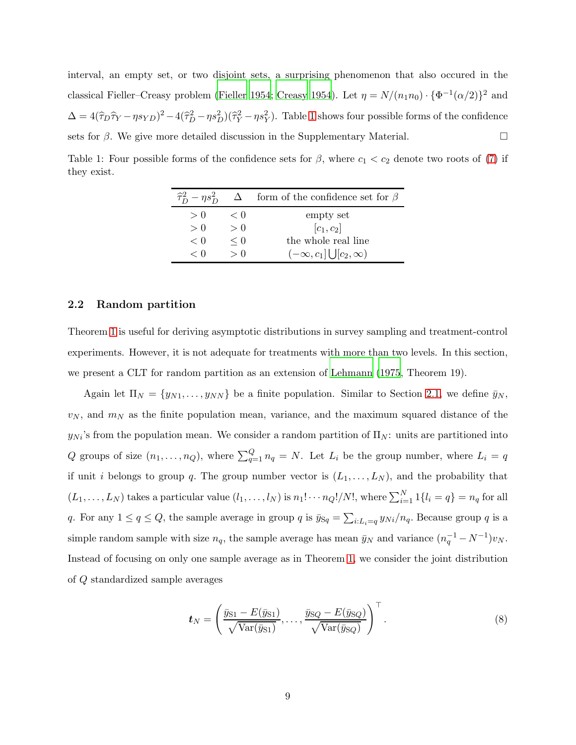interval, an empty set, or two disjoint sets, a surprising phenomenon that also occured in the classical Fieller–Creasy problem [\(Fieller 1954;](#page-25-11) [Creasy 1954](#page-24-8)). Let  $\eta = N/(n_1 n_0) \cdot {\Phi^{-1}(\alpha/2)}^2$  and  $\Delta = 4(\hat{\tau}_D \hat{\tau}_Y - \eta s_{YD})^2 - 4(\hat{\tau}_D^2 - \eta s_D^2)(\hat{\tau}_Y^2 - \eta s_Y^2)$ . Table [1](#page-8-0) shows four possible forms of the confidence sets for  $\beta$ . We give more detailed discussion in the Supplementary Material.

<span id="page-8-0"></span>Table 1: Four possible forms of the confidence sets for  $\beta$ , where  $c_1 < c_2$  denote two roots of [\(7\)](#page-7-1) if they exist.

| $\widehat{\tau}_{D}^{2}-\eta s_{D}^{2}$ |              | $\Delta$ form of the confidence set for $\beta$ |
|-----------------------------------------|--------------|-------------------------------------------------|
| > 0                                     | $\langle$ () | empty set                                       |
| > 0                                     | > 0          | $[c_1,c_2]$                                     |
| < 0                                     | $\leq 0$     | the whole real line                             |
| $\langle 0$                             | $\geq 0$     | $(-\infty, c_1]$ $\bigcup [c_2, \infty)$        |

#### <span id="page-8-2"></span>2.2 Random partition

Theorem [1](#page-47-0) is useful for deriving asymptotic distributions in survey sampling and treatment-control experiments. However, it is not adequate for treatments with more than two levels. In this section, we present a CLT for random partition as an extension of [Lehmann \(1975,](#page-26-4) Theorem 19).

Again let  $\Pi_N = \{y_{N1}, \ldots, y_{NN}\}\$ be a finite population. Similar to Section [2.1,](#page-3-1) we define  $\bar{y}_N$ ,  $v_N$ , and  $m_N$  as the finite population mean, variance, and the maximum squared distance of the  $y_{Ni}$ 's from the population mean. We consider a random partition of  $\Pi_N$ : units are partitioned into Q groups of size  $(n_1, \ldots, n_Q)$ , where  $\sum_{q=1}^Q n_q = N$ . Let  $L_i$  be the group number, where  $L_i = q$ if unit i belongs to group q. The group number vector is  $(L_1, \ldots, L_N)$ , and the probability that  $(L_1, \ldots, L_N)$  takes a particular value  $(l_1, \ldots, l_N)$  is  $n_1! \cdots n_Q!/N!$ , where  $\sum_{i=1}^N 1\{l_i = q\} = n_q$  for all q. For any  $1 \le q \le Q$ , the sample average in group q is  $\bar{y}_{Sq} = \sum_{i:L_i=q} y_{Ni}/n_q$ . Because group q is a simple random sample with size  $n_q$ , the sample average has mean  $\bar{y}_N$  and variance  $(n_q^{-1} - N^{-1})v_N$ . Instead of focusing on only one sample average as in Theorem [1,](#page-47-0) we consider the joint distribution of Q standardized sample averages

<span id="page-8-1"></span>
$$
\boldsymbol{t}_N = \left(\frac{\bar{y}_{S1} - E(\bar{y}_{S1})}{\sqrt{\text{Var}(\bar{y}_{S1})}}, \dots, \frac{\bar{y}_{SQ} - E(\bar{y}_{SQ})}{\sqrt{\text{Var}(\bar{y}_{SQ})}}\right)^{\top}.
$$
\n(8)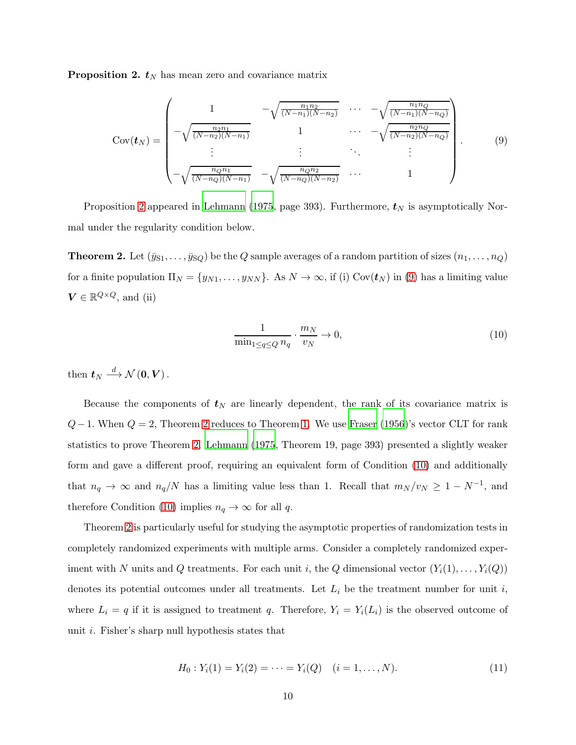**Proposition 2.**  $t_N$  has mean zero and covariance matrix

$$
Cov(\boldsymbol{t}_{N}) = \begin{pmatrix} 1 & -\sqrt{\frac{n_{1}n_{2}}{(N-n_{1})(N-n_{2})}} & \cdots & -\sqrt{\frac{n_{1}n_{Q}}{(N-n_{1})(N-n_{Q})}} \\ -\sqrt{\frac{n_{2}n_{1}}{(N-n_{2})(N-n_{1})}} & 1 & \cdots & -\sqrt{\frac{n_{2}n_{Q}}{(N-n_{2})(N-n_{Q})}} \\ \vdots & \vdots & \ddots & \vdots \\ -\sqrt{\frac{n_{Q}n_{1}}{(N-n_{Q})(N-n_{1})}} & -\sqrt{\frac{n_{Q}n_{2}}{(N-n_{Q})(N-n_{2})}} & \cdots & 1 \end{pmatrix}.
$$
 (9)

<span id="page-9-1"></span>Proposition [2](#page-8-1) appeared in [Lehmann \(1975](#page-26-4), page 393). Furthermore,  $t_N$  is asymptotically Normal under the regularity condition below.

**Theorem 2.** Let  $(\bar{y}_{S1}, \ldots, \bar{y}_{SQ})$  be the Q sample averages of a random partition of sizes  $(n_1, \ldots, n_Q)$ for a finite population  $\Pi_N = \{y_{N1}, \ldots, y_{NN}\}$ . As  $N \to \infty$ , if (i) Cov $(t_N)$  in [\(9\)](#page-9-0) has a limiting value  $V \in \mathbb{R}^{Q \times Q}$ , and (ii)

<span id="page-9-2"></span><span id="page-9-0"></span>
$$
\frac{1}{\min_{1 \le q \le Q} n_q} \cdot \frac{m_N}{v_N} \to 0,
$$
\n(10)

then  $t_N \stackrel{d}{\longrightarrow} \mathcal{N}(0, V)$ .

Because the components of  $t_N$  are linearly dependent, the rank of its covariance matrix is  $Q-1$ . When  $Q=2$ , Theorem [2](#page-9-1) reduces to Theorem [1.](#page-47-0) We use [Fraser \(1956](#page-25-3))'s vector CLT for rank statistics to prove Theorem [2.](#page-9-1) [Lehmann \(1975,](#page-26-4) Theorem 19, page 393) presented a slightly weaker form and gave a different proof, requiring an equivalent form of Condition [\(10\)](#page-9-2) and additionally that  $n_q \to \infty$  and  $n_q/N$  has a limiting value less than 1. Recall that  $m_N/v_N \geq 1 - N^{-1}$ , and therefore Condition [\(10\)](#page-9-2) implies  $n_q \to \infty$  for all q.

Theorem [2](#page-9-1) is particularly useful for studying the asymptotic properties of randomization tests in completely randomized experiments with multiple arms. Consider a completely randomized experiment with N units and Q treatments. For each unit i, the Q dimensional vector  $(Y_i(1), \ldots, Y_i(Q))$ denotes its potential outcomes under all treatments. Let  $L_i$  be the treatment number for unit i, where  $L_i = q$  if it is assigned to treatment q. Therefore,  $Y_i = Y_i(L_i)$  is the observed outcome of unit i. Fisher's sharp null hypothesis states that

<span id="page-9-3"></span>
$$
H_0: Y_i(1) = Y_i(2) = \dots = Y_i(Q) \quad (i = 1, \dots, N). \tag{11}
$$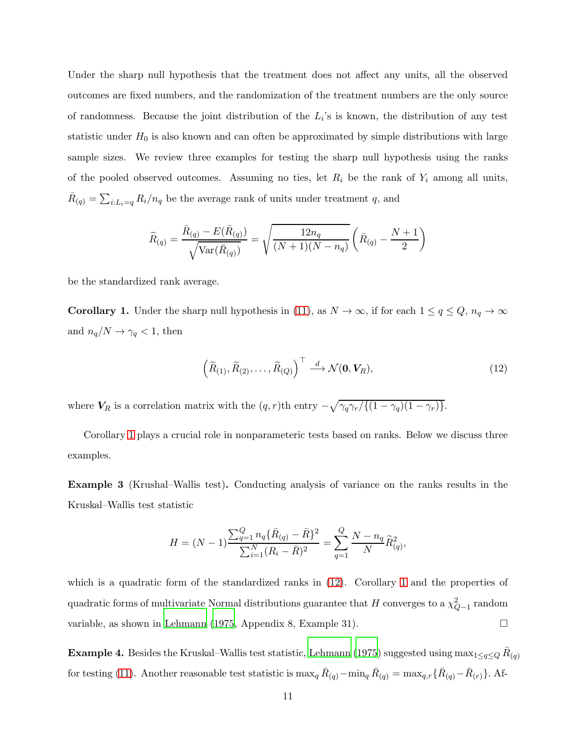Under the sharp null hypothesis that the treatment does not affect any units, all the observed outcomes are fixed numbers, and the randomization of the treatment numbers are the only source of randomness. Because the joint distribution of the  $L_i$ 's is known, the distribution of any test statistic under  $H_0$  is also known and can often be approximated by simple distributions with large sample sizes. We review three examples for testing the sharp null hypothesis using the ranks of the pooled observed outcomes. Assuming no ties, let  $R_i$  be the rank of  $Y_i$  among all units,  $\bar{R}_{(q)} = \sum_{i:L_i=q} R_i/n_q$  be the average rank of units under treatment q, and

$$
\widetilde{R}_{(q)} = \frac{\bar{R}_{(q)} - E(\bar{R}_{(q)})}{\sqrt{\text{Var}(\bar{R}_{(q)})}} = \sqrt{\frac{12n_q}{(N+1)(N-n_q)}} \left(\bar{R}_{(q)} - \frac{N+1}{2}\right)
$$

<span id="page-10-0"></span>be the standardized rank average.

**Corollary 1.** Under the sharp null hypothesis in [\(11\)](#page-9-3), as  $N \to \infty$ , if for each  $1 \le q \le Q$ ,  $n_q \to \infty$ and  $n_q/N \rightarrow \gamma_q < 1,$  then

<span id="page-10-1"></span>
$$
\left(\widetilde{R}_{(1)}, \widetilde{R}_{(2)}, \ldots, \widetilde{R}_{(Q)}\right)^{\top} \stackrel{d}{\longrightarrow} \mathcal{N}(\mathbf{0}, \mathbf{V}_{R}),\tag{12}
$$

where  $V_R$  is a correlation matrix with the  $(q, r)$ th entry  $-\sqrt{\gamma_q \gamma_r / \{(1 - \gamma_q)(1 - \gamma_r)\}}$ .

Corollary [1](#page-10-0) plays a crucial role in nonparameteric tests based on ranks. Below we discuss three examples.

Example 3 (Krushal–Wallis test). Conducting analysis of variance on the ranks results in the Kruskal–Wallis test statistic

$$
H = (N-1)\frac{\sum_{q=1}^{Q} n_q \{\bar{R}_{(q)} - \bar{R}\}^2}{\sum_{i=1}^{N} (R_i - \bar{R})^2} = \sum_{q=1}^{Q} \frac{N - n_q}{N} \widetilde{R}_{(q)}^2,
$$

which is a quadratic form of the standardized ranks in  $(12)$ . Corollary [1](#page-10-0) and the properties of quadratic forms of multivariate Normal distributions guarantee that H converges to a  $\chi^2_{Q-1}$  random variable, as shown in [Lehmann \(1975](#page-26-4), Appendix 8, Example 31).

**Example 4.** Besides the Kruskal–Wallis test statistic, [Lehmann \(1975](#page-26-4)) suggested using  $\max_{1 \leq q \leq Q} \bar{R}_{(q)}$ for testing [\(11\)](#page-9-3). Another reasonable test statistic is  $\max_q \bar{R}_{(q)} - \min_q \bar{R}_{(q)} = \max_{q,r} {\{\bar{R}_{(q)} - \bar{R}_{(r)}\}}$ . Af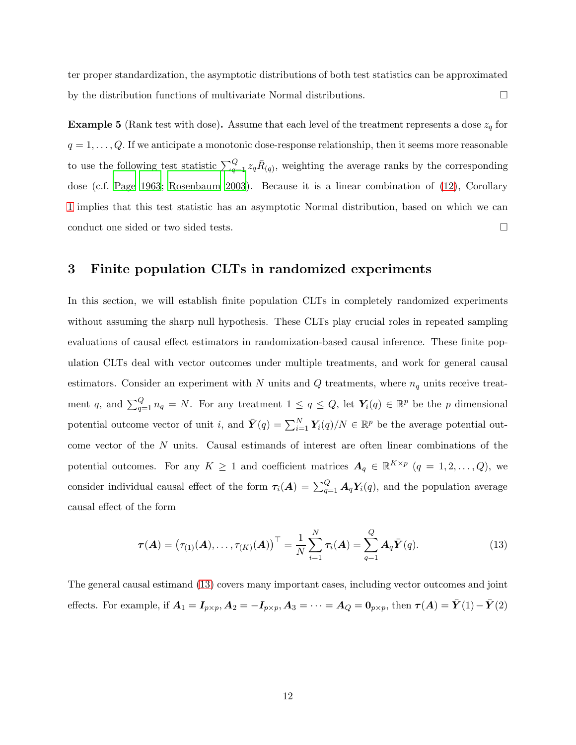ter proper standardization, the asymptotic distributions of both test statistics can be approximated by the distribution functions of multivariate Normal distributions.

**Example 5** (Rank test with dose). Assume that each level of the treatment represents a dose  $z_q$  for  $q = 1, \ldots, Q$ . If we anticipate a monotonic dose-response relationship, then it seems more reasonable to use the following test statistic  $\sum_{q=1}^{Q} z_q \bar{R}_{(q)}$ , weighting the average ranks by the corresponding dose (c.f. [Page 1963](#page-27-9); [Rosenbaum 2003](#page-27-10)). Because it is a linear combination of [\(12\)](#page-10-1), Corollary [1](#page-10-0) implies that this test statistic has an asymptotic Normal distribution, based on which we can conduct one sided or two sided tests.  $\Box$ 

# <span id="page-11-0"></span>3 Finite population CLTs in randomized experiments

In this section, we will establish finite population CLTs in completely randomized experiments without assuming the sharp null hypothesis. These CLTs play crucial roles in repeated sampling evaluations of causal effect estimators in randomization-based causal inference. These finite population CLTs deal with vector outcomes under multiple treatments, and work for general causal estimators. Consider an experiment with  $N$  units and  $Q$  treatments, where  $n_q$  units receive treatment q, and  $\sum_{q=1}^{Q} n_q = N$ . For any treatment  $1 \le q \le Q$ , let  $Y_i(q) \in \mathbb{R}^p$  be the p dimensional potential outcome vector of unit *i*, and  $\bar{Y}(q) = \sum_{i=1}^{N} Y_i(q)/N \in \mathbb{R}^p$  be the average potential outcome vector of the N units. Causal estimands of interest are often linear combinations of the potential outcomes. For any  $K \geq 1$  and coefficient matrices  $A_q \in \mathbb{R}^{K \times p}$   $(q = 1, 2, ..., Q)$ , we consider individual causal effect of the form  $\tau_i(A) = \sum_{q=1}^Q A_q Y_i(q)$ , and the population average causal effect of the form

<span id="page-11-1"></span>
$$
\boldsymbol{\tau}(\boldsymbol{A}) = (\tau_{(1)}(\boldsymbol{A}), \dots, \tau_{(K)}(\boldsymbol{A}))^{\top} = \frac{1}{N} \sum_{i=1}^{N} \tau_i(\boldsymbol{A}) = \sum_{q=1}^{Q} \boldsymbol{A}_q \bar{\boldsymbol{Y}}(q).
$$
 (13)

The general causal estimand [\(13\)](#page-11-1) covers many important cases, including vector outcomes and joint effects. For example, if  $A_1 = I_{p \times p}$ ,  $A_2 = -I_{p \times p}$ ,  $A_3 = \cdots = A_Q = \mathbf{0}_{p \times p}$ , then  $\tau(A) = \bar{Y}(1) - \bar{Y}(2)$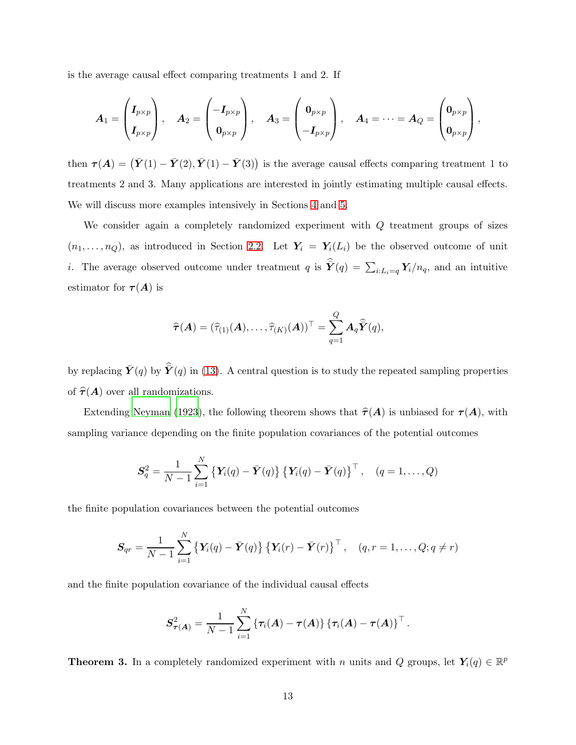is the average causal effect comparing treatments 1 and 2. If

$$
A_1 = \begin{pmatrix} I_{p \times p} \\ I_{p \times p} \end{pmatrix}, \quad A_2 = \begin{pmatrix} -I_{p \times p} \\ 0_{p \times p} \end{pmatrix}, \quad A_3 = \begin{pmatrix} 0_{p \times p} \\ -I_{p \times p} \end{pmatrix}, \quad A_4 = \cdots = A_Q = \begin{pmatrix} 0_{p \times p} \\ 0_{p \times p} \end{pmatrix},
$$

then  $\boldsymbol{\tau(A)} = (\bar{\boldsymbol{Y}}(1) - \bar{\boldsymbol{Y}}(2), \bar{\boldsymbol{Y}}(1) - \bar{\boldsymbol{Y}}(3))$  is the average causal effects comparing treatment 1 to treatments 2 and 3. Many applications are interested in jointly estimating multiple causal effects. We will discuss more examples intensively in Sections [4](#page-16-0) and [5.](#page-21-0)

We consider again a completely randomized experiment with Q treatment groups of sizes  $(n_1, \ldots, n_Q)$ , as introduced in Section [2.2.](#page-8-2) Let  $Y_i = Y_i(L_i)$  be the observed outcome of unit *i*. The average observed outcome under treatment q is  $\hat{\mathbf{Y}}(q) = \sum_{i:L_i=q} \mathbf{Y}_i/n_q$ , and an intuitive estimator for  $\tau(A)$  is

$$
\widehat{\boldsymbol{\tau}}(\boldsymbol{A}) = (\widehat{\tau}_{(1)}(\boldsymbol{A}), \ldots, \widehat{\tau}_{(K)}(\boldsymbol{A}))^{\top} = \sum_{q=1}^{Q} \boldsymbol{A}_q \widehat{\boldsymbol{Y}}(q),
$$

by replacing  $\bar{Y}(q)$  by  $\hat{Y}(q)$  in [\(13\)](#page-11-1). A central question is to study the repeated sampling properties of  $\hat{\tau}(A)$  over all randomizations.

Extending [Neyman \(1923\)](#page-27-0), the following theorem shows that  $\hat{\tau}(A)$  is unbiased for  $\tau(A)$ , with sampling variance depending on the finite population covariances of the potential outcomes

$$
\mathbf{S}_q^2 = \frac{1}{N-1} \sum_{i=1}^N \left\{ \mathbf{Y}_i(q) - \bar{\mathbf{Y}}(q) \right\} \left\{ \mathbf{Y}_i(q) - \bar{\mathbf{Y}}(q) \right\}^\top, \quad (q = 1, \dots, Q)
$$

the finite population covariances between the potential outcomes

$$
\boldsymbol{S}_{qr} = \frac{1}{N-1} \sum_{i=1}^{N} \left\{ \boldsymbol{Y}_i(q) - \bar{\boldsymbol{Y}}(q) \right\} \left\{ \boldsymbol{Y}_i(r) - \bar{\boldsymbol{Y}}(r) \right\}^{\top}, \quad (q, r = 1, \dots, Q; q \neq r)
$$

and the finite population covariance of the individual causal effects

$$
\boldsymbol{S}_{\boldsymbol{\tau}(A)}^2 = \frac{1}{N-1}\sum_{i=1}^N \left\{\tau_i(A)-\boldsymbol{\tau}(A)\right\} \left\{\tau_i(A)-\boldsymbol{\tau}(A)\right\}^{\top}.
$$

<span id="page-12-0"></span>**Theorem 3.** In a completely randomized experiment with n units and Q groups, let  $Y_i(q) \in \mathbb{R}^p$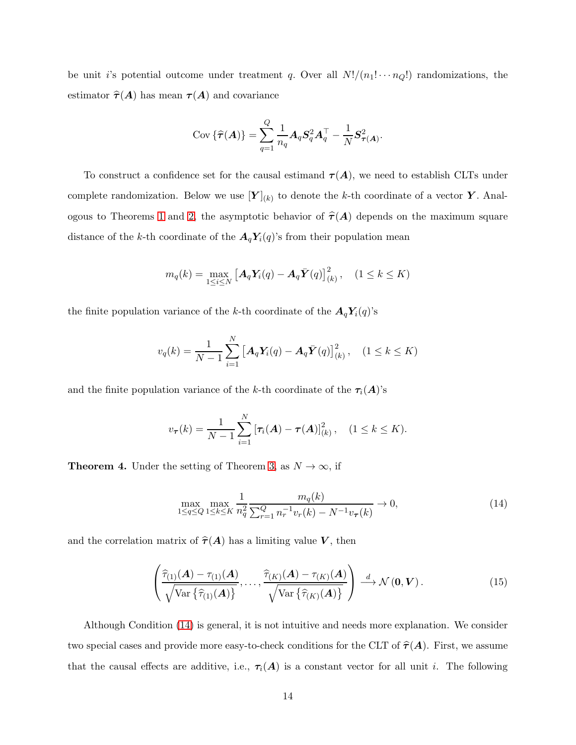be unit i's potential outcome under treatment q. Over all  $N!/(n_1! \cdots n_Q!)$  randomizations, the estimator  $\hat{\tau}(A)$  has mean  $\tau(A)$  and covariance

$$
Cov \left\{ \widehat{\boldsymbol{\tau}}(\boldsymbol{A}) \right\} = \sum_{q=1}^{Q} \frac{1}{n_q} \boldsymbol{A}_q \boldsymbol{S}_q^2 \boldsymbol{A}_q^{\top} - \frac{1}{N} \boldsymbol{S}_{\boldsymbol{\tau}(\boldsymbol{A})}^2.
$$

To construct a confidence set for the causal estimand  $\tau(A)$ , we need to establish CLTs under complete randomization. Below we use  $[Y]_{(k)}$  to denote the k-th coordinate of a vector Y. Anal-ogous to Theorems [1](#page-47-0) and [2,](#page-9-1) the asymptotic behavior of  $\hat{\tau}(A)$  depends on the maximum square distance of the k-th coordinate of the  $A_qY_i(q)$ 's from their population mean

$$
m_q(k) = \max_{1 \leq i \leq N} \left[ \mathbf{A}_q \mathbf{Y}_i(q) - \mathbf{A}_q \bar{\mathbf{Y}}(q) \right]_{(k)}^2, \quad (1 \leq k \leq K)
$$

the finite population variance of the k-th coordinate of the  $A_q Y_i(q)$ 's

$$
v_q(k) = \frac{1}{N-1} \sum_{i=1}^{N} \left[ \mathbf{A}_q \mathbf{Y}_i(q) - \mathbf{A}_q \bar{\mathbf{Y}}(q) \right]_{(k)}^2, \quad (1 \le k \le K)
$$

and the finite population variance of the k-th coordinate of the  $\tau_i(A)$ 's

$$
v_{\boldsymbol{\tau}}(k) = \frac{1}{N-1} \sum_{i=1}^{N} \left[ \tau_i(\boldsymbol{A}) - \boldsymbol{\tau}(\boldsymbol{A}) \right]_{(k)}^2, \quad (1 \leq k \leq K).
$$

<span id="page-13-2"></span>**Theorem 4.** Under the setting of Theorem [3,](#page-12-0) as  $N \to \infty$ , if

<span id="page-13-1"></span><span id="page-13-0"></span>
$$
\max_{1 \le q \le Q} \max_{1 \le k \le K} \frac{1}{n_q^2} \frac{m_q(k)}{\sum_{r=1}^Q n_r^{-1} v_r(k) - N^{-1} v_\tau(k)} \to 0,
$$
\n(14)

and the correlation matrix of  $\hat{\tau}(A)$  has a limiting value V, then

$$
\left(\frac{\widehat{\tau}_{(1)}(A) - \tau_{(1)}(A)}{\sqrt{\text{Var}\left\{\widehat{\tau}_{(1)}(A)\right\}}}, \dots, \frac{\widehat{\tau}_{(K)}(A) - \tau_{(K)}(A)}{\sqrt{\text{Var}\left\{\widehat{\tau}_{(K)}(A)\right\}}}\right) \stackrel{d}{\longrightarrow} \mathcal{N}\left(\mathbf{0}, \mathbf{V}\right).
$$
\n(15)

Although Condition [\(14\)](#page-13-0) is general, it is not intuitive and needs more explanation. We consider two special cases and provide more easy-to-check conditions for the CLT of  $\hat{\tau}(A)$ . First, we assume that the causal effects are additive, i.e.,  $\tau_i(A)$  is a constant vector for all unit i. The following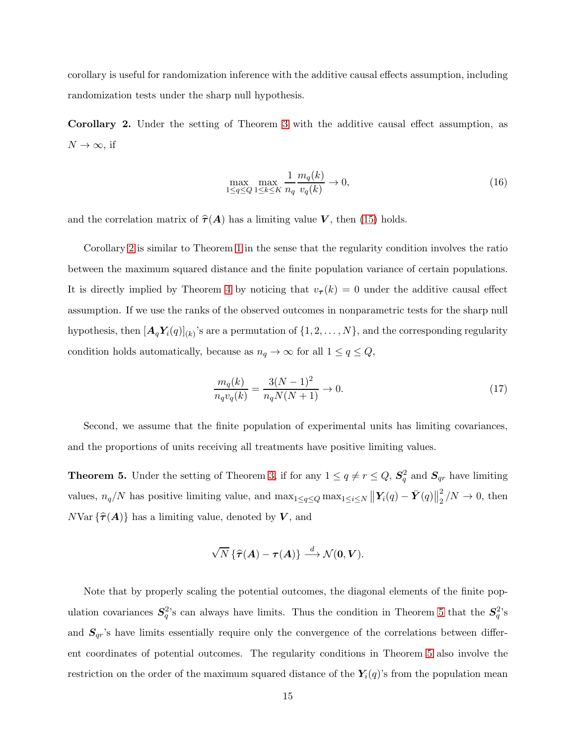<span id="page-14-0"></span>corollary is useful for randomization inference with the additive causal effects assumption, including randomization tests under the sharp null hypothesis.

Corollary 2. Under the setting of Theorem [3](#page-12-0) with the additive causal effect assumption, as  $N \to \infty$ , if

<span id="page-14-3"></span>
$$
\max_{1 \le q \le Q} \max_{1 \le k \le K} \frac{1}{n_q} \frac{m_q(k)}{v_q(k)} \to 0,
$$
\n(16)

and the correlation matrix of  $\hat{\tau}(A)$  has a limiting value V, then [\(15\)](#page-13-1) holds.

Corollary [2](#page-14-0) is similar to Theorem [1](#page-47-0) in the sense that the regularity condition involves the ratio between the maximum squared distance and the finite population variance of certain populations. It is directly implied by Theorem [4](#page-13-2) by noticing that  $v_{\tau}(k) = 0$  under the additive causal effect assumption. If we use the ranks of the observed outcomes in nonparametric tests for the sharp null hypothesis, then  $[\boldsymbol{A}_q \boldsymbol{Y}_i(q)]_{(k)}$ 's are a permutation of  $\{1, 2, ..., N\}$ , and the corresponding regularity condition holds automatically, because as  $n_q \to \infty$  for all  $1 \le q \le Q$ ,

<span id="page-14-2"></span>
$$
\frac{m_q(k)}{n_q v_q(k)} = \frac{3(N-1)^2}{n_q N(N+1)} \to 0.
$$
\n(17)

<span id="page-14-1"></span>Second, we assume that the finite population of experimental units has limiting covariances, and the proportions of units receiving all treatments have positive limiting values.

**Theorem 5.** Under the setting of Theorem [3,](#page-12-0) if for any  $1 \le q \ne r \le Q$ ,  $S_q^2$  and  $S_{qr}$  have limiting values,  $n_q/N$  has positive limiting value, and  $\max_{1 \le q \le Q} \max_{1 \le i \le N} ||Y_i(q) - \bar{Y}(q)||_2^2$  $\frac{2}{2}/N \rightarrow 0$ , then  $N\text{Var} \{\hat{\tau}(\boldsymbol{A})\}$  has a limiting value, denoted by  $\boldsymbol{V}$ , and

$$
\sqrt{N}\left\{\widehat{\tau}(A)-\tau(A)\right\}\stackrel{d}{\longrightarrow}\mathcal{N}(0,V).
$$

Note that by properly scaling the potential outcomes, the diagonal elements of the finite population covariances  $S_q^2$ 's can always have limits. Thus the condition in Theorem [5](#page-14-1) that the  $S_q^2$ 's and  $S_{qr}$ 's have limits essentially require only the convergence of the correlations between different coordinates of potential outcomes. The regularity conditions in Theorem [5](#page-14-1) also involve the restriction on the order of the maximum squared distance of the  $Y_i(q)$ 's from the population mean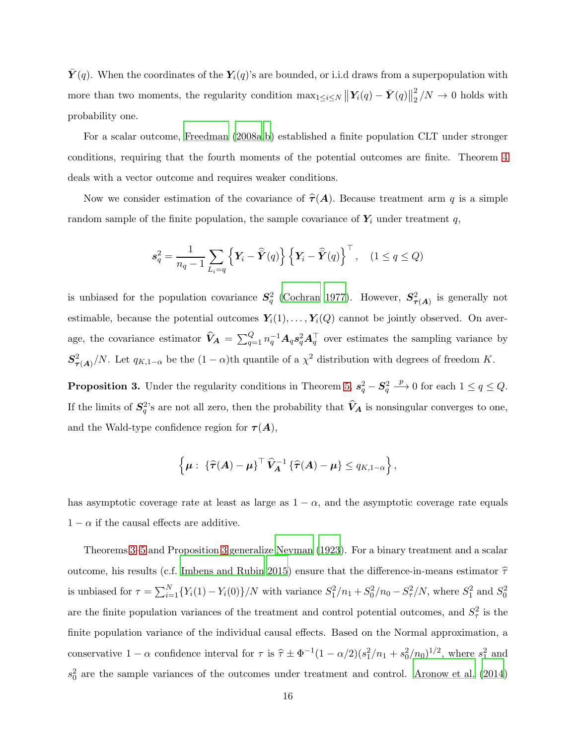$\boldsymbol{Y}(q)$ . When the coordinates of the  $\boldsymbol{Y}_i(q)$ 's are bounded, or i.i.d draws from a superpopulation with more than two moments, the regularity condition  $\max_{1 \leq i \leq N} \left\| \mathbf{Y}_i(q) - \bar{\mathbf{Y}}(q) \right\|_2^2$  $\frac{2}{2}$  /N  $\rightarrow$  0 holds with probability one.

For a scalar outcome, [Freedman \(2008a](#page-25-5)[,b\)](#page-25-6) established a finite population CLT under stronger conditions, requiring that the fourth moments of the potential outcomes are finite. Theorem [4](#page-13-2) deals with a vector outcome and requires weaker conditions.

Now we consider estimation of the covariance of  $\hat{\tau}(A)$ . Because treatment arm q is a simple random sample of the finite population, the sample covariance of  $Y_i$  under treatment q,

$$
s_q^2 = \frac{1}{n_q - 1} \sum_{L_i = q} \left\{ \boldsymbol{Y}_i - \widehat{\boldsymbol{Y}}(q) \right\} \left\{ \boldsymbol{Y}_i - \widehat{\boldsymbol{Y}}(q) \right\}^\top, \quad (1 \le q \le Q)
$$

is unbiased for the population covariance  $S_q^2$  [\(Cochran 1977](#page-24-0)). However,  $S_{\tau(A)}^2$  is generally not estimable, because the potential outcomes  $Y_i(1), \ldots, Y_i(Q)$  cannot be jointly observed. On average, the covariance estimator  $\hat{V}_A = \sum_{q=1}^Q n_q^{-1} A_q s_q^2 A_q^{\top}$  over estimates the sampling variance by  $S^2_{\tau(A)}/N$ . Let  $q_{K,1-\alpha}$  be the  $(1-\alpha)$ th quantile of a  $\chi^2$  distribution with degrees of freedom K.

<span id="page-15-0"></span>**Proposition 3.** Under the regularity conditions in Theorem [5,](#page-14-1)  $s_q^2 - S_q^2$  $\stackrel{p}{\longrightarrow} 0$  for each  $1 \le q \le Q$ . If the limits of  $S_q^2$ 's are not all zero, then the probability that  $\hat{V}_A$  is nonsingular converges to one, and the Wald-type confidence region for  $\tau(A)$ ,

$$
\left\{\boldsymbol{\mu}:\ \{\widehat{\boldsymbol{\tau}}(\boldsymbol{A})-\boldsymbol{\mu}\}^{\top}\widehat{\boldsymbol{V}}_{\boldsymbol{A}}^{-1}\left\{\widehat{\boldsymbol{\tau}}(\boldsymbol{A})-\boldsymbol{\mu}\right\}\leq q_{K,1-\alpha}\right\},\
$$

has asymptotic coverage rate at least as large as  $1 - \alpha$ , and the asymptotic coverage rate equals  $1 - \alpha$  if the causal effects are additive.

Theorems [3](#page-12-0)[–5](#page-14-1) and Proposition [3](#page-15-0) generalize [Neyman \(1923\)](#page-27-0). For a binary treatment and a scalar outcome, his results (c.f. [Imbens and Rubin 2015](#page-26-2)) ensure that the difference-in-means estimator  $\hat{\tau}$ is unbiased for  $\tau = \sum_{i=1}^{N} \{Y_i(1) - Y_i(0)\} / N$  with variance  $S_1^2/n_1 + S_0^2/n_0 - S_\tau^2/N$ , where  $S_1^2$  and  $S_0^2$ are the finite population variances of the treatment and control potential outcomes, and  $S^2_\tau$  is the finite population variance of the individual causal effects. Based on the Normal approximation, a conservative  $1 - \alpha$  confidence interval for  $\tau$  is  $\hat{\tau} \pm \Phi^{-1}(1 - \alpha/2)(s_1^2/n_1 + s_0^2/n_0)^{1/2}$ , where  $s_1^2$  and  $s_0^2$  are the sample variances of the outcomes under treatment and control. [Aronow et al. \(2014](#page-24-6))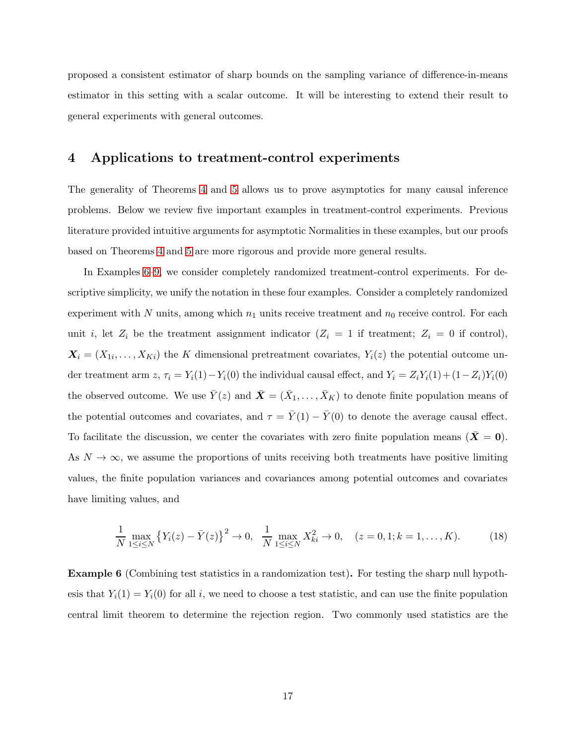proposed a consistent estimator of sharp bounds on the sampling variance of difference-in-means estimator in this setting with a scalar outcome. It will be interesting to extend their result to general experiments with general outcomes.

#### <span id="page-16-0"></span>4 Applications to treatment-control experiments

The generality of Theorems [4](#page-13-2) and [5](#page-14-1) allows us to prove asymptotics for many causal inference problems. Below we review five important examples in treatment-control experiments. Previous literature provided intuitive arguments for asymptotic Normalities in these examples, but our proofs based on Theorems [4](#page-13-2) and [5](#page-14-1) are more rigorous and provide more general results.

In Examples [6–](#page-16-1)[9,](#page-19-0) we consider completely randomized treatment-control experiments. For descriptive simplicity, we unify the notation in these four examples. Consider a completely randomized experiment with N units, among which  $n_1$  units receive treatment and  $n_0$  receive control. For each unit i, let  $Z_i$  be the treatment assignment indicator  $(Z_i = 1$  if treatment;  $Z_i = 0$  if control),  $\mathbf{X}_i = (X_{1i}, \dots, X_{Ki})$  the K dimensional pretreatment covariates,  $Y_i(z)$  the potential outcome under treatment arm z,  $\tau_i = Y_i(1) - Y_i(0)$  the individual causal effect, and  $Y_i = Z_i Y_i(1) + (1 - Z_i) Y_i(0)$ the observed outcome. We use  $\bar{Y}(z)$  and  $\bar{X} = (\bar{X}_1, \ldots, \bar{X}_K)$  to denote finite population means of the potential outcomes and covariates, and  $\tau = \bar{Y}(1) - \bar{Y}(0)$  to denote the average causal effect. To facilitate the discussion, we center the covariates with zero finite population means  $(\bar{X} = 0)$ . As  $N \to \infty$ , we assume the proportions of units receiving both treatments have positive limiting values, the finite population variances and covariances among potential outcomes and covariates have limiting values, and

<span id="page-16-2"></span>
$$
\frac{1}{N} \max_{1 \le i \le N} \left\{ Y_i(z) - \bar{Y}(z) \right\}^2 \to 0, \quad \frac{1}{N} \max_{1 \le i \le N} X_{ki}^2 \to 0, \quad (z = 0, 1; k = 1, \dots, K). \tag{18}
$$

<span id="page-16-1"></span>Example 6 (Combining test statistics in a randomization test). For testing the sharp null hypothesis that  $Y_i(1) = Y_i(0)$  for all i, we need to choose a test statistic, and can use the finite population central limit theorem to determine the rejection region. Two commonly used statistics are the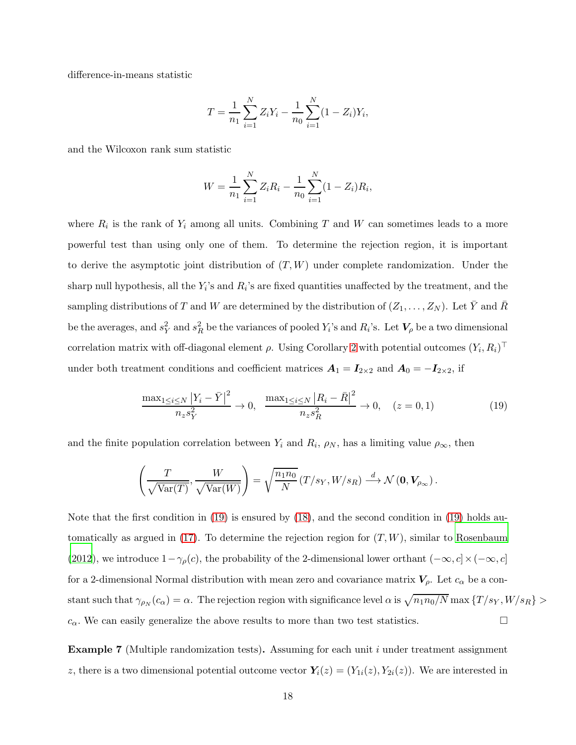difference-in-means statistic

$$
T = \frac{1}{n_1} \sum_{i=1}^{N} Z_i Y_i - \frac{1}{n_0} \sum_{i=1}^{N} (1 - Z_i) Y_i,
$$

and the Wilcoxon rank sum statistic

$$
W = \frac{1}{n_1} \sum_{i=1}^{N} Z_i R_i - \frac{1}{n_0} \sum_{i=1}^{N} (1 - Z_i) R_i,
$$

where  $R_i$  is the rank of  $Y_i$  among all units. Combining T and W can sometimes leads to a more powerful test than using only one of them. To determine the rejection region, it is important to derive the asymptotic joint distribution of  $(T, W)$  under complete randomization. Under the sharp null hypothesis, all the  $Y_i$ 's and  $R_i$ 's are fixed quantities unaffected by the treatment, and the sampling distributions of T and W are determined by the distribution of  $(Z_1, \ldots, Z_N)$ . Let  $\overline{Y}$  and  $\overline{R}$ be the averages, and  $s_Y^2$  and  $s_R^2$  be the variances of pooled  $Y_i$ 's and  $R_i$ 's. Let  $V_\rho$  be a two dimensional correlation matrix with off-diagonal element  $\rho$ . Using Corollary [2](#page-14-0) with potential outcomes  $(Y_i, R_i)^\top$ under both treatment conditions and coefficient matrices  $A_1 = I_{2\times 2}$  and  $A_0 = -I_{2\times 2}$ , if

<span id="page-17-0"></span>
$$
\frac{\max_{1 \le i \le N} |Y_i - \bar{Y}|^2}{n_z s_Y^2} \to 0, \quad \frac{\max_{1 \le i \le N} |R_i - \bar{R}|^2}{n_z s_R^2} \to 0, \quad (z = 0, 1)
$$
\n(19)

and the finite population correlation between  $Y_i$  and  $R_i$ ,  $\rho_N$ , has a limiting value  $\rho_{\infty}$ , then

$$
\left(\frac{T}{\sqrt{\text{Var}(T)}}, \frac{W}{\sqrt{\text{Var}(W)}}\right) = \sqrt{\frac{n_1 n_0}{N}} \left(T/s_Y, W/s_R\right) \stackrel{d}{\longrightarrow} \mathcal{N}\left(\mathbf{0}, \mathbf{V}_{\rho_{\infty}}\right).
$$

Note that the first condition in [\(19\)](#page-17-0) is ensured by [\(18\)](#page-16-2), and the second condition in [\(19\)](#page-17-0) holds automatically as argued in  $(17)$ . To determine the rejection region for  $(T, W)$ , similar to [Rosenbaum](#page-27-11) [\(2012](#page-27-11)), we introduce  $1-\gamma_\rho(c)$ , the probability of the 2-dimensional lower orthant  $(-\infty, c] \times (-\infty, c]$ for a 2-dimensional Normal distribution with mean zero and covariance matrix  $V_{\rho}$ . Let  $c_{\alpha}$  be a constant such that  $\gamma_{\rho_N}(c_\alpha) = \alpha$ . The rejection region with significance level  $\alpha$  is  $\sqrt{n_1 n_0/N}$  max  $\{T/s_Y, W/s_R\} >$  $c_{\alpha}$ . We can easily generalize the above results to more than two test statistics.

**Example 7** (Multiple randomization tests). Assuming for each unit  $i$  under treatment assignment z, there is a two dimensional potential outcome vector  $Y_i(z) = (Y_{1i}(z), Y_{2i}(z))$ . We are interested in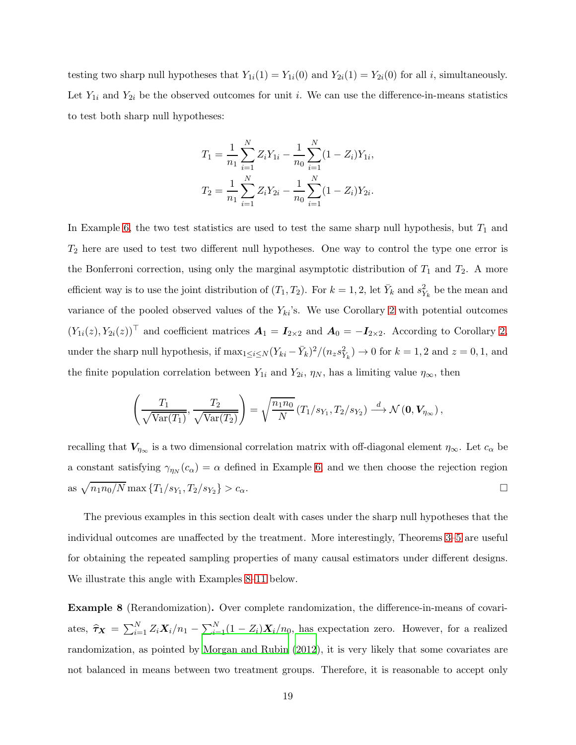testing two sharp null hypotheses that  $Y_{1i}(1) = Y_{1i}(0)$  and  $Y_{2i}(1) = Y_{2i}(0)$  for all i, simultaneously. Let  $Y_{1i}$  and  $Y_{2i}$  be the observed outcomes for unit i. We can use the difference-in-means statistics to test both sharp null hypotheses:

$$
T_1 = \frac{1}{n_1} \sum_{i=1}^{N} Z_i Y_{1i} - \frac{1}{n_0} \sum_{i=1}^{N} (1 - Z_i) Y_{1i},
$$
  

$$
T_2 = \frac{1}{n_1} \sum_{i=1}^{N} Z_i Y_{2i} - \frac{1}{n_0} \sum_{i=1}^{N} (1 - Z_i) Y_{2i}.
$$

In Example [6,](#page-16-1) the two test statistics are used to test the same sharp null hypothesis, but  $T_1$  and  $T_2$  here are used to test two different null hypotheses. One way to control the type one error is the Bonferroni correction, using only the marginal asymptotic distribution of  $T_1$  and  $T_2$ . A more efficient way is to use the joint distribution of  $(T_1, T_2)$ . For  $k = 1, 2$ , let  $\bar{Y}_k$  and  $s_{Y_k}^2$  be the mean and variance of the pooled observed values of the  $Y_{ki}$ 's. We use Corollary [2](#page-14-0) with potential outcomes  $(Y_{1i}(z), Y_{2i}(z))^{\top}$  and coefficient matrices  $\mathbf{A}_1 = \mathbf{I}_{2\times 2}$  and  $\mathbf{A}_0 = -\mathbf{I}_{2\times 2}$ . According to Corollary [2,](#page-14-0) under the sharp null hypothesis, if  $\max_{1 \le i \le N} (Y_{ki} - \bar{Y}_k)^2 / (n_z s_{Y_k}^2) \to 0$  for  $k = 1, 2$  and  $z = 0, 1$ , and the finite population correlation between  $Y_{1i}$  and  $Y_{2i}$ ,  $\eta_N$ , has a limiting value  $\eta_{\infty}$ , then

$$
\left(\frac{T_1}{\sqrt{\text{Var}(T_1)}}, \frac{T_2}{\sqrt{\text{Var}(T_2)}}\right) = \sqrt{\frac{n_1 n_0}{N}} \left(T_1/s_{Y_1}, T_2/s_{Y_2}\right) \stackrel{d}{\longrightarrow} \mathcal{N}\left(\mathbf{0}, \mathbf{V}_{\eta_{\infty}}\right),
$$

recalling that  $V_{\eta_{\infty}}$  is a two dimensional correlation matrix with off-diagonal element  $\eta_{\infty}$ . Let  $c_{\alpha}$  be a constant satisfying  $\gamma_{\eta_N}(c_\alpha) = \alpha$  defined in Example [6,](#page-16-1) and we then choose the rejection region as  $\sqrt{n_1 n_0/N}$  max  $\{T_1/s_{Y_1}, T_2/s_{Y_2}\}$  $\} > c_{\alpha}.$ 

The previous examples in this section dealt with cases under the sharp null hypotheses that the individual outcomes are unaffected by the treatment. More interestingly, Theorems [3–](#page-12-0)[5](#page-14-1) are useful for obtaining the repeated sampling properties of many causal estimators under different designs. We illustrate this angle with Examples [8–](#page-18-0)[11](#page-21-1) below.

<span id="page-18-0"></span>Example 8 (Rerandomization). Over complete randomization, the difference-in-means of covariates,  $\hat{\tau}_X = \sum_{i=1}^N Z_i X_i/n_1 - \sum_{i=1}^N (1 - Z_i) X_i/n_0$ , has expectation zero. However, for a realized randomization, as pointed by [Morgan and Rubin \(2012](#page-26-6)), it is very likely that some covariates are not balanced in means between two treatment groups. Therefore, it is reasonable to accept only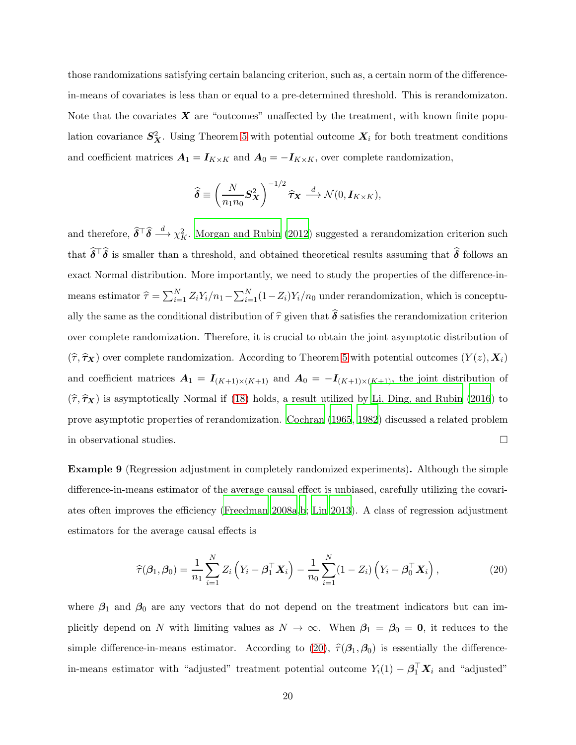those randomizations satisfying certain balancing criterion, such as, a certain norm of the differencein-means of covariates is less than or equal to a pre-determined threshold. This is rerandomizaton. Note that the covariates  $X$  are "outcomes" unaffected by the treatment, with known finite population covariance  $S_X^2$ . Using Theorem [5](#page-14-1) with potential outcome  $X_i$  for both treatment conditions and coefficient matrices  $A_1 = I_{K \times K}$  and  $A_0 = -I_{K \times K}$ , over complete randomization,

$$
\widehat{\boldsymbol{\delta}} \equiv \left(\frac{N}{n_1 n_0} \mathbf{S}_{\mathbf{X}}^2\right)^{-1/2} \widehat{\boldsymbol{\tau}}_{\mathbf{X}} \stackrel{d}{\longrightarrow} \mathcal{N}(0, \mathbf{I}_{K \times K}),
$$

and therefore,  $\hat{\delta}^\top \hat{\delta} \stackrel{d}{\longrightarrow} \chi^2_K$ . [Morgan and Rubin \(2012](#page-26-6)) suggested a rerandomization criterion such that  $\delta^{\top}\delta$  is smaller than a threshold, and obtained theoretical results assuming that  $\delta$  follows and exact Normal distribution. More importantly, we need to study the properties of the difference-inmeans estimator  $\hat{\tau} = \sum_{i=1}^{N} Z_i Y_i/n_1 - \sum_{i=1}^{N} (1 - Z_i) Y_i/n_0$  under rerandomization, which is conceptually the same as the conditional distribution of  $\hat{\tau}$  given that  $\hat{\delta}$  satisfies the rerandomization criterion over complete randomization. Therefore, it is crucial to obtain the joint asymptotic distribution of  $(\hat{\tau}, \hat{\tau}_X)$  over complete randomization. According to Theorem [5](#page-14-1) with potential outcomes  $(Y(z), X_i)$ and coefficient matrices  $A_1 = I_{(K+1)\times (K+1)}$  and  $A_0 = -I_{(K+1)\times (K+1)}$ , the joint distribution of  $(\hat{\tau}, \hat{\tau}_X)$  is asymptotically Normal if [\(18\)](#page-16-2) holds, a result utilized by [Li, Ding, and Rubin \(2016](#page-26-8)) to prove asymptotic properties of rerandomization. [Cochran \(1965](#page-24-9), [1982](#page-24-10)) discussed a related problem in observational studies.

<span id="page-19-0"></span>Example 9 (Regression adjustment in completely randomized experiments). Although the simple difference-in-means estimator of the average causal effect is unbiased, carefully utilizing the covariates often improves the efficiency [\(Freedman 2008a](#page-25-5)[,b](#page-25-6); [Lin 2013](#page-26-9)). A class of regression adjustment estimators for the average causal effects is

<span id="page-19-1"></span>
$$
\widehat{\tau}(\boldsymbol{\beta}_1, \boldsymbol{\beta}_0) = \frac{1}{n_1} \sum_{i=1}^N Z_i \left( Y_i - \boldsymbol{\beta}_1^\top \mathbf{X}_i \right) - \frac{1}{n_0} \sum_{i=1}^N (1 - Z_i) \left( Y_i - \boldsymbol{\beta}_0^\top \mathbf{X}_i \right), \tag{20}
$$

where  $\beta_1$  and  $\beta_0$  are any vectors that do not depend on the treatment indicators but can implicitly depend on N with limiting values as  $N \to \infty$ . When  $\beta_1 = \beta_0 = 0$ , it reduces to the simple difference-in-means estimator. According to [\(20\)](#page-19-1),  $\hat{\tau}(\beta_1,\beta_0)$  is essentially the differencein-means estimator with "adjusted" treatment potential outcome  $Y_i(1) - \beta_1^{\top} X_i$  and "adjusted"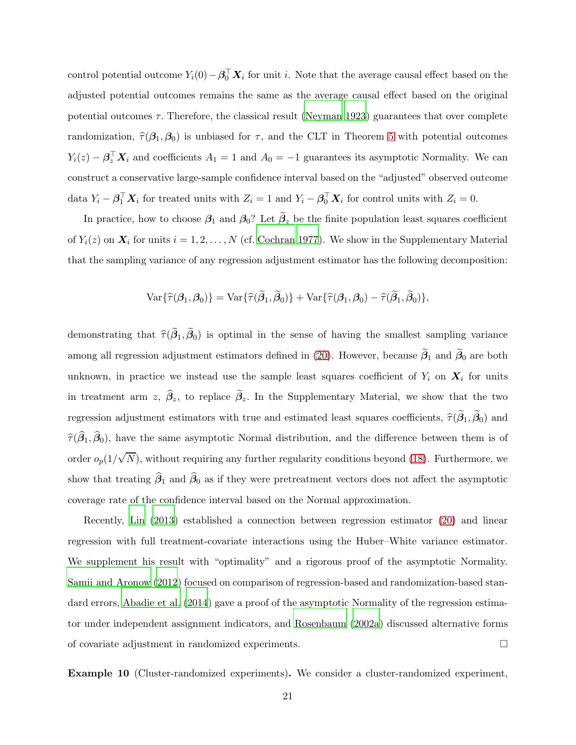control potential outcome  $Y_i(0) - \beta_0^\top \mathbf{X}_i$  for unit i. Note that the average causal effect based on the adjusted potential outcomes remains the same as the average causal effect based on the original potential outcomes  $\tau$ . Therefore, the classical result [\(Neyman 1923](#page-27-0)) guarantees that over complete randomization,  $\hat{\tau}(\beta_1,\beta_0)$  is unbiased for  $\tau$ , and the CLT in Theorem [5](#page-14-1) with potential outcomes  $Y_i(z) - \beta_z^{\top} \mathbf{X}_i$  and coefficients  $A_1 = 1$  and  $A_0 = -1$  guarantees its asymptotic Normality. We can construct a conservative large-sample confidence interval based on the "adjusted" observed outcome data  $Y_i - \beta_1^\top \mathbf{X}_i$  for treated units with  $Z_i = 1$  and  $Y_i - \beta_0^\top \mathbf{X}_i$  for control units with  $Z_i = 0$ .

In practice, how to choose  $\beta_1$  and  $\beta_0$ ? Let  $\beta_z$  be the finite population least squares coefficient of  $Y_i(z)$  on  $\mathbf{X}_i$  for units  $i = 1, 2, ..., N$  (cf. [Cochran 1977](#page-24-0)). We show in the Supplementary Material that the sampling variance of any regression adjustment estimator has the following decomposition:

$$
\text{Var}\{\widehat{\tau}(\boldsymbol{\beta}_1,\boldsymbol{\beta}_0)\}=\text{Var}\{\widehat{\tau}(\widehat{\boldsymbol{\beta}}_1,\widehat{\boldsymbol{\beta}}_0)\}+\text{Var}\{\widehat{\tau}(\boldsymbol{\beta}_1,\boldsymbol{\beta}_0)-\widehat{\tau}(\widehat{\boldsymbol{\beta}}_1,\widehat{\boldsymbol{\beta}}_0)\},
$$

demonstrating that  $\hat{\tau}(\beta_1,\beta_0)$  is optimal in the sense of having the smallest sampling variance among all regression adjustment estimators defined in [\(20\)](#page-19-1). However, because  $\beta_1$  and  $\beta_0$  are both unknown, in practice we instead use the sample least squares coefficient of  $Y_i$  on  $X_i$  for units in treatment arm z,  $\beta_z$ , to replace  $\beta_z$ . In the Supplementary Material, we show that the two regression adjustment estimators with true and estimated least squares coefficients,  $\hat{\tau}(\beta_1,\beta_0)$  and  $\widehat{\tau}(\beta_1,\beta_0)$ , have the same asymptotic Normal distribution, and the difference between them is of order  $o_p(1/\sqrt{N})$ , without requiring any further regularity conditions beyond [\(18\)](#page-16-2). Furthermore, we show that treating  $\beta_1$  and  $\beta_0$  as if they were pretreatment vectors does not affect the asymptotic coverage rate of the confidence interval based on the Normal approximation.

Recently, [Lin \(2013](#page-26-9)) established a connection between regression estimator [\(20\)](#page-19-1) and linear regression with full treatment-covariate interactions using the Huber–White variance estimator. We supplement his result with "optimality" and a rigorous proof of the asymptotic Normality. [Samii and Aronow \(2012](#page-28-6)) focused on comparison of regression-based and randomization-based standard errors, [Abadie et al. \(2014](#page-24-1)) gave a proof of the asymptotic Normality of the regression estimator under independent assignment indicators, and [Rosenbaum \(2002a](#page-27-12)) discussed alternative forms of covariate adjustment in randomized experiments.

<span id="page-20-0"></span>Example 10 (Cluster-randomized experiments). We consider a cluster-randomized experiment,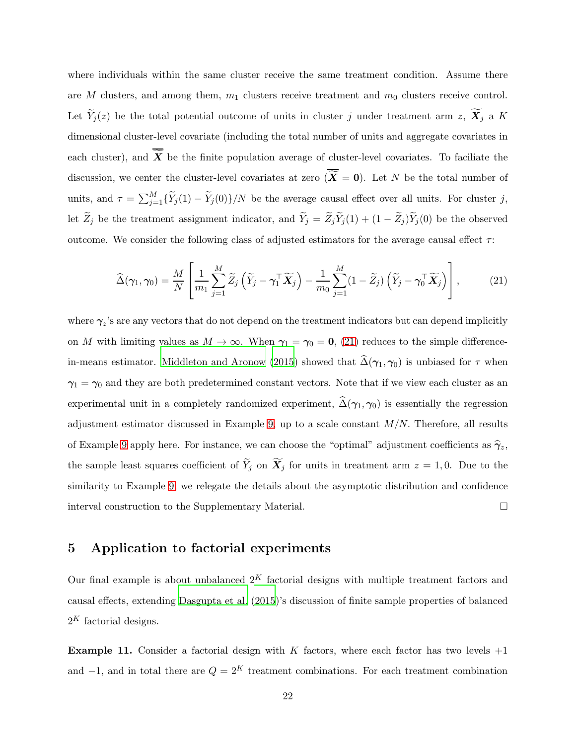where individuals within the same cluster receive the same treatment condition. Assume there are M clusters, and among them,  $m_1$  clusters receive treatment and  $m_0$  clusters receive control. Let  $\widetilde{Y}_j(z)$  be the total potential outcome of units in cluster j under treatment arm  $z$ ,  $\widetilde{X}_j$  a K dimensional cluster-level covariate (including the total number of units and aggregate covariates in each cluster), and  $\widetilde{X}$  be the finite population average of cluster-level covariates. To faciliate the discussion, we center the cluster-level covariates at zero  $\overline{X} = 0$ . Let N be the total number of units, and  $\tau = \sum_{j=1}^{M} {\{\widetilde{Y}_j(1) - \widetilde{Y}_j(0)\}}/N$  be the average causal effect over all units. For cluster j, let  $\widetilde{Z}_j$  be the treatment assignment indicator, and  $\widetilde{Y}_j = \widetilde{Z}_j \widetilde{Y}_j(1) + (1 - \widetilde{Z}_j) \widetilde{Y}_j(0)$  be the observed outcome. We consider the following class of adjusted estimators for the average causal effect  $\tau$ :

<span id="page-21-2"></span>
$$
\widehat{\Delta}(\gamma_1, \gamma_0) = \frac{M}{N} \left[ \frac{1}{m_1} \sum_{j=1}^{M} \widetilde{Z}_j \left( \widetilde{Y}_j - \gamma_1^\top \widetilde{X}_j \right) - \frac{1}{m_0} \sum_{j=1}^{M} (1 - \widetilde{Z}_j) \left( \widetilde{Y}_j - \gamma_0^\top \widetilde{X}_j \right) \right],
$$
(21)

where  $\gamma_z$ 's are any vectors that do not depend on the treatment indicators but can depend implicitly on M with limiting values as  $M \to \infty$ . When  $\gamma_1 = \gamma_0 = 0$ , [\(21\)](#page-21-2) reduces to the simple difference-in-means estimator. [Middleton and Aronow \(2015](#page-26-7)) showed that  $\widehat{\Delta}(\gamma_1, \gamma_0)$  is unbiased for  $\tau$  when  $\gamma_1 = \gamma_0$  and they are both predetermined constant vectors. Note that if we view each cluster as an experimental unit in a completely randomized experiment,  $\hat{\Delta}(\gamma_1, \gamma_0)$  is essentially the regression adjustment estimator discussed in Example [9,](#page-19-0) up to a scale constant  $M/N$ . Therefore, all results of Example [9](#page-19-0) apply here. For instance, we can choose the "optimal" adjustment coefficients as  $\hat{\gamma}_z$ , the sample least squares coefficient of  $\widetilde{Y}_j$  on  $\widetilde{X}_j$  for units in treatment arm  $z = 1, 0$ . Due to the similarity to Example [9,](#page-19-0) we relegate the details about the asymptotic distribution and confidence interval construction to the Supplementary Material.

# <span id="page-21-0"></span>5 Application to factorial experiments

Our final example is about unbalanced  $2<sup>K</sup>$  factorial designs with multiple treatment factors and causal effects, extending [Dasgupta et al. \(2015](#page-24-5))'s discussion of finite sample properties of balanced  $2^K$  factorial designs.

<span id="page-21-1"></span>**Example 11.** Consider a factorial design with K factors, where each factor has two levels  $+1$ and  $-1$ , and in total there are  $Q = 2<sup>K</sup>$  treatment combinations. For each treatment combination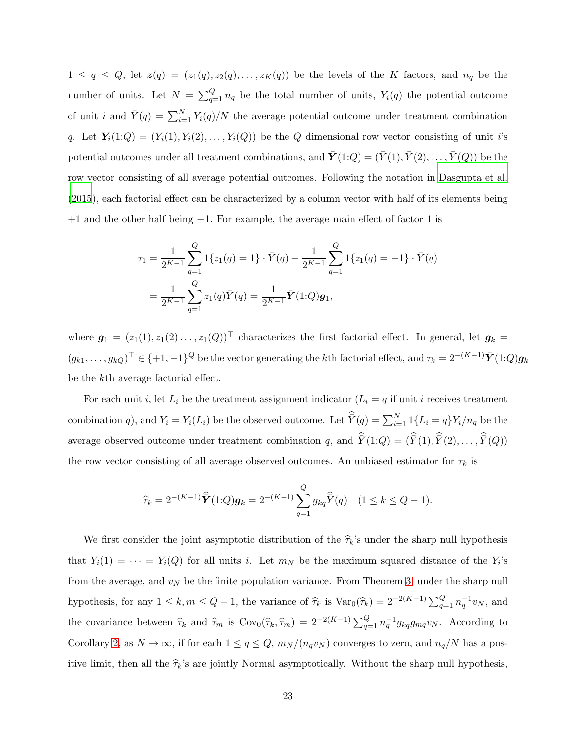$1 \leq q \leq Q$ , let  $z(q) = (z_1(q), z_2(q), \ldots, z_k(q))$  be the levels of the K factors, and  $n_q$  be the number of units. Let  $N = \sum_{q=1}^{Q} n_q$  be the total number of units,  $Y_i(q)$  the potential outcome of unit *i* and  $\bar{Y}(q) = \sum_{i=1}^{N} Y_i(q)/N$  the average potential outcome under treatment combination q. Let  $Y_i(1:Q) = (Y_i(1), Y_i(2), \ldots, Y_i(Q))$  be the Q dimensional row vector consisting of unit i's potential outcomes under all treatment combinations, and  $\bar{Y}(1:Q) = (\bar{Y}(1), \bar{Y}(2), \ldots, \bar{Y}(Q))$  be the row vector consisting of all average potential outcomes. Following the notation in [Dasgupta et al.](#page-24-5) [\(2015](#page-24-5)), each factorial effect can be characterized by a column vector with half of its elements being +1 and the other half being −1. For example, the average main effect of factor 1 is

$$
\tau_1 = \frac{1}{2^{K-1}} \sum_{q=1}^{Q} 1\{z_1(q) = 1\} \cdot \bar{Y}(q) - \frac{1}{2^{K-1}} \sum_{q=1}^{Q} 1\{z_1(q) = -1\} \cdot \bar{Y}(q)
$$

$$
= \frac{1}{2^{K-1}} \sum_{q=1}^{Q} z_1(q) \bar{Y}(q) = \frac{1}{2^{K-1}} \bar{Y}(1:Q) \mathbf{g}_1,
$$

where  $g_1 = (z_1(1), z_1(2), \ldots, z_1(Q))^T$  characterizes the first factorial effect. In general, let  $g_k =$  $(g_{k1},...,g_{kQ})^{\top} \in \{+1,-1\}^Q$  be the vector generating the kth factorial effect, and  $\tau_k = 2^{-(K-1)}\bar{Y}(1:Q)g_k$ be the kth average factorial effect.

For each unit i, let  $L_i$  be the treatment assignment indicator  $(L_i = q$  if unit i receives treatment combination q), and  $Y_i = Y_i(L_i)$  be the observed outcome. Let  $\overline{Y}(q) = \sum_{i=1}^{N} 1\{L_i = q\} Y_i/n_q$  be the average observed outcome under treatment combination q, and  $\hat{Y}(1:Q) = (\hat{Y}(1), \hat{Y}(2), \dots, \hat{Y}(Q))$ the row vector consisting of all average observed outcomes. An unbiased estimator for  $\tau_k$  is

$$
\widehat{\tau}_k = 2^{-(K-1)} \widehat{Y}(1:Q) \mathbf{g}_k = 2^{-(K-1)} \sum_{q=1}^Q g_{kq} \widehat{Y}(q) \quad (1 \le k \le Q-1).
$$

We first consider the joint asymptotic distribution of the  $\hat{\tau}_k$ 's under the sharp null hypothesis that  $Y_i(1) = \cdots = Y_i(Q)$  for all units i. Let  $m_N$  be the maximum squared distance of the  $Y_i$ 's from the average, and  $v_N$  be the finite population variance. From Theorem [3,](#page-12-0) under the sharp null hypothesis, for any  $1 \leq k, m \leq Q-1$ , the variance of  $\hat{\tau}_k$  is  $\text{Var}_0(\hat{\tau}_k) = 2^{-2(K-1)} \sum_{q=1}^Q n_q^{-1} v_N$ , and the covariance between  $\hat{\tau}_k$  and  $\hat{\tau}_m$  is  $Cov_0(\hat{\tau}_k, \hat{\tau}_m) = 2^{-2(K-1)} \sum_{q=1}^Q n_q^{-1} g_{kq} g_{mq} v_N$ . According to Corollary [2,](#page-14-0) as  $N \to \infty$ , if for each  $1 \le q \le Q$ ,  $m_N/(n_q v_N)$  converges to zero, and  $n_q/N$  has a positive limit, then all the  $\hat{\tau}_k$ 's are jointly Normal asymptotically. Without the sharp null hypothesis,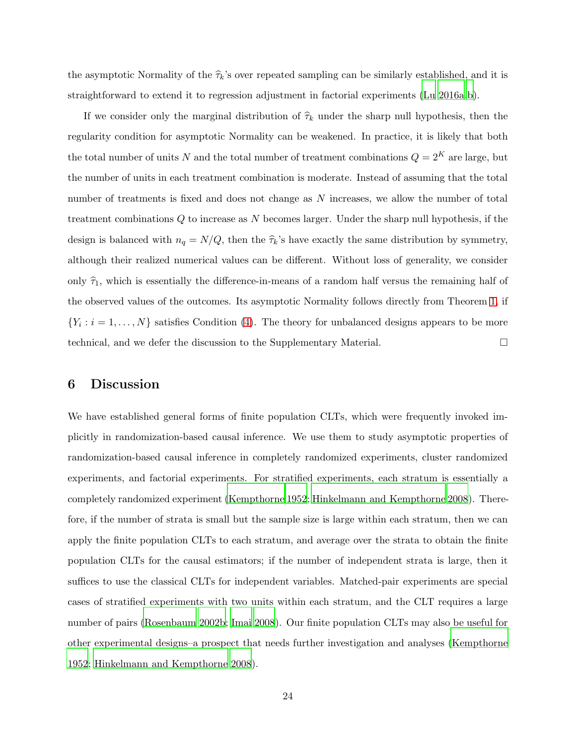the asymptotic Normality of the  $\hat{\tau}_k$ 's over repeated sampling can be similarly established, and it is straightforward to extend it to regression adjustment in factorial experiments [\(Lu 2016a](#page-26-11)[,b\)](#page-26-12).

If we consider only the marginal distribution of  $\hat{\tau}_k$  under the sharp null hypothesis, then the regularity condition for asymptotic Normality can be weakened. In practice, it is likely that both the total number of units N and the total number of treatment combinations  $Q = 2^K$  are large, but the number of units in each treatment combination is moderate. Instead of assuming that the total number of treatments is fixed and does not change as N increases, we allow the number of total treatment combinations Q to increase as N becomes larger. Under the sharp null hypothesis, if the design is balanced with  $n_q = N/Q$ , then the  $\hat{\tau}_k$ 's have exactly the same distribution by symmetry, although their realized numerical values can be different. Without loss of generality, we consider only  $\hat{\tau}_1$ , which is essentially the difference-in-means of a random half versus the remaining half of the observed values of the outcomes. Its asymptotic Normality follows directly from Theorem [1,](#page-47-0) if  $\{Y_i : i = 1, \ldots, N\}$  satisfies Condition [\(4\)](#page-4-1). The theory for unbalanced designs appears to be more technical, and we defer the discussion to the Supplementary Material.

# 6 Discussion

We have established general forms of finite population CLTs, which were frequently invoked implicitly in randomization-based causal inference. We use them to study asymptotic properties of randomization-based causal inference in completely randomized experiments, cluster randomized experiments, and factorial experiments. For stratified experiments, each stratum is essentially a completely randomized experiment [\(Kempthorne 1952](#page-26-1); [Hinkelmann and Kempthorne 2008\)](#page-25-1). Therefore, if the number of strata is small but the sample size is large within each stratum, then we can apply the finite population CLTs to each stratum, and average over the strata to obtain the finite population CLTs for the causal estimators; if the number of independent strata is large, then it suffices to use the classical CLTs for independent variables. Matched-pair experiments are special cases of stratified experiments with two units within each stratum, and the CLT requires a large number of pairs [\(Rosenbaum 2002b;](#page-27-2) [Imai 2008](#page-25-12)). Our finite population CLTs may also be useful for other experimental designs–a prospect that needs further investigation and analyses [\(Kempthorne](#page-26-1) [1952;](#page-26-1) [Hinkelmann and Kempthorne 2008](#page-25-1)).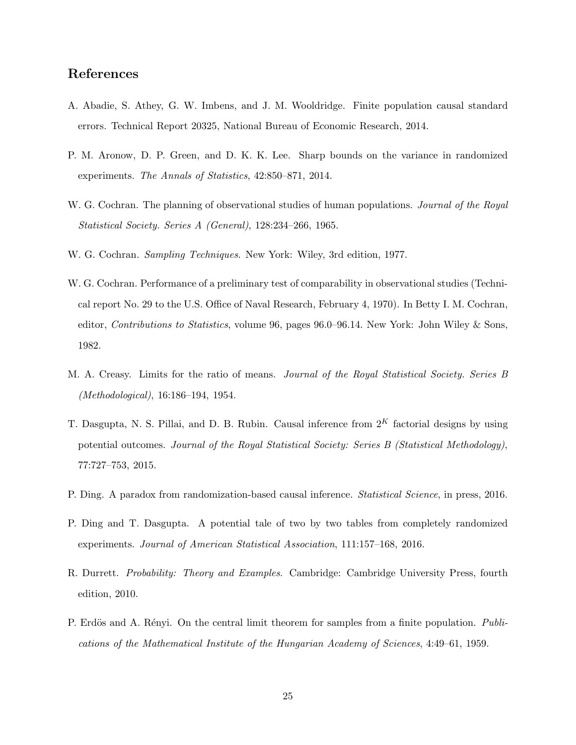# References

- <span id="page-24-1"></span>A. Abadie, S. Athey, G. W. Imbens, and J. M. Wooldridge. Finite population causal standard errors. Technical Report 20325, National Bureau of Economic Research, 2014.
- <span id="page-24-6"></span>P. M. Aronow, D. P. Green, and D. K. K. Lee. Sharp bounds on the variance in randomized experiments. *The Annals of Statistics*, 42:850–871, 2014.
- <span id="page-24-9"></span>W. G. Cochran. The planning of observational studies of human populations. *Journal of the Royal Statistical Society. Series A (General)*, 128:234–266, 1965.
- <span id="page-24-0"></span>W. G. Cochran. *Sampling Techniques*. New York: Wiley, 3rd edition, 1977.
- <span id="page-24-10"></span>W. G. Cochran. Performance of a preliminary test of comparability in observational studies (Technical report No. 29 to the U.S. Office of Naval Research, February 4, 1970). In Betty I. M. Cochran, editor, *Contributions to Statistics*, volume 96, pages 96.0–96.14. New York: John Wiley & Sons, 1982.
- <span id="page-24-8"></span>M. A. Creasy. Limits for the ratio of means. *Journal of the Royal Statistical Society. Series B (Methodological)*, 16:186–194, 1954.
- <span id="page-24-5"></span>T. Dasgupta, N. S. Pillai, and D. B. Rubin. Causal inference from  $2^K$  factorial designs by using potential outcomes. *Journal of the Royal Statistical Society: Series B (Statistical Methodology)*, 77:727–753, 2015.
- <span id="page-24-3"></span>P. Ding. A paradox from randomization-based causal inference. *Statistical Science*, in press, 2016.
- <span id="page-24-4"></span>P. Ding and T. Dasgupta. A potential tale of two by two tables from completely randomized experiments. *Journal of American Statistical Association*, 111:157–168, 2016.
- <span id="page-24-7"></span>R. Durrett. *Probability: Theory and Examples*. Cambridge: Cambridge University Press, fourth edition, 2010.
- <span id="page-24-2"></span>P. Erdös and A. Rényi. On the central limit theorem for samples from a finite population. *Publications of the Mathematical Institute of the Hungarian Academy of Sciences*, 4:49–61, 1959.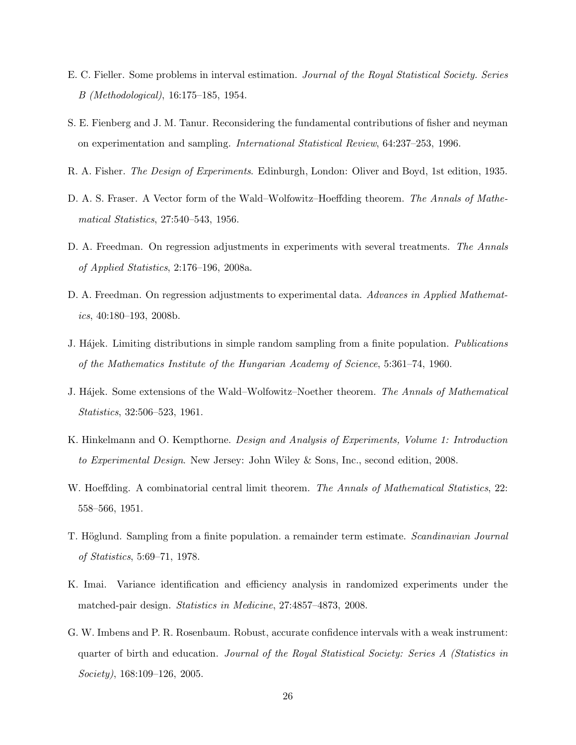- <span id="page-25-11"></span>E. C. Fieller. Some problems in interval estimation. *Journal of the Royal Statistical Society. Series B (Methodological)*, 16:175–185, 1954.
- <span id="page-25-9"></span>S. E. Fienberg and J. M. Tanur. Reconsidering the fundamental contributions of fisher and neyman on experimentation and sampling. *International Statistical Review*, 64:237–253, 1996.
- <span id="page-25-0"></span>R. A. Fisher. *The Design of Experiments*. Edinburgh, London: Oliver and Boyd, 1st edition, 1935.
- <span id="page-25-3"></span>D. A. S. Fraser. A Vector form of the Wald–Wolfowitz–Hoeffding theorem. *The Annals of Mathematical Statistics*, 27:540–543, 1956.
- <span id="page-25-5"></span>D. A. Freedman. On regression adjustments in experiments with several treatments. *The Annals of Applied Statistics*, 2:176–196, 2008a.
- <span id="page-25-6"></span>D. A. Freedman. On regression adjustments to experimental data. *Advances in Applied Mathematics*, 40:180–193, 2008b.
- <span id="page-25-2"></span>J. H´ajek. Limiting distributions in simple random sampling from a finite population. *Publications of the Mathematics Institute of the Hungarian Academy of Science*, 5:361–74, 1960.
- <span id="page-25-4"></span>J. H´ajek. Some extensions of the Wald–Wolfowitz–Noether theorem. *The Annals of Mathematical Statistics*, 32:506–523, 1961.
- <span id="page-25-1"></span>K. Hinkelmann and O. Kempthorne. *Design and Analysis of Experiments, Volume 1: Introduction to Experimental Design*. New Jersey: John Wiley & Sons, Inc., second edition, 2008.
- <span id="page-25-7"></span>W. Hoeffding. A combinatorial central limit theorem. *The Annals of Mathematical Statistics*, 22: 558–566, 1951.
- <span id="page-25-8"></span>T. H¨oglund. Sampling from a finite population. a remainder term estimate. *Scandinavian Journal of Statistics*, 5:69–71, 1978.
- <span id="page-25-12"></span>K. Imai. Variance identification and efficiency analysis in randomized experiments under the matched-pair design. *Statistics in Medicine*, 27:4857–4873, 2008.
- <span id="page-25-10"></span>G. W. Imbens and P. R. Rosenbaum. Robust, accurate confidence intervals with a weak instrument: quarter of birth and education. *Journal of the Royal Statistical Society: Series A (Statistics in Society)*, 168:109–126, 2005.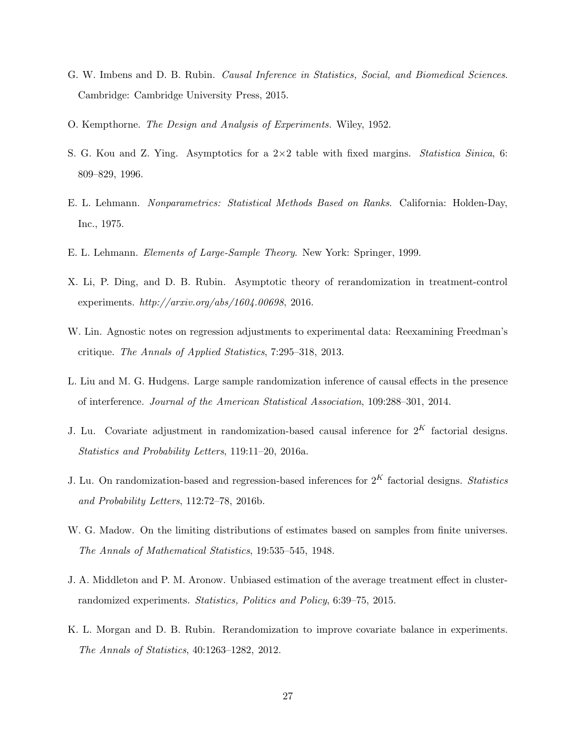- <span id="page-26-2"></span>G. W. Imbens and D. B. Rubin. *Causal Inference in Statistics, Social, and Biomedical Sciences*. Cambridge: Cambridge University Press, 2015.
- <span id="page-26-1"></span>O. Kempthorne. *The Design and Analysis of Experiments.* Wiley, 1952.
- <span id="page-26-10"></span>S. G. Kou and Z. Ying. Asymptotics for a 2×2 table with fixed margins. *Statistica Sinica*, 6: 809–829, 1996.
- <span id="page-26-4"></span>E. L. Lehmann. *Nonparametrics: Statistical Methods Based on Ranks*. California: Holden-Day, Inc., 1975.
- <span id="page-26-0"></span>E. L. Lehmann. *Elements of Large-Sample Theory*. New York: Springer, 1999.
- <span id="page-26-8"></span>X. Li, P. Ding, and D. B. Rubin. Asymptotic theory of rerandomization in treatment-control experiments. *http://arxiv.org/abs/1604.00698*, 2016.
- <span id="page-26-9"></span>W. Lin. Agnostic notes on regression adjustments to experimental data: Reexamining Freedman's critique. *The Annals of Applied Statistics*, 7:295–318, 2013.
- <span id="page-26-5"></span>L. Liu and M. G. Hudgens. Large sample randomization inference of causal effects in the presence of interference. *Journal of the American Statistical Association*, 109:288–301, 2014.
- <span id="page-26-11"></span>J. Lu. Covariate adjustment in randomization-based causal inference for  $2<sup>K</sup>$  factorial designs. *Statistics and Probability Letters*, 119:11–20, 2016a.
- <span id="page-26-12"></span>J. Lu. On randomization-based and regression-based inferences for 2<sup>K</sup> factorial designs. *Statistics and Probability Letters*, 112:72–78, 2016b.
- <span id="page-26-3"></span>W. G. Madow. On the limiting distributions of estimates based on samples from finite universes. *The Annals of Mathematical Statistics*, 19:535–545, 1948.
- <span id="page-26-7"></span>J. A. Middleton and P. M. Aronow. Unbiased estimation of the average treatment effect in clusterrandomized experiments. *Statistics, Politics and Policy*, 6:39–75, 2015.
- <span id="page-26-6"></span>K. L. Morgan and D. B. Rubin. Rerandomization to improve covariate balance in experiments. *The Annals of Statistics*, 40:1263–1282, 2012.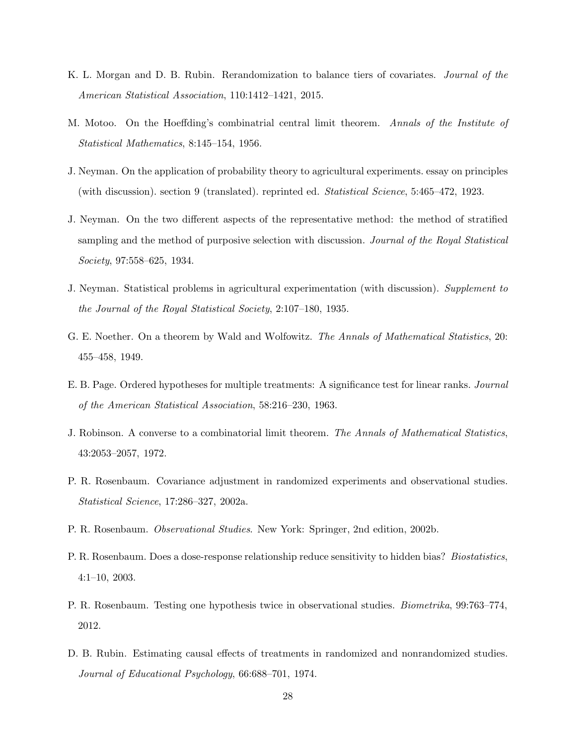- <span id="page-27-6"></span>K. L. Morgan and D. B. Rubin. Rerandomization to balance tiers of covariates. *Journal of the American Statistical Association*, 110:1412–1421, 2015.
- <span id="page-27-7"></span>M. Motoo. On the Hoeffding's combinatrial central limit theorem. *Annals of the Institute of Statistical Mathematics*, 8:145–154, 1956.
- <span id="page-27-0"></span>J. Neyman. On the application of probability theory to agricultural experiments. essay on principles (with discussion). section 9 (translated). reprinted ed. *Statistical Science*, 5:465–472, 1923.
- <span id="page-27-3"></span>J. Neyman. On the two different aspects of the representative method: the method of stratified sampling and the method of purposive selection with discussion. *Journal of the Royal Statistical Society*, 97:558–625, 1934.
- <span id="page-27-4"></span>J. Neyman. Statistical problems in agricultural experimentation (with discussion). *Supplement to the Journal of the Royal Statistical Society*, 2:107–180, 1935.
- <span id="page-27-5"></span>G. E. Noether. On a theorem by Wald and Wolfowitz. *The Annals of Mathematical Statistics*, 20: 455–458, 1949.
- <span id="page-27-9"></span>E. B. Page. Ordered hypotheses for multiple treatments: A significance test for linear ranks. *Journal of the American Statistical Association*, 58:216–230, 1963.
- <span id="page-27-8"></span>J. Robinson. A converse to a combinatorial limit theorem. *The Annals of Mathematical Statistics*, 43:2053–2057, 1972.
- <span id="page-27-12"></span>P. R. Rosenbaum. Covariance adjustment in randomized experiments and observational studies. *Statistical Science*, 17:286–327, 2002a.
- <span id="page-27-2"></span>P. R. Rosenbaum. *Observational Studies*. New York: Springer, 2nd edition, 2002b.
- <span id="page-27-10"></span>P. R. Rosenbaum. Does a dose-response relationship reduce sensitivity to hidden bias? *Biostatistics*, 4:1–10, 2003.
- <span id="page-27-11"></span>P. R. Rosenbaum. Testing one hypothesis twice in observational studies. *Biometrika*, 99:763–774, 2012.
- <span id="page-27-1"></span>D. B. Rubin. Estimating causal effects of treatments in randomized and nonrandomized studies. *Journal of Educational Psychology*, 66:688–701, 1974.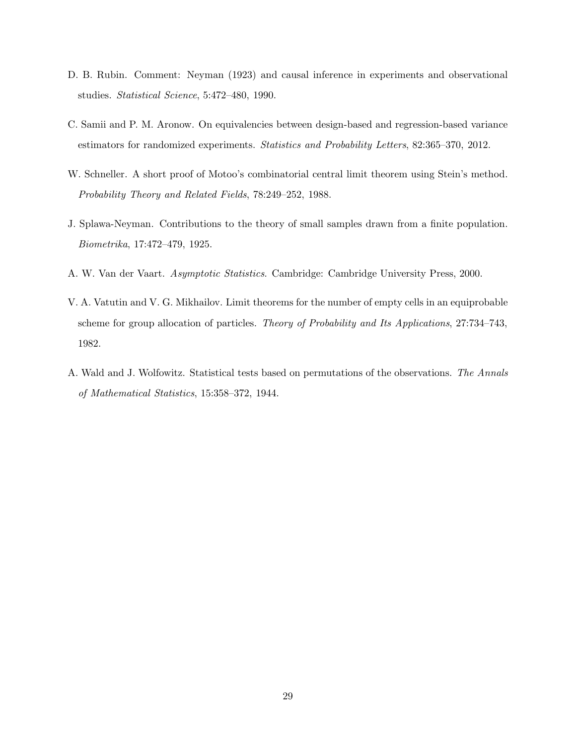- <span id="page-28-3"></span>D. B. Rubin. Comment: Neyman (1923) and causal inference in experiments and observational studies. *Statistical Science*, 5:472–480, 1990.
- <span id="page-28-6"></span>C. Samii and P. M. Aronow. On equivalencies between design-based and regression-based variance estimators for randomized experiments. *Statistics and Probability Letters*, 82:365–370, 2012.
- <span id="page-28-4"></span>W. Schneller. A short proof of Motoo's combinatorial central limit theorem using Stein's method. *Probability Theory and Related Fields*, 78:249–252, 1988.
- <span id="page-28-1"></span>J. Splawa-Neyman. Contributions to the theory of small samples drawn from a finite population. *Biometrika*, 17:472–479, 1925.
- <span id="page-28-0"></span>A. W. Van der Vaart. *Asymptotic Statistics*. Cambridge: Cambridge University Press, 2000.
- <span id="page-28-5"></span>V. A. Vatutin and V. G. Mikhailov. Limit theorems for the number of empty cells in an equiprobable scheme for group allocation of particles. *Theory of Probability and Its Applications*, 27:734–743, 1982.
- <span id="page-28-2"></span>A. Wald and J. Wolfowitz. Statistical tests based on permutations of the observations. *The Annals of Mathematical Statistics*, 15:358–372, 1944.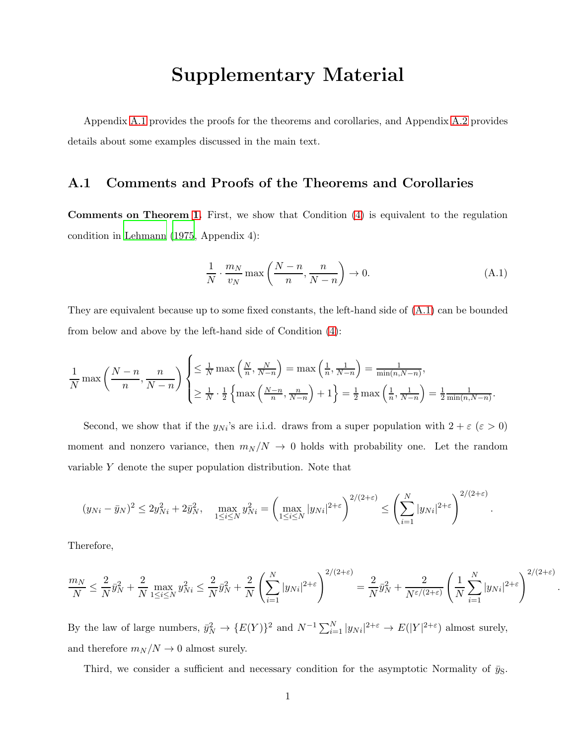# Supplementary Material

<span id="page-29-0"></span>Appendix [A.1](#page-29-0) provides the proofs for the theorems and corollaries, and Appendix [A.2](#page-41-0) provides details about some examples discussed in the main text.

# A.1 Comments and Proofs of the Theorems and Corollaries

Comments on Theorem [1.](#page-47-0) First, we show that Condition [\(4\)](#page-4-1) is equivalent to the regulation condition in [Lehmann \(1975](#page-26-4), Appendix 4):

<span id="page-29-1"></span>
$$
\frac{1}{N} \cdot \frac{m_N}{v_N} \max\left(\frac{N-n}{n}, \frac{n}{N-n}\right) \to 0. \tag{A.1}
$$

They are equivalent because up to some fixed constants, the left-hand side of [\(A.1\)](#page-29-1) can be bounded from below and above by the left-hand side of Condition [\(4\)](#page-4-1):

$$
\frac{1}{N} \max\left(\frac{N-n}{n}, \frac{n}{N-n}\right) \begin{cases} \leq \frac{1}{N} \max\left(\frac{N}{n}, \frac{N}{N-n}\right) = \max\left(\frac{1}{n}, \frac{1}{N-n}\right) = \frac{1}{\min(n, N-n)},\\ \geq \frac{1}{N} \cdot \frac{1}{2} \left\{\max\left(\frac{N-n}{n}, \frac{n}{N-n}\right) + 1\right\} = \frac{1}{2} \max\left(\frac{1}{n}, \frac{1}{N-n}\right) = \frac{1}{2} \frac{1}{\min(n, N-n)}. \end{cases}
$$

Second, we show that if the  $y_{Ni}$ 's are i.i.d. draws from a super population with  $2 + \varepsilon (\varepsilon > 0)$ moment and nonzero variance, then  $m_N/N \to 0$  holds with probability one. Let the random variable Y denote the super population distribution. Note that

$$
(y_{Ni} - \bar{y}_N)^2 \le 2y_{Ni}^2 + 2\bar{y}_{N}^2, \quad \max_{1 \le i \le N} y_{Ni}^2 = \left(\max_{1 \le i \le N} |y_{Ni}|^{2+\varepsilon}\right)^{2/(2+\varepsilon)} \le \left(\sum_{i=1}^{N} |y_{Ni}|^{2+\varepsilon}\right)^{2/(2+\varepsilon)}.
$$

Therefore,

$$
\frac{m_N}{N} \le \frac{2}{N} \bar{y}_N^2 + \frac{2}{N} \max_{1 \le i \le N} y_{Ni}^2 \le \frac{2}{N} \bar{y}_N^2 + \frac{2}{N} \left( \sum_{i=1}^N |y_{Ni}|^{2+\varepsilon} \right)^{2/(2+\varepsilon)} = \frac{2}{N} \bar{y}_N^2 + \frac{2}{N^{\varepsilon/(2+\varepsilon)}} \left( \frac{1}{N} \sum_{i=1}^N |y_{Ni}|^{2+\varepsilon} \right)^{2/(2+\varepsilon)}
$$

.

By the law of large numbers,  $\bar{y}_N^2 \to \{E(Y)\}^2$  and  $N^{-1} \sum_{i=1}^N |y_{Ni}|^{2+\epsilon} \to E(|Y|^{2+\epsilon})$  almost surely, and therefore  $m_N/N \to 0$  almost surely.

Third, we consider a sufficient and necessary condition for the asymptotic Normality of  $\bar{y}_S$ .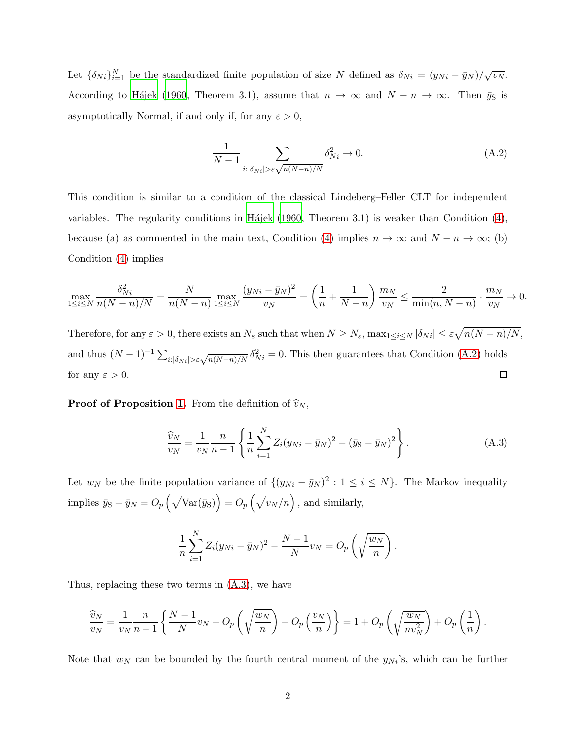Let  $\{\delta_{Ni}\}_{i=1}^N$  be the standardized finite population of size N defined as  $\delta_{Ni} = (y_{Ni} - \bar{y}_{N})/\sqrt{v_{N}}$ . According to Hajek (1960, Theorem 3.1), assume that  $n \to \infty$  and  $N - n \to \infty$ . Then  $\bar{y}_S$  is asymptotically Normal, if and only if, for any  $\varepsilon > 0$ ,

<span id="page-30-0"></span>
$$
\frac{1}{N-1} \sum_{i:|\delta_{Ni}| > \varepsilon \sqrt{n(N-n)/N}} \delta_{Ni}^2 \to 0.
$$
 (A.2)

This condition is similar to a condition of the classical Lindeberg–Feller CLT for independent variables. The regularity conditions in Hájek (1960, Theorem 3.1) is weaker than Condition  $(4)$ , because (a) as commented in the main text, Condition [\(4\)](#page-4-1) implies  $n \to \infty$  and  $N - n \to \infty$ ; (b) Condition [\(4\)](#page-4-1) implies

$$
\max_{1 \le i \le N} \frac{\delta_{Ni}^2}{n(N-n)/N} = \frac{N}{n(N-n)} \max_{1 \le i \le N} \frac{(y_{Ni} - \bar{y}_N)^2}{v_N} = \left(\frac{1}{n} + \frac{1}{N-n}\right) \frac{m_N}{v_N} \le \frac{2}{\min(n, N-n)} \cdot \frac{m_N}{v_N} \to 0.
$$

Therefore, for any  $\varepsilon > 0$ , there exists an  $N_{\varepsilon}$  such that when  $N \ge N_{\varepsilon}$ ,  $\max_{1 \le i \le N} |\delta_{Ni}| \le \varepsilon \sqrt{n(N-n)/N}$ , and thus  $(N-1)^{-1} \sum_{i:|\delta_{Ni}| > \varepsilon} \sqrt{n(N-n)/N} \delta_{Ni}^2 = 0$ . This then guarantees that Condition [\(A.2\)](#page-30-0) holds  $\Box$ for any  $\varepsilon > 0$ .

**Proof of Proposition [1.](#page-5-0)** From the definition of  $\hat{v}_N$ ,

<span id="page-30-1"></span>
$$
\frac{\widehat{v}_N}{v_N} = \frac{1}{v_N} \frac{n}{n-1} \left\{ \frac{1}{n} \sum_{i=1}^N Z_i (y_{Ni} - \bar{y}_N)^2 - (\bar{y}_S - \bar{y}_N)^2 \right\}.
$$
 (A.3)

Let  $w_N$  be the finite population variance of  $\{(y_{Ni} - \bar{y}_N)^2 : 1 \le i \le N\}$ . The Markov inequality implies  $\bar{y}_{\rm S} - \bar{y}_N = O_p\left(\sqrt{\text{Var}(\bar{y}_{\rm S})}\right) = O_p\left(\sqrt{\frac{v_N}{n}}\right)$ , and similarly,

$$
\frac{1}{n}\sum_{i=1}^{N}Z_{i}(y_{Ni}-\bar{y}_{N})^{2}-\frac{N-1}{N}v_{N}=O_{p}\left(\sqrt{\frac{w_{N}}{n}}\right).
$$

Thus, replacing these two terms in [\(A.3\)](#page-30-1), we have

$$
\frac{\widehat{v}_N}{v_N} = \frac{1}{v_N} \frac{n}{n-1} \left\{ \frac{N-1}{N} v_N + O_p\left(\sqrt{\frac{w_N}{n}}\right) - O_p\left(\frac{v_N}{n}\right) \right\} = 1 + O_p\left(\sqrt{\frac{w_N}{nv_N^2}}\right) + O_p\left(\frac{1}{n}\right).
$$

Note that  $w_N$  can be bounded by the fourth central moment of the  $y_{Ni}$ 's, which can be further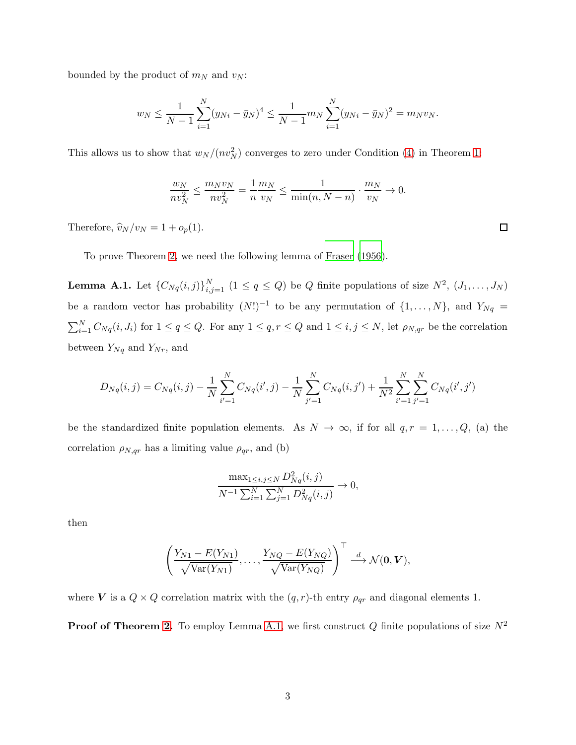bounded by the product of  $m_N$  and  $v_N$ :

$$
w_N \leq \frac{1}{N-1} \sum_{i=1}^N (y_{Ni} - \bar{y}_N)^4 \leq \frac{1}{N-1} m_N \sum_{i=1}^N (y_{Ni} - \bar{y}_N)^2 = m_N v_N.
$$

This allows us to show that  $w_N/(nv_N^2)$  converges to zero under Condition [\(4\)](#page-4-1) in Theorem [1:](#page-47-0)

$$
\frac{w_N}{nv_N^2} \le \frac{m_N v_N}{nv_N^2} = \frac{1}{n} \frac{m_N}{v_N} \le \frac{1}{\min(n, N - n)} \cdot \frac{m_N}{v_N} \to 0.
$$

Therefore,  $\hat{v}_N/v_N = 1 + o_p(1)$ .

<span id="page-31-0"></span>To prove Theorem [2,](#page-9-1) we need the following lemma of [Fraser \(1956](#page-25-3)).

**Lemma A.1.** Let  $\{C_{Nq}(i,j)\}_{i,j=1}^N$   $(1 \leq q \leq Q)$  be Q finite populations of size  $N^2$ ,  $(J_1, \ldots, J_N)$ be a random vector has probability  $(N!)^{-1}$  to be any permutation of  $\{1, \ldots, N\}$ , and  $Y_{Nq}$  $\sum_{i=1}^{N} C_{Nq}(i, J_i)$  for  $1 \le q \le Q$ . For any  $1 \le q, r \le Q$  and  $1 \le i, j \le N$ , let  $\rho_{N,qr}$  be the correlation between  $Y_{Nq}$  and  $Y_{Nr}$ , and

$$
D_{Nq}(i,j) = C_{Nq}(i,j) - \frac{1}{N} \sum_{i'=1}^{N} C_{Nq}(i',j) - \frac{1}{N} \sum_{j'=1}^{N} C_{Nq}(i,j') + \frac{1}{N^2} \sum_{i'=1}^{N} \sum_{j'=1}^{N} C_{Nq}(i',j')
$$

be the standardized finite population elements. As  $N \to \infty$ , if for all  $q, r = 1, ..., Q$ , (a) the correlation  $\rho_{N,qr}$  has a limiting value  $\rho_{qr}$ , and (b)

$$
\frac{\max_{1 \le i,j \le N} D_{Nq}^2(i,j)}{N^{-1} \sum_{i=1}^N \sum_{j=1}^N D_{Nq}^2(i,j)} \to 0,
$$

then

$$
\left(\frac{Y_{N1} - E(Y_{N1})}{\sqrt{\text{Var}(Y_{N1})}}, \ldots, \frac{Y_{NQ} - E(Y_{NQ})}{\sqrt{\text{Var}(Y_{NQ})}}\right)^{\top} \stackrel{d}{\longrightarrow} \mathcal{N}(\mathbf{0}, \mathbf{V}),
$$

where V is a  $Q \times Q$  correlation matrix with the  $(q, r)$ -th entry  $\rho_{qr}$  and diagonal elements 1.

**Proof of Theorem [2.](#page-9-1)** To employ Lemma [A.1,](#page-31-0) we first construct Q finite populations of size  $N^2$ 

 $\Box$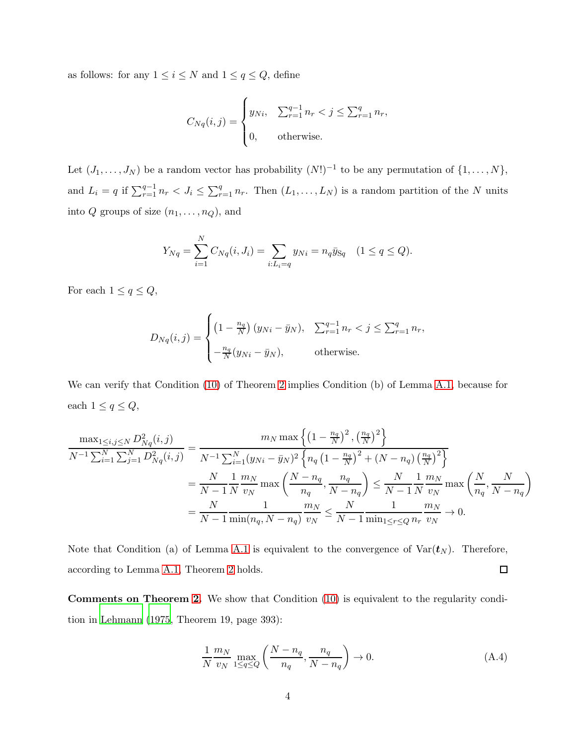as follows: for any  $1\leq i\leq N$  and  $1\leq q\leq Q,$  define

$$
C_{Nq}(i,j) = \begin{cases} y_{Ni}, & \sum_{r=1}^{q-1} n_r < j \le \sum_{r=1}^{q} n_r, \\ 0, & \text{otherwise.} \end{cases}
$$

Let  $(J_1, \ldots, J_N)$  be a random vector has probability  $(N!)^{-1}$  to be any permutation of  $\{1, \ldots, N\}$ , and  $L_i = q$  if  $\sum_{r=1}^{q-1} n_r < J_i \leq \sum_{r=1}^{q} n_r$ . Then  $(L_1, \ldots, L_N)$  is a random partition of the N units into  $Q$  groups of size  $(n_1, \ldots, n_Q)$ , and

$$
Y_{Nq} = \sum_{i=1}^{N} C_{Nq}(i, J_i) = \sum_{i:L_i = q} y_{Ni} = n_q \bar{y}_{Sq} \quad (1 \le q \le Q).
$$

For each  $1 \le q \le Q$ ,

$$
D_{Nq}(i,j) = \begin{cases} \left(1 - \frac{n_q}{N}\right)(y_{Ni} - \bar{y}_N), & \sum_{r=1}^{q-1} n_r < j \le \sum_{r=1}^q n_r, \\ -\frac{n_q}{N}(y_{Ni} - \bar{y}_N), & \text{otherwise.} \end{cases}
$$

We can verify that Condition [\(10\)](#page-9-2) of Theorem [2](#page-9-1) implies Condition (b) of Lemma [A.1,](#page-31-0) because for each  $1 \leq q \leq Q$ ,

$$
\frac{\max_{1 \le i,j \le N} D_{Nq}^{2}(i,j)}{N^{-1} \sum_{i=1}^{N} \sum_{j=1}^{N} D_{Nq}^{2}(i,j)} = \frac{m_{N} \max\left\{ \left(1 - \frac{n_{q}}{N}\right)^{2}, \left(\frac{n_{q}}{N}\right)^{2} \right\}}{N^{-1} \sum_{i=1}^{N} (y_{Ni} - \bar{y}_{N})^{2} \left\{ n_{q} \left(1 - \frac{n_{q}}{N}\right)^{2} + (N - n_{q}) \left(\frac{n_{q}}{N}\right)^{2} \right\}} = \frac{N}{N-1} \frac{1}{N} \frac{m_{N}}{v_{N}} \max\left(\frac{N-n_{q}}{n_{q}}, \frac{n_{q}}{N-n_{q}}\right) \le \frac{N}{N-1} \frac{1}{N} \frac{m_{N}}{v_{N}} \max\left(\frac{N}{n_{q}}, \frac{N}{N-n_{q}}\right) = \frac{N}{N-1} \frac{1}{\min(n_{q}, N-n_{q})} \frac{m_{N}}{v_{N}} \le \frac{N}{N-1} \frac{1}{\min_{1 \le r \le Q} n_{r}} \frac{m_{N}}{v_{N}} \to 0.
$$

Note that Condition (a) of Lemma [A.1](#page-31-0) is equivalent to the convergence of  $Var(t_N)$ . Therefore, according to Lemma [A.1,](#page-31-0) Theorem [2](#page-9-1) holds.  $\Box$ 

Comments on Theorem [2.](#page-9-1) We show that Condition [\(10\)](#page-9-2) is equivalent to the regularity condition in [Lehmann \(1975](#page-26-4), Theorem 19, page 393):

<span id="page-32-0"></span>
$$
\frac{1}{N} \frac{m_N}{v_N} \max_{1 \le q \le Q} \left( \frac{N - n_q}{n_q}, \frac{n_q}{N - n_q} \right) \to 0. \tag{A.4}
$$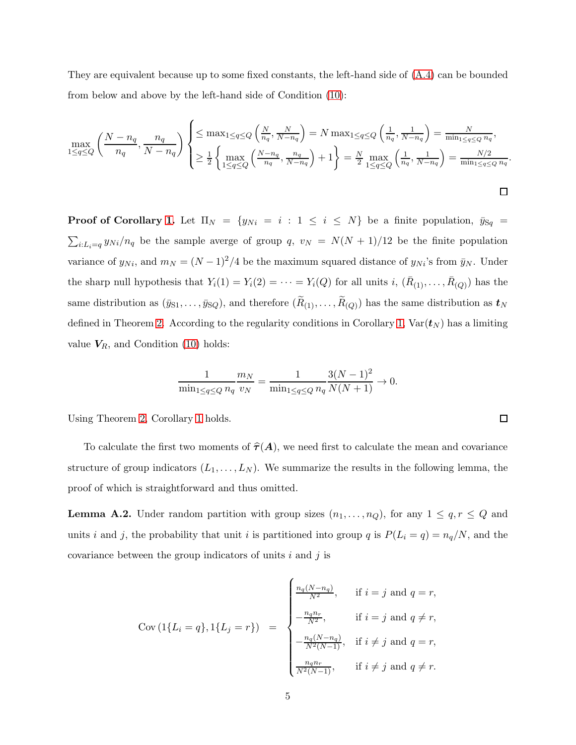They are equivalent because up to some fixed constants, the left-hand side of [\(A.4\)](#page-32-0) can be bounded from below and above by the left-hand side of Condition [\(10\)](#page-9-2):

$$
\max_{1 \le q \le Q} \left( \frac{N - n_q}{n_q}, \frac{n_q}{N - n_q} \right) \begin{cases} \le \max_{1 \le q \le Q} \left( \frac{N}{n_q}, \frac{N}{N - n_q} \right) = N \max_{1 \le q \le Q} \left( \frac{1}{n_q}, \frac{1}{N - n_q} \right) = \frac{N}{\min_{1 \le q \le Q} n_q}, \\ \ge \frac{1}{2} \left\{ \max_{1 \le q \le Q} \left( \frac{N - n_q}{n_q}, \frac{n_q}{N - n_q} \right) + 1 \right\} = \frac{N}{2} \max_{1 \le q \le Q} \left( \frac{1}{n_q}, \frac{1}{N - n_q} \right) = \frac{N/2}{\min_{1 \le q \le Q} n_q}. \end{cases}
$$

**Proof of Corollary [1.](#page-10-0)** Let  $\Pi_N = \{y_{Ni} = i : 1 \le i \le N\}$  be a finite population,  $\bar{y}_{Sq}$  =  $\sum_{i:L_i=q} y_{Ni}/n_q$  be the sample averge of group  $q, v_N = N(N+1)/12$  be the finite population variance of  $y_{Ni}$ , and  $m_N = (N-1)^2/4$  be the maximum squared distance of  $y_{Ni}$ 's from  $\bar{y}_N$ . Under the sharp null hypothesis that  $Y_i(1) = Y_i(2) = \cdots = Y_i(Q)$  for all units  $i, (\bar{R}_{(1)}, \ldots, \bar{R}_{(Q)})$  has the same distribution as  $(\bar{y}_{S1}, \ldots, \bar{y}_{SQ})$ , and therefore  $(R_{(1)}, \ldots, R_{(Q)})$  has the same distribution as  $t_N$ defined in Theorem [2.](#page-9-1) According to the regularity conditions in Corollary [1,](#page-10-0)  $Var(t_N)$  has a limiting value  $V_R$ , and Condition [\(10\)](#page-9-2) holds:

$$
\frac{1}{\min_{1 \le q \le Q} n_q} \frac{m_N}{v_N} = \frac{1}{\min_{1 \le q \le Q} n_q} \frac{3(N-1)^2}{N(N+1)} \to 0.
$$

Using Theorem [2,](#page-9-1) Corollary [1](#page-10-0) holds.

To calculate the first two moments of  $\hat{\tau}(A)$ , we need first to calculate the mean and covariance structure of group indicators  $(L_1, \ldots, L_N)$ . We summarize the results in the following lemma, the proof of which is straightforward and thus omitted.

<span id="page-33-0"></span>**Lemma A.2.** Under random partition with group sizes  $(n_1, \ldots, n_Q)$ , for any  $1 \leq q, r \leq Q$  and units i and j, the probability that unit i is partitioned into group q is  $P(L_i = q) = n_q/N$ , and the covariance between the group indicators of units  $i$  and  $j$  is

$$
\text{Cov}\left(1\{L_i = q\}, 1\{L_j = r\}\right) = \begin{cases} \frac{n_q(N-n_q)}{N^2}, & \text{if } i = j \text{ and } q = r, \\ -\frac{n_q n_r}{N^2}, & \text{if } i = j \text{ and } q \neq r, \\ -\frac{n_q(N-n_q)}{N^2(N-1)}, & \text{if } i \neq j \text{ and } q = r, \\ \frac{n_q n_r}{N^2(N-1)}, & \text{if } i \neq j \text{ and } q \neq r. \end{cases}
$$

 $\Box$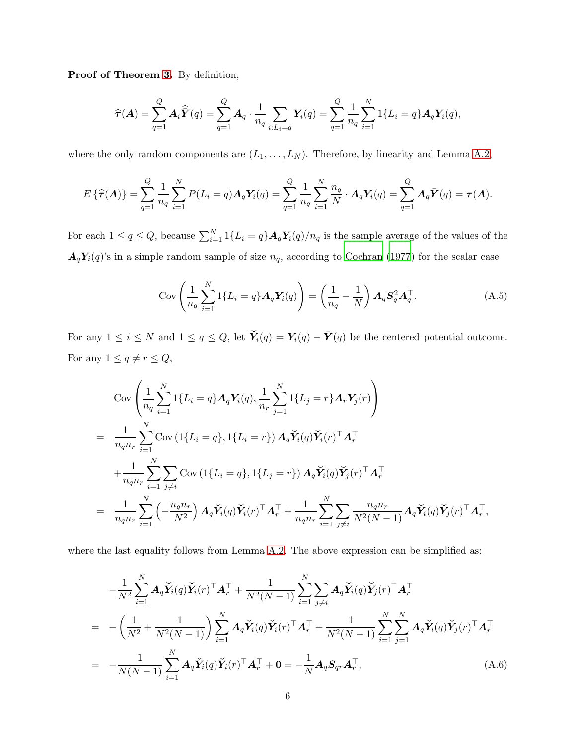Proof of Theorem [3.](#page-12-0) By definition,

$$
\widehat{\tau}(\boldsymbol{A}) = \sum_{q=1}^{Q} \boldsymbol{A}_i \widehat{\boldsymbol{Y}}(q) = \sum_{q=1}^{Q} \boldsymbol{A}_q \cdot \frac{1}{n_q} \sum_{i:L_i=q} \boldsymbol{Y}_i(q) = \sum_{q=1}^{Q} \frac{1}{n_q} \sum_{i=1}^{N} \boldsymbol{1} \{L_i=q\} \boldsymbol{A}_q \boldsymbol{Y}_i(q),
$$

where the only random components are  $(L_1, \ldots, L_N)$ . Therefore, by linearity and Lemma [A.2,](#page-33-0)

$$
E\left\{\widehat{\tau}(\bm{A})\right\} = \sum_{q=1}^{Q} \frac{1}{n_q} \sum_{i=1}^{N} P(L_i = q) \bm{A}_q \bm{Y}_i(q) = \sum_{q=1}^{Q} \frac{1}{n_q} \sum_{i=1}^{N} \frac{n_q}{N} \cdot \bm{A}_q \bm{Y}_i(q) = \sum_{q=1}^{Q} \bm{A}_q \bar{\bm{Y}}(q) = \tau(\bm{A}).
$$

For each  $1 \le q \le Q$ , because  $\sum_{i=1}^{N} 1\{L_i = q\} A_q Y_i(q)/n_q$  is the sample average of the values of the  $A_qY_i(q)$ 's in a simple random sample of size  $n_q$ , according to [Cochran \(1977\)](#page-24-0) for the scalar case

<span id="page-34-0"></span>
$$
\operatorname{Cov}\left(\frac{1}{n_q}\sum_{i=1}^N 1\{L_i = q\} \mathbf{A}_q \mathbf{Y}_i(q)\right) = \left(\frac{1}{n_q} - \frac{1}{N}\right) \mathbf{A}_q \mathbf{S}_q^2 \mathbf{A}_q^\top. \tag{A.5}
$$

For any  $1 \le i \le N$  and  $1 \le q \le Q$ , let  $\check{Y}_i(q) = Y_i(q) - \bar{Y}(q)$  be the centered potential outcome. For any  $1 \le q \ne r \le Q$ ,

$$
\text{Cov}\left(\frac{1}{n_q}\sum_{i=1}^N 1\{L_i = q\} \mathbf{A}_q \mathbf{Y}_i(q), \frac{1}{n_r}\sum_{j=1}^N 1\{L_j = r\} \mathbf{A}_r \mathbf{Y}_j(r)\right)
$$
\n
$$
= \frac{1}{n_q n_r} \sum_{i=1}^N \text{Cov}\left(1\{L_i = q\}, 1\{L_i = r\}\right) \mathbf{A}_q \check{\mathbf{Y}}_i(q) \check{\mathbf{Y}}_i(r)^\top \mathbf{A}_r^\top
$$
\n
$$
+ \frac{1}{n_q n_r} \sum_{i=1}^N \sum_{j \neq i} \text{Cov}\left(1\{L_i = q\}, 1\{L_j = r\}\right) \mathbf{A}_q \check{\mathbf{Y}}_i(q) \check{\mathbf{Y}}_j(r)^\top \mathbf{A}_r^\top
$$
\n
$$
= \frac{1}{n_q n_r} \sum_{i=1}^N \left(-\frac{n_q n_r}{N^2}\right) \mathbf{A}_q \check{\mathbf{Y}}_i(q) \check{\mathbf{Y}}_i(r)^\top \mathbf{A}_r^\top + \frac{1}{n_q n_r} \sum_{i=1}^N \sum_{j \neq i} \frac{n_q n_r}{N^2(N-1)} \mathbf{A}_q \check{\mathbf{Y}}_i(q) \check{\mathbf{Y}}_j(r)^\top \mathbf{A}_r^\top,
$$

where the last equality follows from Lemma [A.2.](#page-33-0) The above expression can be simplified as:

<span id="page-34-1"></span>
$$
-\frac{1}{N^2} \sum_{i=1}^N \mathbf{A}_q \check{\mathbf{Y}}_i(q) \check{\mathbf{Y}}_i(r)^\top \mathbf{A}_r^\top + \frac{1}{N^2(N-1)} \sum_{i=1}^N \sum_{j \neq i} \mathbf{A}_q \check{\mathbf{Y}}_i(q) \check{\mathbf{Y}}_j(r)^\top \mathbf{A}_r^\top
$$
  
\n
$$
= -\left(\frac{1}{N^2} + \frac{1}{N^2(N-1)}\right) \sum_{i=1}^N \mathbf{A}_q \check{\mathbf{Y}}_i(q) \check{\mathbf{Y}}_i(r)^\top \mathbf{A}_r^\top + \frac{1}{N^2(N-1)} \sum_{i=1}^N \sum_{j=1}^N \mathbf{A}_q \check{\mathbf{Y}}_i(q) \check{\mathbf{Y}}_j(r)^\top \mathbf{A}_r^\top
$$
  
\n
$$
= -\frac{1}{N(N-1)} \sum_{i=1}^N \mathbf{A}_q \check{\mathbf{Y}}_i(q) \check{\mathbf{Y}}_i(r)^\top \mathbf{A}_r^\top + \mathbf{0} = -\frac{1}{N} \mathbf{A}_q \mathbf{S}_{qr} \mathbf{A}_r^\top, \tag{A.6}
$$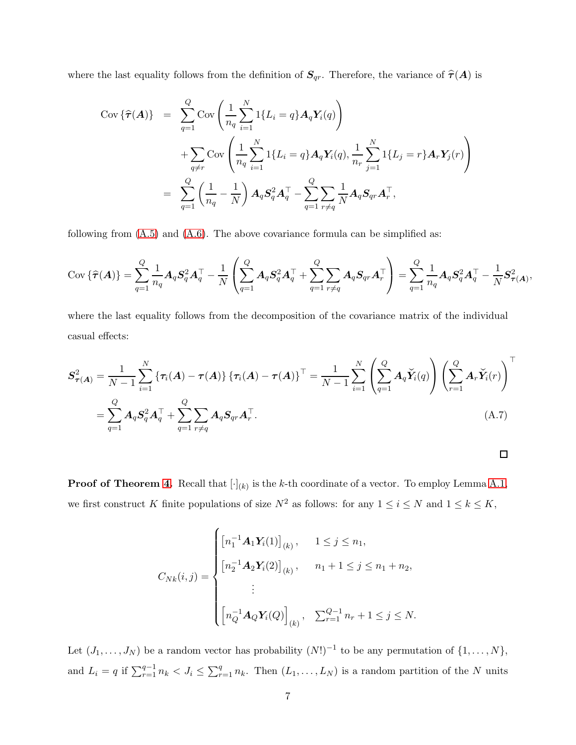where the last equality follows from the definition of  $S_{qr}$ . Therefore, the variance of  $\hat{\tau}(A)$  is

$$
Cov\left\{\widehat{\tau}(A)\right\} = \sum_{q=1}^{Q} Cov\left(\frac{1}{n_q} \sum_{i=1}^{N} 1\{L_i = q\} A_q \mathbf{Y}_i(q)\right)
$$
  
+ 
$$
\sum_{q \neq r} Cov\left(\frac{1}{n_q} \sum_{i=1}^{N} 1\{L_i = q\} A_q \mathbf{Y}_i(q), \frac{1}{n_r} \sum_{j=1}^{N} 1\{L_j = r\} A_r \mathbf{Y}_j(r)\right)
$$
  
= 
$$
\sum_{q=1}^{Q} \left(\frac{1}{n_q} - \frac{1}{N}\right) A_q \mathbf{S}_q^2 \mathbf{A}_q^{\top} - \sum_{q=1}^{Q} \sum_{r \neq q} \frac{1}{N} A_q \mathbf{S}_{qr} \mathbf{A}_r^{\top},
$$

following from  $(A.5)$  and  $(A.6)$ . The above covariance formula can be simplified as:

$$
\text{Cov}\left\{\widehat{\tau}(A)\right\} = \sum_{q=1}^Q \frac{1}{n_q} A_q S_q^2 A_q^\top - \frac{1}{N} \left( \sum_{q=1}^Q A_q S_q^2 A_q^\top + \sum_{q=1}^Q \sum_{r \neq q} A_q S_{qr} A_r^\top \right) = \sum_{q=1}^Q \frac{1}{n_q} A_q S_q^2 A_q^\top - \frac{1}{N} S_{\tau(A)}^2,
$$

where the last equality follows from the decomposition of the covariance matrix of the individual casual effects:

$$
S_{\tau(A)}^{2} = \frac{1}{N-1} \sum_{i=1}^{N} \left\{ \tau_{i}(A) - \tau(A) \right\} \left\{ \tau_{i}(A) - \tau(A) \right\}^{\top} = \frac{1}{N-1} \sum_{i=1}^{N} \left( \sum_{q=1}^{Q} A_{q} \check{Y}_{i}(q) \right) \left( \sum_{r=1}^{Q} A_{r} \check{Y}_{i}(r) \right)^{\top}
$$

$$
= \sum_{q=1}^{Q} A_{q} S_{q}^{2} A_{q}^{\top} + \sum_{q=1}^{Q} \sum_{r \neq q} A_{q} S_{qr} A_{r}^{\top}.
$$
(A.7)

<span id="page-35-0"></span>

**Proof of Theorem [4.](#page-13-2)** Recall that  $[\cdot]_{(k)}$  is the k-th coordinate of a vector. To employ Lemma [A.1,](#page-31-0) we first construct K finite populations of size  $N^2$  as follows: for any  $1 \le i \le N$  and  $1 \le k \le K$ ,

$$
C_{Nk}(i,j) = \begin{cases} \left[ n_1^{-1} \mathbf{A}_1 \mathbf{Y}_i(1) \right]_{(k)}, & 1 \le j \le n_1, \\ \left[ n_2^{-1} \mathbf{A}_2 \mathbf{Y}_i(2) \right]_{(k)}, & n_1 + 1 \le j \le n_1 + n_2, \\ \vdots \\ \left[ n_Q^{-1} \mathbf{A}_Q \mathbf{Y}_i(Q) \right]_{(k)}, & \sum_{r=1}^{Q-1} n_r + 1 \le j \le N. \end{cases}
$$

Let  $(J_1, \ldots, J_N)$  be a random vector has probability  $(N!)^{-1}$  to be any permutation of  $\{1, \ldots, N\}$ , and  $L_i = q$  if  $\sum_{r=1}^{q-1} n_k < J_i \leq \sum_{r=1}^{q} n_k$ . Then  $(L_1, \ldots, L_N)$  is a random partition of the N units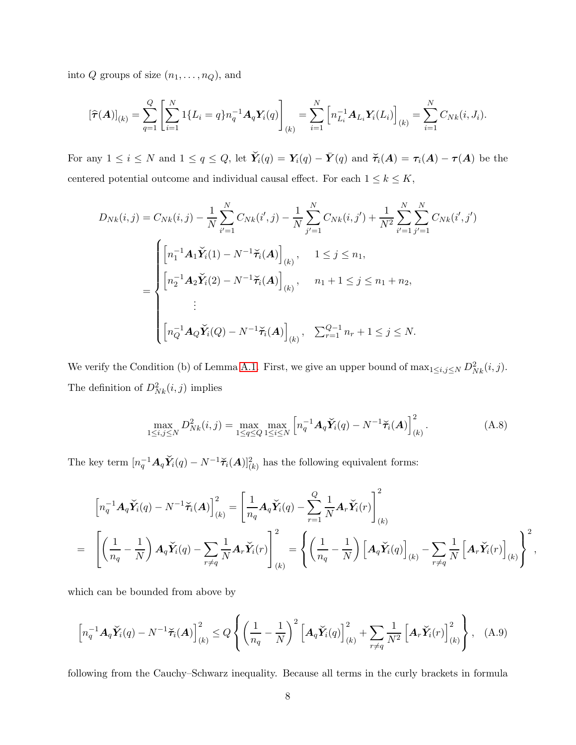into  $Q$  groups of size  $(n_1, \ldots, n_Q)$ , and

$$
[\widehat{\tau}(\mathbf{A})]_{(k)} = \sum_{q=1}^{Q} \left[ \sum_{i=1}^{N} 1\{L_i = q\} n_q^{-1} \mathbf{A}_q \mathbf{Y}_i(q) \right]_{(k)} = \sum_{i=1}^{N} \left[ n_{L_i}^{-1} \mathbf{A}_{L_i} \mathbf{Y}_i(L_i) \right]_{(k)} = \sum_{i=1}^{N} C_{Nk}(i, J_i).
$$

For any  $1 \le i \le N$  and  $1 \le q \le Q$ , let  $\check{Y}_i(q) = Y_i(q) - \bar{Y}(q)$  and  $\check{\tau}_i(A) = \tau_i(A) - \tau(A)$  be the centered potential outcome and individual causal effect. For each  $1 \leq k \leq K$ ,

$$
D_{Nk}(i,j) = C_{Nk}(i,j) - \frac{1}{N} \sum_{i'=1}^{N} C_{Nk}(i',j) - \frac{1}{N} \sum_{j'=1}^{N} C_{Nk}(i,j') + \frac{1}{N^2} \sum_{i'=1}^{N} \sum_{j'=1}^{N} C_{Nk}(i',j')
$$
  

$$
= \begin{cases} \left[ n_1^{-1} \mathbf{A}_1 \check{\mathbf{Y}}_i(1) - N^{-1} \check{\mathbf{\tau}}_i(\mathbf{A}) \right]_{(k)}, & 1 \le j \le n_1, \\ \left[ n_2^{-1} \mathbf{A}_2 \check{\mathbf{Y}}_i(2) - N^{-1} \check{\mathbf{\tau}}_i(\mathbf{A}) \right]_{(k)}, & n_1 + 1 \le j \le n_1 + n_2, \\ \vdots \\ \left[ n_Q^{-1} \mathbf{A}_Q \check{\mathbf{Y}}_i(Q) - N^{-1} \check{\mathbf{\tau}}_i(\mathbf{A}) \right]_{(k)}, & \sum_{r=1}^{Q-1} n_r + 1 \le j \le N. \end{cases}
$$

We verify the Condition (b) of Lemma [A.1.](#page-31-0) First, we give an upper bound of  $\max_{1 \leq i,j \leq N} D_{Nk}^2(i,j)$ . The definition of  $D_{Nk}^2(i, j)$  implies

$$
\max_{1 \le i,j \le N} D_{Nk}^2(i,j) = \max_{1 \le q \le Q} \max_{1 \le i \le N} \left[ n_q^{-1} A_q \check{Y}_i(q) - N^{-1} \check{\tau}_i(A) \right]_{(k)}^2.
$$
 (A.8)

<span id="page-36-1"></span><span id="page-36-0"></span>,

The key term  $[n_q^{-1}A_q\check{Y}_i(q) - N^{-1}\check{\tau}_i(A)]_{(k)}^2$  has the following equivalent forms:

$$
\left[n_q^{-1}A_q\check{Y}_i(q) - N^{-1}\check{\tau}_i(A)\right]_{(k)}^2 = \left[\frac{1}{n_q}A_q\check{Y}_i(q) - \sum_{r=1}^Q \frac{1}{N}A_r\check{Y}_i(r)\right]_{(k)}^2
$$
  
= 
$$
\left[\left(\frac{1}{n_q} - \frac{1}{N}\right)A_q\check{Y}_i(q) - \sum_{r \neq q} \frac{1}{N}A_r\check{Y}_i(r)\right]_{(k)}^2 = \left\{\left(\frac{1}{n_q} - \frac{1}{N}\right)\left[A_q\check{Y}_i(q)\right]_{(k)} - \sum_{r \neq q} \frac{1}{N}\left[A_r\check{Y}_i(r)\right]_{(k)}\right\}^2
$$

which can be bounded from above by

$$
\left[n_q^{-1}A_q\check{Y}_i(q) - N^{-1}\check{\tau}_i(A)\right]_{(k)}^2 \le Q\left\{ \left(\frac{1}{n_q} - \frac{1}{N}\right)^2 \left[A_q\check{Y}_i(q)\right]_{(k)}^2 + \sum_{r \ne q} \frac{1}{N^2} \left[A_r\check{Y}_i(r)\right]_{(k)}^2 \right\}, \quad (A.9)
$$

following from the Cauchy–Schwarz inequality. Because all terms in the curly brackets in formula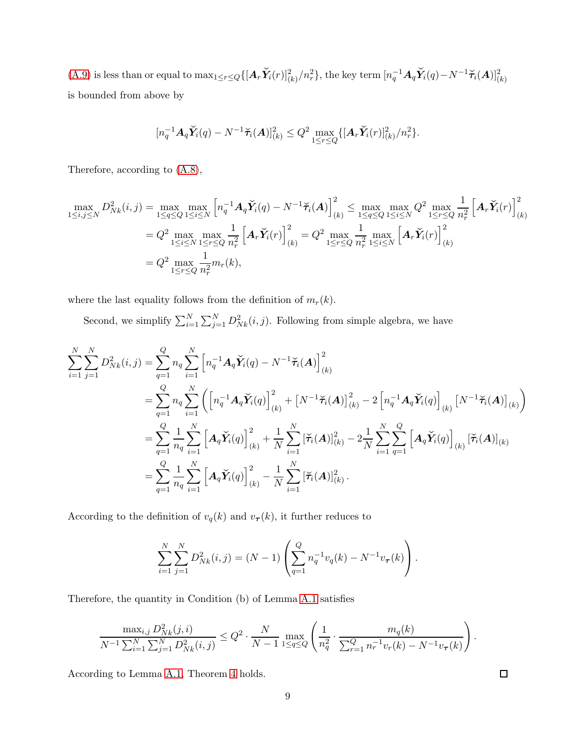[\(A.9\)](#page-36-0) is less than or equal to  $\max_{1 \leq r \leq Q} \{ [\mathbf{A}_r \check{Y}_i(r)]_{(k)}^2/n_r^2 \}$ , the key term  $[n_q^{-1} \mathbf{A}_q \check{Y}_i(q) - N^{-1} \check{\tau}_i(\mathbf{A})]_{(k)}^2$ is bounded from above by

$$
[n_q^{-1}A_q \check{Y}_i(q) - N^{-1} \check{\tau}_i(A)]_{(k)}^2 \leq Q^2 \max_{1 \leq r \leq Q} \{ [A_r \check{Y}_i(r)]_{(k)}^2 / n_r^2 \}.
$$

Therefore, according to [\(A.8\)](#page-36-1),

$$
\max_{1 \le i,j \le N} D_{Nk}^{2}(i,j) = \max_{1 \le q \le Q} \max_{1 \le i \le N} \left[ n_{q}^{-1} A_{q} \check{Y}_{i}(q) - N^{-1} \check{\tau}_{i}(A) \right]_{(k)}^{2} \le \max_{1 \le q \le Q} \max_{1 \le i \le N} Q^{2} \max_{1 \le r \le Q} \frac{1}{n_{r}^{2}} \left[ A_{r} \check{Y}_{i}(r) \right]_{(k)}^{2}
$$
\n
$$
= Q^{2} \max_{1 \le i \le N} \max_{1 \le r \le Q} \frac{1}{n_{r}^{2}} \left[ A_{r} \check{Y}_{i}(r) \right]_{(k)}^{2} = Q^{2} \max_{1 \le r \le Q} \frac{1}{n_{r}^{2}} \max_{1 \le i \le N} \left[ A_{r} \check{Y}_{i}(r) \right]_{(k)}^{2}
$$
\n
$$
= Q^{2} \max_{1 \le r \le Q} \frac{1}{n_{r}^{2}} m_{r}(k),
$$

where the last equality follows from the definition of  $m_r(k)$ .

Second, we simplify  $\sum_{i=1}^{N} \sum_{j=1}^{N} D_{Nk}^{2}(i, j)$ . Following from simple algebra, we have

$$
\sum_{i=1}^{N} \sum_{j=1}^{N} D_{Nk}^{2}(i, j) = \sum_{q=1}^{Q} n_{q} \sum_{i=1}^{N} \left[ n_{q}^{-1} A_{q} \check{Y}_{i}(q) - N^{-1} \check{\tau}_{i}(A) \right]_{(k)}^{2}
$$
\n
$$
= \sum_{q=1}^{Q} n_{q} \sum_{i=1}^{N} \left( \left[ n_{q}^{-1} A_{q} \check{Y}_{i}(q) \right]_{(k)}^{2} + \left[ N^{-1} \check{\tau}_{i}(A) \right]_{(k)}^{2} - 2 \left[ n_{q}^{-1} A_{q} \check{Y}_{i}(q) \right]_{(k)} \left[ N^{-1} \check{\tau}_{i}(A) \right]_{(k)}^{2} \right)
$$
\n
$$
= \sum_{q=1}^{Q} \frac{1}{n_{q}} \sum_{i=1}^{N} \left[ A_{q} \check{Y}_{i}(q) \right]_{(k)}^{2} + \frac{1}{N} \sum_{i=1}^{N} \left[ \check{\tau}_{i}(A) \right]_{(k)}^{2} - 2 \frac{1}{N} \sum_{i=1}^{N} \sum_{q=1}^{Q} \left[ A_{q} \check{Y}_{i}(q) \right]_{(k)} \left[ \check{\tau}_{i}(A) \right]_{(k)}^{2}
$$
\n
$$
= \sum_{q=1}^{Q} \frac{1}{n_{q}} \sum_{i=1}^{N} \left[ A_{q} \check{Y}_{i}(q) \right]_{(k)}^{2} - \frac{1}{N} \sum_{i=1}^{N} \left[ \check{\tau}_{i}(A) \right]_{(k)}^{2}.
$$

According to the definition of  $v_q(k)$  and  $v_{\tau}(k)$ , it further reduces to

$$
\sum_{i=1}^{N} \sum_{j=1}^{N} D_{Nk}^{2}(i, j) = (N - 1) \left( \sum_{q=1}^{Q} n_{q}^{-1} v_{q}(k) - N^{-1} v_{\tau}(k) \right).
$$

Therefore, the quantity in Condition (b) of Lemma [A.1](#page-31-0) satisfies

$$
\frac{\max_{i,j} D_{Nk}^2(j,i)}{N^{-1} \sum_{i=1}^N \sum_{j=1}^N D_{Nk}^2(i,j)} \leq Q^2 \cdot \frac{N}{N-1} \max_{1 \leq q \leq Q} \left( \frac{1}{n_q^2} \cdot \frac{m_q(k)}{\sum_{r=1}^Q n_r^{-1} v_r(k) - N^{-1} v_r(k)} \right).
$$

According to Lemma [A.1,](#page-31-0) Theorem [4](#page-13-2) holds.

 $\Box$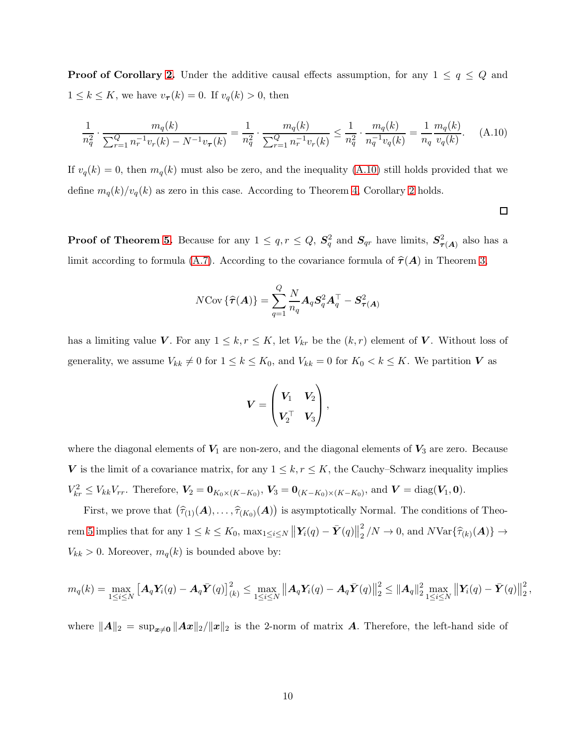**Proof of Corollary [2.](#page-14-0)** Under the additive causal effects assumption, for any  $1 \leq q \leq Q$  and  $1 \leq k \leq K$ , we have  $v_{\tau}(k) = 0$ . If  $v_q(k) > 0$ , then

$$
\frac{1}{n_q^2} \cdot \frac{m_q(k)}{\sum_{r=1}^Q n_r^{-1} v_r(k) - N^{-1} v_\tau(k)} = \frac{1}{n_q^2} \cdot \frac{m_q(k)}{\sum_{r=1}^Q n_r^{-1} v_r(k)} \le \frac{1}{n_q^2} \cdot \frac{m_q(k)}{n_q^{-1} v_q(k)} = \frac{1}{n_q} \frac{m_q(k)}{v_q(k)}.
$$
 (A.10)

If  $v_q(k) = 0$ , then  $m_q(k)$  must also be zero, and the inequality [\(A.10\)](#page-38-0) still holds provided that we define  $m_q(k)/v_q(k)$  as zero in this case. According to Theorem [4,](#page-13-2) Corollary [2](#page-14-0) holds.

<span id="page-38-0"></span> $\Box$ 

**Proof of Theorem [5.](#page-14-1)** Because for any  $1 \le q, r \le Q, S_q^2$  and  $S_{qr}$  have limits,  $S_{\tau(A)}^2$  also has a limit according to formula [\(A.7\)](#page-35-0). According to the covariance formula of  $\hat{\tau}(A)$  in Theorem [3,](#page-12-0)

$$
N \text{Cov} \left\{\widehat{\boldsymbol{\tau}}(\boldsymbol{A})\right\} = \sum_{q=1}^{Q} \frac{N}{n_q} \boldsymbol{A}_q \boldsymbol{S}_q^2 \boldsymbol{A}_q^\top - \boldsymbol{S}_{\boldsymbol{\tau}(\boldsymbol{A})}^2
$$

has a limiting value V. For any  $1 \leq k, r \leq K$ , let  $V_{kr}$  be the  $(k, r)$  element of V. Without loss of generality, we assume  $V_{kk} \neq 0$  for  $1 \leq k \leq K_0$ , and  $V_{kk} = 0$  for  $K_0 < k \leq K$ . We partition V as

$$
\boldsymbol{V} = \begin{pmatrix} \boldsymbol{V_1} & \boldsymbol{V_2} \\ \boldsymbol{V_2}^{\top} & \boldsymbol{V_3} \end{pmatrix},
$$

where the diagonal elements of  $V_1$  are non-zero, and the diagonal elements of  $V_3$  are zero. Because V is the limit of a covariance matrix, for any  $1 \leq k, r \leq K$ , the Cauchy–Schwarz inequality implies  $V_{kr}^2 \leq V_{kk}V_{rr}$ . Therefore,  $V_2 = \mathbf{0}_{K_0 \times (K-K_0)}$ ,  $V_3 = \mathbf{0}_{(K-K_0) \times (K-K_0)}$ , and  $V = \text{diag}(V_1, \mathbf{0})$ .

First, we prove that  $(\hat{\tau}_{(1)}(A), \ldots, \hat{\tau}_{(K_0)}(A))$  is asymptotically Normal. The conditions of Theo-rem [5](#page-14-1) implies that for any  $1 \leq k \leq K_0$ ,  $\max_{1 \leq i \leq N} \left\| \mathbf{Y}_i(q) - \bar{\mathbf{Y}}(q) \right\|_2^2$  $\frac{2}{2}/N \to 0$ , and  $N \text{Var} \{ \widehat{\tau}_{(k)}(\boldsymbol{A}) \} \to$  $V_{kk} > 0$ . Moreover,  $m_q(k)$  is bounded above by:

$$
m_q(k) = \max_{1 \leq i \leq N} \left[ A_q \mathbf{Y}_i(q) - A_q \bar{\mathbf{Y}}(q) \right]_{(k)}^2 \leq \max_{1 \leq i \leq N} \left\| A_q \mathbf{Y}_i(q) - A_q \bar{\mathbf{Y}}(q) \right\|_2^2 \leq \left\| A_q \right\|_2^2 \max_{1 \leq i \leq N} \left\| \mathbf{Y}_i(q) - \bar{\mathbf{Y}}(q) \right\|_2^2,
$$

where  $||A||_2 = \sup_{x\neq0}||Ax||_2/||x||_2$  is the 2-norm of matrix A. Therefore, the left-hand side of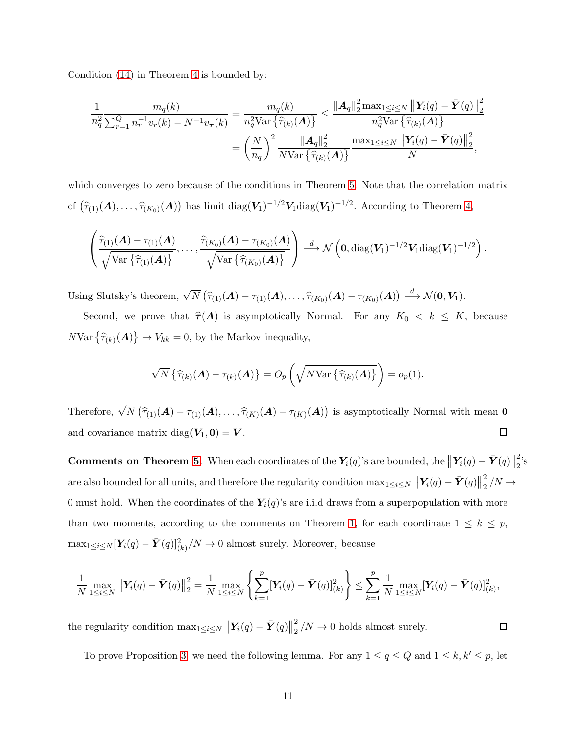Condition [\(14\)](#page-13-0) in Theorem [4](#page-13-2) is bounded by:

$$
\frac{1}{n_q^2} \frac{m_q(k)}{\sum_{r=1}^Q n_r^{-1} v_r(k) - N^{-1} v_\tau(k)} = \frac{m_q(k)}{n_q^2 \text{Var}\left\{\widehat{\tau}_{(k)}(\mathbf{A})\right\}} \le \frac{\|\mathbf{A}_q\|_2^2 \max_{1 \le i \le N} \|\mathbf{Y}_i(q) - \bar{\mathbf{Y}}(q)\|_2^2}{n_q^2 \text{Var}\left\{\widehat{\tau}_{(k)}(\mathbf{A})\right\}} \\
= \left(\frac{N}{n_q}\right)^2 \frac{\|\mathbf{A}_q\|_2^2}{N \text{Var}\left\{\widehat{\tau}_{(k)}(\mathbf{A})\right\}} \frac{\max_{1 \le i \le N} \|\mathbf{Y}_i(q) - \bar{\mathbf{Y}}(q)\|_2^2}{N},
$$

which converges to zero because of the conditions in Theorem [5.](#page-14-1) Note that the correlation matrix of  $(\hat{\tau}_{(1)}(A), \ldots, \hat{\tau}_{(K_0)}(A))$  has limit diag( $V_1$ )<sup>-1/2</sup> $V_1$ diag( $V_1$ )<sup>-1/2</sup>. According to Theorem [4,](#page-13-2)

$$
\left(\frac{\widehat{\tau}_{(1)}(A)-\tau_{(1)}(A)}{\sqrt{\operatorname{Var}\left\{\widehat{\tau}_{(1)}(A)\right\}}},\dots,\frac{\widehat{\tau}_{(K_0)}(A)-\tau_{(K_0)}(A)}{\sqrt{\operatorname{Var}\left\{\widehat{\tau}_{(K_0)}(A)\right\}}}\right)\stackrel{d}{\longrightarrow} \mathcal{N}\left(0,\operatorname{diag}(V_1)^{-1/2}V_1\operatorname{diag}(V_1)^{-1/2}\right).
$$

Using Slutsky's theorem,  $\sqrt{N} (\widehat{\tau}_{(1)}(A) - \tau_{(1)}(A), \ldots, \widehat{\tau}_{(K_0)}(A) - \tau_{(K_0)}(A)) \stackrel{d}{\longrightarrow} \mathcal{N}(\mathbf{0}, V_1)$ .

Second, we prove that  $\hat{\tau}(A)$  is asymptotically Normal. For any  $K_0 < k \leq K$ , because  $N \text{Var} \left\{ \widehat{\tau}_{(k)}(\boldsymbol{A}) \right\} \to V_{kk} = 0$ , by the Markov inequality,

$$
\sqrt{N}\left\{\widehat{\tau}_{(k)}(\boldsymbol{A})-\tau_{(k)}(\boldsymbol{A})\right\}=O_p\left(\sqrt{N\text{Var}\left\{\widehat{\tau}_{(k)}(\boldsymbol{A})\right\}}\right)=o_p(1).
$$

Therefore,  $\sqrt{N} (\hat{\tau}_{(1)}(A) - \tau_{(1)}(A), \dots, \hat{\tau}_{(K)}(A) - \tau_{(K)}(A))$  is asymptotically Normal with mean **0** and covariance matrix  $diag(V_1, 0) = V$ .  $\Box$ 

 ${\bf Comments\,\,on\,\,Theorem\,\,5.}\,\,\,When\,\,each\,\,coordinates\,\,of\,\,the\,\, \bm{Y}_i(q)\,\textrm{'s\,\,are\,\,bound\,\,the}\,\left\|\bm{Y}_i(q)-\bar{\bm{Y}}(q)\right\|_2^2$  $\frac{2}{2}$ 's  $\text{area} \text{ also bounded for all units, and therefore the regularity condition } \max_{1\leq i\leq N} \left\|\bm{Y}_i(q)-\bar{\bm{Y}}(q)\right\|_2^2$  $\frac{2}{2}$  /N  $\rightarrow$ 0 must hold. When the coordinates of the  $Y_i(q)$ 's are i.i.d draws from a superpopulation with more than two moments, according to the comments on Theorem [1,](#page-47-0) for each coordinate  $1 \leq k \leq p$ ,  $\max_{1 \leq i \leq N} [\mathbf{Y}_i(q) - \bar{\mathbf{Y}}(q)]_{(k)}^2/N \to 0$  almost surely. Moreover, because

$$
\frac{1}{N} \max_{1 \leq i \leq N} \|\mathbf{Y}_i(q) - \bar{\mathbf{Y}}(q)\|_2^2 = \frac{1}{N} \max_{1 \leq i \leq N} \left\{ \sum_{k=1}^p [\mathbf{Y}_i(q) - \bar{\mathbf{Y}}(q)]_{(k)}^2 \right\} \leq \sum_{k=1}^p \frac{1}{N} \max_{1 \leq i \leq N} [\mathbf{Y}_i(q) - \bar{\mathbf{Y}}(q)]_{(k)}^2,
$$

the regularity condition  $\max_{1 \leq i \leq N} \left\| \mathbf{Y}_i(q) - \bar{\mathbf{Y}}(q) \right\|_2^2$  $\frac{2}{2}/N \rightarrow 0$  holds almost surely.

To prove Proposition [3,](#page-15-0) we need the following lemma. For any  $1 \le q \le Q$  and  $1 \le k, k' \le p$ , let

 $\Box$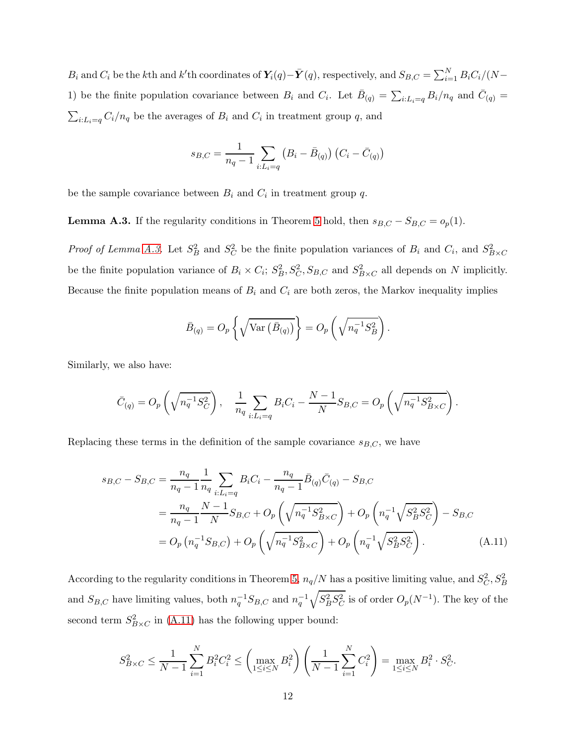$B_i$  and  $C_i$  be the kth and k'th coordinates of  $\mathbf{Y}_i(q) - \bar{\mathbf{Y}}(q)$ , respectively, and  $S_{B,C} = \sum_{i=1}^{N} B_i C_i / (N -$ 1) be the finite population covariance between  $B_i$  and  $C_i$ . Let  $\bar{B}_{(q)} = \sum_{i:L_i=q} B_i/n_q$  and  $\bar{C}_{(q)} =$  $\sum_{i:L_i=q} C_i/n_q$  be the averages of  $B_i$  and  $C_i$  in treatment group q, and

$$
s_{B,C} = \frac{1}{n_q - 1} \sum_{i:L_i = q} (B_i - \bar{B}_{(q)}) (C_i - \bar{C}_{(q)})
$$

<span id="page-40-0"></span>be the sample covariance between  $B_i$  and  $C_i$  in treatment group q.

**Lemma A.3.** If the regularity conditions in Theorem [5](#page-14-1) hold, then  $s_{B,C} - S_{B,C} = o_p(1)$ .

*Proof of Lemma [A.3.](#page-40-0)* Let  $S_B^2$  and  $S_C^2$  be the finite population variances of  $B_i$  and  $C_i$ , and  $S_{B \times C}^2$ be the finite population variance of  $B_i \times C_i$ ;  $S_B^2$ ,  $S_{C}^2$ ,  $S_{B,C}$  and  $S_{B \times C}^2$  all depends on N implicitly. Because the finite population means of  $B_i$  and  $C_i$  are both zeros, the Markov inequality implies

<span id="page-40-1"></span>
$$
\bar{B}_{(q)} = O_p \left\{ \sqrt{\text{Var} \left( \bar{B}_{(q)} \right)} \right\} = O_p \left( \sqrt{n_q^{-1} S_B^2} \right).
$$

Similarly, we also have:

$$
\bar{C}_{(q)} = O_p\left(\sqrt{n_q^{-1}S_C^2}\right), \quad \frac{1}{n_q}\sum_{i:L_i=q} B_i C_i - \frac{N-1}{N}S_{B,C} = O_p\left(\sqrt{n_q^{-1}S_{B\times C}^2}\right).
$$

Replacing these terms in the definition of the sample covariance  $s_{B,C}$ , we have

$$
s_{B,C} - S_{B,C} = \frac{n_q}{n_q - 1} \frac{1}{n_q} \sum_{i:L_i = q} B_i C_i - \frac{n_q}{n_q - 1} \bar{B}_{(q)} \bar{C}_{(q)} - S_{B,C}
$$
  
= 
$$
\frac{n_q}{n_q - 1} \frac{N - 1}{N} S_{B,C} + O_p \left( \sqrt{n_q^{-1} S_{B\times C}^2} \right) + O_p \left( n_q^{-1} \sqrt{S_B^2 S_C^2} \right) - S_{B,C}
$$
  
= 
$$
O_p \left( n_q^{-1} S_{B,C} \right) + O_p \left( \sqrt{n_q^{-1} S_{B\times C}^2} \right) + O_p \left( n_q^{-1} \sqrt{S_B^2 S_C^2} \right). \tag{A.11}
$$

According to the regularity conditions in Theorem [5,](#page-14-1)  $n_q/N$  has a positive limiting value, and  $S_C^2, S_B^2$ and  $S_{B,C}$  have limiting values, both  $n_q^{-1}S_{B,C}$  and  $n_q^{-1}$  $\sqrt{S_B^2 S_C^2}$  is of order  $O_p(N^{-1})$ . The key of the second term  $S_{B \times C}^2$  in [\(A.11\)](#page-40-1) has the following upper bound:

$$
S_{B \times C}^2 \le \frac{1}{N-1} \sum_{i=1}^N B_i^2 C_i^2 \le \left( \max_{1 \le i \le N} B_i^2 \right) \left( \frac{1}{N-1} \sum_{i=1}^N C_i^2 \right) = \max_{1 \le i \le N} B_i^2 \cdot S_C^2.
$$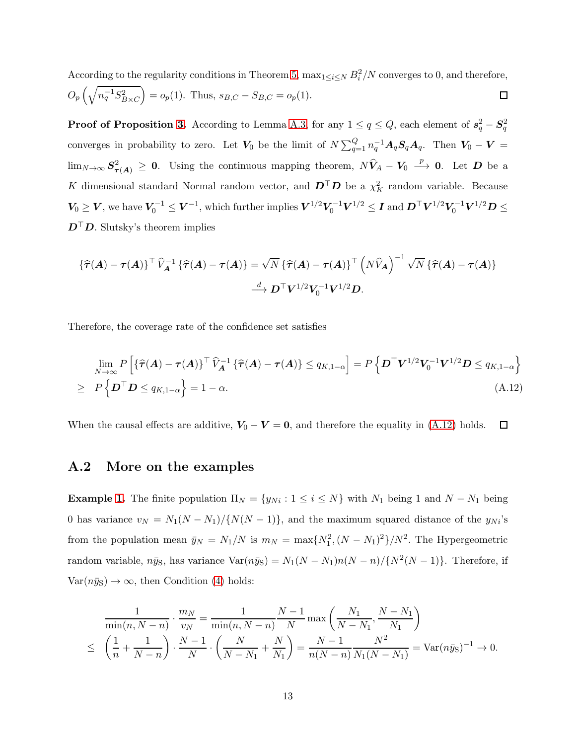According to the regularity conditions in Theorem [5,](#page-14-1)  $\max_{1 \leq i \leq N} B_i^2/N$  converges to 0, and therefore,  $O_p\left(\sqrt{n_q^{-1}S_{B\times C}^2}\right)$  $= o_p(1)$ . Thus,  $s_{B,C} - S_{B,C} = o_p(1)$ .  $\Box$ 

**Proof of Proposition [3.](#page-15-0)** According to Lemma [A.3,](#page-40-0) for any  $1 \le q \le Q$ , each element of  $s_q^2 - S_q^2$ converges in probability to zero. Let  $V_0$  be the limit of  $N \sum_{q=1}^Q n_q^{-1} A_q S_q A_q$ . Then  $V_0 - V =$  $\lim_{N\to\infty} S^2_{\tau(A)} \geq 0$ . Using the continuous mapping theorem,  $N\hat{V}_A - V_0 \stackrel{p}{\longrightarrow} 0$ . Let  $D$  be a K dimensional standard Normal random vector, and  $\mathbf{D}^\top \mathbf{D}$  be a  $\chi^2$  random variable. Because  $V_0 \geq V$ , we have  $V_0^{-1} \leq V^{-1}$ , which further implies  $V^{1/2}V_0^{-1}V^{1/2} \leq I$  and  $D^{\top}V^{1/2}V_0^{-1}V^{1/2}D \leq$  $D^{\top}D$ . Slutsky's theorem implies

$$
\{\widehat{\tau}(A) - \tau(A)\}^{\top} \widehat{V}_A^{-1} \{\widehat{\tau}(A) - \tau(A)\} = \sqrt{N} \{\widehat{\tau}(A) - \tau(A)\}^{\top} \left(N\widehat{V}_A\right)^{-1} \sqrt{N} \{\widehat{\tau}(A) - \tau(A)\}
$$

$$
\xrightarrow{d} \mathbf{D}^{\top} \mathbf{V}^{1/2} \mathbf{V}_0^{-1} \mathbf{V}^{1/2} \mathbf{D}.
$$

Therefore, the coverage rate of the confidence set satisfies

<span id="page-41-1"></span>
$$
\lim_{N \to \infty} P\left[\left\{\widehat{\tau}(A) - \tau(A)\right\}^{\top} \widehat{V}_A^{-1} \left\{\widehat{\tau}(A) - \tau(A)\right\} \le q_{K,1-\alpha}\right] = P\left\{D^{\top} V^{1/2} V_0^{-1} V^{1/2} D \le q_{K,1-\alpha}\right\}
$$
\n
$$
\ge P\left\{D^{\top} D \le q_{K,1-\alpha}\right\} = 1 - \alpha. \tag{A.12}
$$

<span id="page-41-0"></span>When the causal effects are additive,  $V_0 - V = 0$ , and therefore the equality in [\(A.12\)](#page-41-1) holds.  $\Box$ 

### A.2 More on the examples

**Example [1.](#page-6-0)** The finite population  $\Pi_N = \{y_{Ni} : 1 \le i \le N\}$  with  $N_1$  being 1 and  $N - N_1$  being 0 has variance  $v_N = N_1(N - N_1)/\{N(N - 1)\}\,$ , and the maximum squared distance of the  $y_{Ni}$ 's from the population mean  $\bar{y}_N = N_1/N$  is  $m_N = \max\{N_1^2, (N - N_1)^2\}/N^2$ . The Hypergeometric random variable,  $n\bar{y}_S$ , has variance  $Var(n\bar{y}_S) = N_1(N - N_1)n(N - n)/{N^2(N - 1)}$ . Therefore, if  $Var(n\bar{y}_s) \rightarrow \infty$ , then Condition [\(4\)](#page-4-1) holds:

$$
\frac{1}{\min(n, N-n)} \cdot \frac{m_N}{v_N} = \frac{1}{\min(n, N-n)} \frac{N-1}{N} \max\left(\frac{N_1}{N-N_1}, \frac{N-N_1}{N_1}\right)
$$
  
\n
$$
\leq \left(\frac{1}{n} + \frac{1}{N-n}\right) \cdot \frac{N-1}{N} \cdot \left(\frac{N}{N-N_1} + \frac{N}{N_1}\right) = \frac{N-1}{n(N-n)} \frac{N^2}{N_1(N-N_1)} = \text{Var}(n\bar{y}_S)^{-1} \to 0.
$$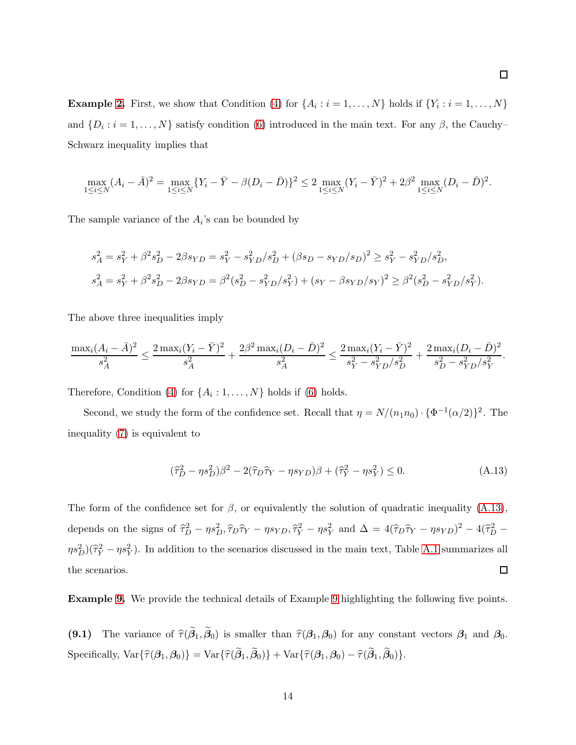**Example [2.](#page-6-1)** First, we show that Condition [\(4\)](#page-4-1) for  $\{A_i : i = 1, ..., N\}$  holds if  $\{Y_i : i = 1, ..., N\}$ and  $\{D_i : i = 1, \ldots, N\}$  satisfy condition [\(6\)](#page-7-2) introduced in the main text. For any  $\beta$ , the Cauchy-Schwarz inequality implies that

$$
\max_{1 \le i \le N} (A_i - \bar{A})^2 = \max_{1 \le i \le N} \{ Y_i - \bar{Y} - \beta (D_i - \bar{D}) \}^2 \le 2 \max_{1 \le i \le N} (Y_i - \bar{Y})^2 + 2\beta^2 \max_{1 \le i \le N} (D_i - \bar{D})^2.
$$

The sample variance of the  $A_i$ 's can be bounded by

$$
s_A^2 = s_Y^2 + \beta^2 s_D^2 - 2\beta s_{YD} = s_Y^2 - s_{YD}^2 / s_D^2 + (\beta s_D - s_{YD}/s_D)^2 \ge s_Y^2 - s_{YD}^2 / s_D^2,
$$
  

$$
s_A^2 = s_Y^2 + \beta^2 s_D^2 - 2\beta s_{YD} = \beta^2 (s_D^2 - s_{YD}^2 / s_Y^2) + (s_Y - \beta s_{YD}/s_Y)^2 \ge \beta^2 (s_D^2 - s_{YD}^2 / s_Y^2).
$$

The above three inequalities imply

$$
\frac{\max_i (A_i - \bar{A})^2}{s_A^2} \le \frac{2 \max_i (Y_i - \bar{Y})^2}{s_A^2} + \frac{2\beta^2 \max_i (D_i - \bar{D})^2}{s_A^2} \le \frac{2 \max_i (Y_i - \bar{Y})^2}{s_Y^2 - s_{YD}^2/s_D^2} + \frac{2 \max_i (D_i - \bar{D})^2}{s_D^2 - s_{YD}^2/s_Y^2}.
$$

Therefore, Condition [\(4\)](#page-4-1) for  $\{A_i:1,\ldots,N\}$  holds if [\(6\)](#page-7-2) holds.

Second, we study the form of the confidence set. Recall that  $\eta = N/(n_1 n_0) \cdot {\Phi^{-1}(\alpha/2)}^2$ . The inequality [\(7\)](#page-7-1) is equivalent to

<span id="page-42-0"></span>
$$
(\widehat{\tau}_D^2 - \eta s_D^2)\beta^2 - 2(\widehat{\tau}_D \widehat{\tau}_Y - \eta s_{YD})\beta + (\widehat{\tau}_Y^2 - \eta s_Y^2) \le 0. \tag{A.13}
$$

The form of the confidence set for  $\beta$ , or equivalently the solution of quadratic inequality [\(A.13\)](#page-42-0), depends on the signs of  $\hat{\tau}_D^2 - \eta s_D^2$ ,  $\hat{\tau}_D \hat{\tau}_Y - \eta s_{YD}$ ,  $\hat{\tau}_Y^2 - \eta s_Y^2$  and  $\Delta = 4(\hat{\tau}_D \hat{\tau}_Y - \eta s_{YD})^2 - 4(\hat{\tau}_D^2 - \eta s_{YD})^2$  $\eta s_D^2(\hat{\tau}_Y^2 - \eta s_Y^2)$ . In addition to the scenarios discussed in the main text, Table [A.1](#page-43-0) summarizes all  $\Box$ the scenarios.

Example [9.](#page-19-0) We provide the technical details of Example [9](#page-19-0) highlighting the following five points.

(9.1) The variance of  $\hat{\tau}(\beta_1,\beta_0)$  is smaller than  $\hat{\tau}(\beta_1,\beta_0)$  for any constant vectors  $\beta_1$  and  $\beta_0$ .  $Specifically, Var{\hat{\tau}(\beta_1, \beta_0)} = Var{\hat{\tau}(\beta_1, \beta_0)} + Var{\hat{\tau}(\beta_1, \beta_0)} - \hat{\tau}(\beta_1, \beta_0)\}.$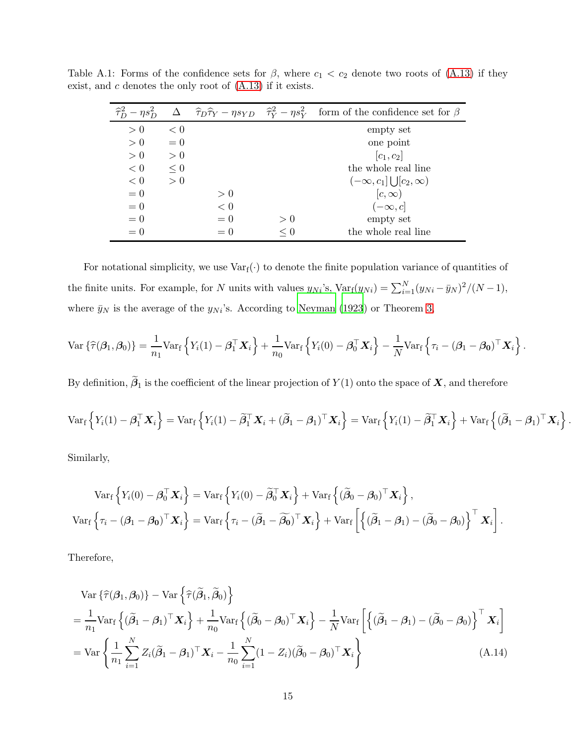| $\widehat{\tau}_{D}^{2} - \eta s_{D}^{2}$ |       |       |          | $\Delta \hat{\tau}_D \hat{\tau}_Y - \eta s_{YD} \hat{\tau}_Y^2 - \eta s_Y^2$ form of the confidence set for $\beta$ |
|-------------------------------------------|-------|-------|----------|---------------------------------------------------------------------------------------------------------------------|
| > 0                                       | < 0   |       |          | empty set                                                                                                           |
| > 0                                       | $= 0$ |       |          | one point                                                                                                           |
| > 0                                       | > 0   |       |          | $ c_1, c_2 $                                                                                                        |
| < 0                                       | < 0   |       |          | the whole real line                                                                                                 |
| < 0                                       | > 0   |       |          | $(-\infty, c_1] \bigcup [c_2, \infty)$                                                                              |
| $= 0$                                     |       | > 0   |          | $[c,\infty)$                                                                                                        |
| $= 0$                                     |       | $< 0$ |          | $(-\infty, c]$                                                                                                      |
| $= 0$                                     |       | $= 0$ | > 0      | empty set                                                                                                           |
| $= 0$                                     |       | $= 0$ | $\leq 0$ | the whole real line                                                                                                 |

<span id="page-43-0"></span>Table A.1: Forms of the confidence sets for  $\beta$ , where  $c_1 < c_2$  denote two roots of [\(A.13\)](#page-42-0) if they exist, and  $c$  denotes the only root of  $(A.13)$  if it exists.

For notational simplicity, we use  $Var_f(\cdot)$  to denote the finite population variance of quantities of the finite units. For example, for N units with values  $y_{Ni}$ 's, Var<sub>f</sub> $(y_{Ni}) = \sum_{i=1}^{N} (y_{Ni} - \bar{y}_{N})^2/(N-1)$ , where  $\bar{y}_N$  is the average of the  $y_{Ni}$ 's. According to [Neyman \(1923](#page-27-0)) or Theorem [3,](#page-12-0)

$$
\text{Var}\left\{\widehat{\tau}(\boldsymbol{\beta}_1,\boldsymbol{\beta}_0)\right\} = \frac{1}{n_1}\text{Var}_{\mathbf{f}}\left\{Y_i(1) - \boldsymbol{\beta}_1^\top \mathbf{X}_i\right\} + \frac{1}{n_0}\text{Var}_{\mathbf{f}}\left\{Y_i(0) - \boldsymbol{\beta}_0^\top \mathbf{X}_i\right\} - \frac{1}{N}\text{Var}_{\mathbf{f}}\left\{\tau_i - (\boldsymbol{\beta}_1 - \boldsymbol{\beta}_0)^\top \mathbf{X}_i\right\}.
$$

By definition,  $\beta_1$  is the coefficient of the linear projection of  $Y(1)$  onto the space of  $X$ , and therefore

$$
\text{Var}_{f}\left\{Y_{i}(1)-\boldsymbol{\beta}_{1}^{\top}\mathbf{X}_{i}\right\}=\text{Var}_{f}\left\{Y_{i}(1)-\widetilde{\boldsymbol{\beta}}_{1}^{\top}\mathbf{X}_{i}+(\widetilde{\boldsymbol{\beta}}_{1}-\boldsymbol{\beta}_{1})^{\top}\mathbf{X}_{i}\right\}=\text{Var}_{f}\left\{Y_{i}(1)-\widetilde{\boldsymbol{\beta}}_{1}^{\top}\mathbf{X}_{i}\right\}+\text{Var}_{f}\left\{(\widetilde{\boldsymbol{\beta}}_{1}-\boldsymbol{\beta}_{1})^{\top}\mathbf{X}_{i}\right\}.
$$

Similarly,

$$
\operatorname{Var}_{\mathbf{f}}\left\{Y_i(0) - \boldsymbol{\beta}_0^\top \mathbf{X}_i\right\} = \operatorname{Var}_{\mathbf{f}}\left\{Y_i(0) - \widetilde{\boldsymbol{\beta}}_0^\top \mathbf{X}_i\right\} + \operatorname{Var}_{\mathbf{f}}\left\{(\widetilde{\boldsymbol{\beta}}_0 - \boldsymbol{\beta}_0)^\top \mathbf{X}_i\right\},
$$

$$
\operatorname{Var}_{\mathbf{f}}\left\{\tau_i - (\boldsymbol{\beta}_1 - \boldsymbol{\beta}_0)^\top \mathbf{X}_i\right\} = \operatorname{Var}_{\mathbf{f}}\left\{\tau_i - (\widetilde{\boldsymbol{\beta}}_1 - \widetilde{\boldsymbol{\beta}}_0)^\top \mathbf{X}_i\right\} + \operatorname{Var}_{\mathbf{f}}\left[\left\{(\widetilde{\boldsymbol{\beta}}_1 - \boldsymbol{\beta}_1) - (\widetilde{\boldsymbol{\beta}}_0 - \boldsymbol{\beta}_0)\right\}^\top \mathbf{X}_i\right].
$$

Therefore,

<span id="page-43-1"></span>
$$
\operatorname{Var}\left\{\widehat{\tau}(\boldsymbol{\beta}_{1},\boldsymbol{\beta}_{0})\right\} - \operatorname{Var}\left\{\widehat{\tau}(\widetilde{\boldsymbol{\beta}}_{1},\widetilde{\boldsymbol{\beta}}_{0})\right\}
$$
\n
$$
= \frac{1}{n_{1}} \operatorname{Var}_{\mathbf{f}}\left\{(\widetilde{\boldsymbol{\beta}}_{1} - \boldsymbol{\beta}_{1})^{\top} \mathbf{X}_{i}\right\} + \frac{1}{n_{0}} \operatorname{Var}_{\mathbf{f}}\left\{(\widetilde{\boldsymbol{\beta}}_{0} - \boldsymbol{\beta}_{0})^{\top} \mathbf{X}_{i}\right\} - \frac{1}{N} \operatorname{Var}_{\mathbf{f}}\left[\left\{(\widetilde{\boldsymbol{\beta}}_{1} - \boldsymbol{\beta}_{1}) - (\widetilde{\boldsymbol{\beta}}_{0} - \boldsymbol{\beta}_{0})\right\}^{\top} \mathbf{X}_{i}\right]
$$
\n
$$
= \operatorname{Var}\left\{\frac{1}{n_{1}} \sum_{i=1}^{N} Z_{i}(\widetilde{\boldsymbol{\beta}}_{1} - \boldsymbol{\beta}_{1})^{\top} \mathbf{X}_{i} - \frac{1}{n_{0}} \sum_{i=1}^{N} (1 - Z_{i})(\widetilde{\boldsymbol{\beta}}_{0} - \boldsymbol{\beta}_{0})^{\top} \mathbf{X}_{i}\right\} \tag{A.14}
$$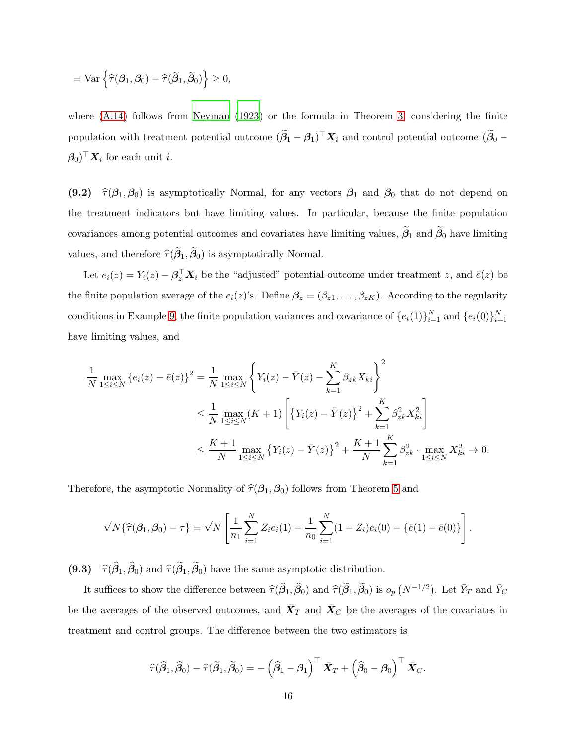$$
= \text{Var} \left\{ \widehat{\tau}(\boldsymbol{\beta}_1,\boldsymbol{\beta}_0) - \widehat{\tau}(\widetilde{\boldsymbol{\beta}}_1,\widetilde{\boldsymbol{\beta}}_0) \right\} \geq 0,
$$

where  $(A.14)$  follows from Neyman  $(1923)$  or the formula in Theorem [3,](#page-12-0) considering the finite population with treatment potential outcome  $(\beta_1 - \beta_1)^{\top} X_i$  and control potential outcome  $(\beta_0 (\beta_0)^\top \mathbf{X}_i$  for each unit *i*.

(9.2)  $\hat{\tau}(\beta_1,\beta_0)$  is asymptotically Normal, for any vectors  $\beta_1$  and  $\beta_0$  that do not depend on the treatment indicators but have limiting values. In particular, because the finite population covariances among potential outcomes and covariates have limiting values,  $\beta_1$  and  $\beta_0$  have limiting values, and therefore  $\hat{\tau}(\boldsymbol{\beta}_1,\boldsymbol{\beta}_0)$  is asymptotically Normal.

Let  $e_i(z) = Y_i(z) - \mathbf{\beta}_z^{\top} \mathbf{X}_i$  be the "adjusted" potential outcome under treatment z, and  $\bar{e}(z)$  be the finite population average of the  $e_i(z)$ 's. Define  $\beta_z = (\beta_{z1}, \ldots, \beta_{zK})$ . According to the regularity conditions in Example [9,](#page-19-0) the finite population variances and covariance of  $\{e_i(1)\}_{i=1}^N$  and  $\{e_i(0)\}_{i=1}^N$ have limiting values, and

$$
\frac{1}{N} \max_{1 \le i \le N} \{e_i(z) - \bar{e}(z)\}^2 = \frac{1}{N} \max_{1 \le i \le N} \left\{ Y_i(z) - \bar{Y}(z) - \sum_{k=1}^K \beta_{zk} X_{ki} \right\}^2
$$
\n
$$
\le \frac{1}{N} \max_{1 \le i \le N} (K+1) \left[ \left\{ Y_i(z) - \bar{Y}(z) \right\}^2 + \sum_{k=1}^K \beta_{zk}^2 X_{ki}^2 \right]
$$
\n
$$
\le \frac{K+1}{N} \max_{1 \le i \le N} \left\{ Y_i(z) - \bar{Y}(z) \right\}^2 + \frac{K+1}{N} \sum_{k=1}^K \beta_{zk}^2 \cdot \max_{1 \le i \le N} X_{ki}^2 \to 0.
$$

Therefore, the asymptotic Normality of  $\hat{\tau}(\beta_1,\beta_0)$  follows from Theorem [5](#page-14-1) and

$$
\sqrt{N}\{\widehat{\tau}(\beta_1,\beta_0)-\tau\}=\sqrt{N}\left[\frac{1}{n_1}\sum_{i=1}^N Z_i e_i(1)-\frac{1}{n_0}\sum_{i=1}^N(1-Z_i)e_i(0)-\{\bar{e}(1)-\bar{e}(0)\}\right].
$$

 $(9.3)$  $(\tau_1, \beta_0)$  and  $\hat{\tau}(\beta_1, \beta_0)$  have the same asymptotic distribution.

It suffices to show the difference between  $\hat{\tau}(\hat{\beta}_1, \hat{\beta}_0)$  and  $\hat{\tau}(\tilde{\beta}_1, \tilde{\beta}_0)$  is  $o_p(N^{-1/2})$ . Let  $\bar{Y}_T$  and  $\bar{Y}_C$ be the averages of the observed outcomes, and  $\bar{\mathbf{X}}_T$  and  $\bar{\mathbf{X}}_C$  be the averages of the covariates in treatment and control groups. The difference between the two estimators is

$$
\widehat{\tau}(\widehat{\beta}_1,\widehat{\beta}_0)-\widehat{\tau}(\widetilde{\beta}_1,\widetilde{\beta}_0)=-\left(\widehat{\beta}_1-\beta_1\right)^{\top}\bar{\mathbf{X}}_T+\left(\widehat{\beta}_0-\beta_0\right)^{\top}\bar{\mathbf{X}}_C.
$$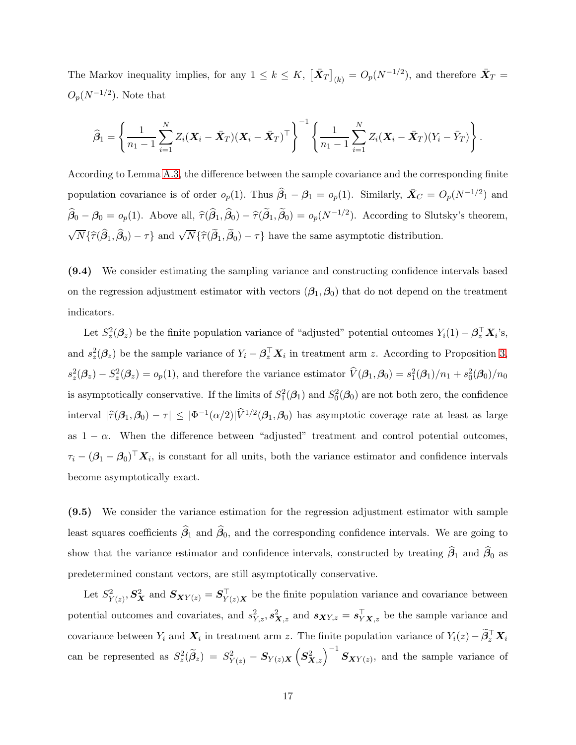The Markov inequality implies, for any  $1 \leq k \leq K$ ,  $\left[\bar{\mathbf{X}}_T\right]_{(k)} = O_p(N^{-1/2})$ , and therefore  $\bar{\mathbf{X}}_T =$  $O_p(N^{-1/2})$ . Note that

$$
\widehat{\beta}_1 = \left\{ \frac{1}{n_1 - 1} \sum_{i=1}^N Z_i (\boldsymbol{X}_i - \bar{\boldsymbol{X}}_T) (\boldsymbol{X}_i - \bar{\boldsymbol{X}}_T)^{\top} \right\}^{-1} \left\{ \frac{1}{n_1 - 1} \sum_{i=1}^N Z_i (\boldsymbol{X}_i - \bar{\boldsymbol{X}}_T) (Y_i - \bar{Y}_T) \right\}.
$$

According to Lemma [A.3,](#page-40-0) the difference between the sample covariance and the corresponding finite population covariance is of order  $o_p(1)$ . Thus  $\hat{\beta}_1 - \beta_1 = o_p(1)$ . Similarly,  $\bar{X}_C = O_p(N^{-1/2})$  and  $\hat{\beta}_0 - \beta_0 = o_p(1)$ . Above all,  $\hat{\tau}(\hat{\beta}_1, \hat{\beta}_0) - \hat{\tau}(\hat{\beta}_1, \hat{\beta}_0) = o_p(N^{-1/2})$ . According to Slutsky's theorem,  $\sqrt{N}\{\hat{\tau}(\hat{\beta}_1, \hat{\beta}_0) - \tau\}$  and  $\sqrt{N}\{\hat{\tau}(\tilde{\beta}_1, \tilde{\beta}_0) - \tau\}$  have the same asymptotic distribution.

(9.4) We consider estimating the sampling variance and constructing confidence intervals based on the regression adjustment estimator with vectors  $(\beta_1, \beta_0)$  that do not depend on the treatment indicators.

Let  $S_z^2(\beta_z)$  be the finite population variance of "adjusted" potential outcomes  $Y_i(1) - \beta_z^T \mathbf{X}_i$ 's, and  $s_z^2(\beta_z)$  be the sample variance of  $Y_i - \beta_z^{\top} X_i$  in treatment arm z. According to Proposition [3,](#page-15-0)  $s_z^2(\beta_z) - S_z^2(\beta_z) = o_p(1)$ , and therefore the variance estimator  $\hat{V}(\beta_1, \beta_0) = s_1^2(\beta_1)/n_1 + s_0^2(\beta_0)/n_0$ is asymptotically conservative. If the limits of  $S_1^2(\mathcal{A}_1)$  and  $S_0^2(\mathcal{A}_0)$  are not both zero, the confidence interval  $|\hat{\tau}(\beta_1,\beta_0)-\tau| \leq |\Phi^{-1}(\alpha/2)|\hat{V}^{1/2}(\beta_1,\beta_0)$  has asymptotic coverage rate at least as large as  $1 - \alpha$ . When the difference between "adjusted" treatment and control potential outcomes,  $\tau_i - (\beta_1 - \beta_0)^\top \mathbf{X}_i$ , is constant for all units, both the variance estimator and confidence intervals become asymptotically exact.

(9.5) We consider the variance estimation for the regression adjustment estimator with sample least squares coefficients  $\beta_1$  and  $\beta_0$ , and the corresponding confidence intervals. We are going to show that the variance estimator and confidence intervals, constructed by treating  $\beta_1$  and  $\beta_0$  as predetermined constant vectors, are still asymptotically conservative.

Let  $S_{Y(z)}^2$ ,  $S_X^2$  and  $S_{XY(z)} = S_{Y(z)X}^{\top}$  be the finite population variance and covariance between potential outcomes and covariates, and  $s_{Y,z}^2$ ,  $s_{X,z}^2$  and  $s_{XY,z} = s_{YX,z}^T$  be the sample variance and covariance between  $Y_i$  and  $X_i$  in treatment arm z. The finite population variance of  $Y_i(z) - \tilde{\beta}_z^T X_i$ can be represented as  $S_z^2(\tilde{\beta}_z) = S_{Y(z)}^2 - S_{Y(z)X}(\mathcal{S}_{X,z}^2)^{-1} S_{XY(z)}$ , and the sample variance of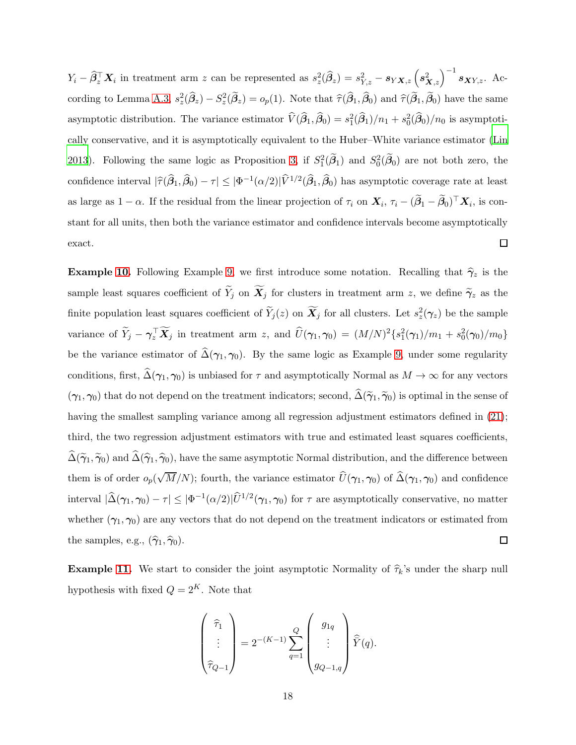$Y_i - \widehat{\beta}_z^{\top} \boldsymbol{X}_i$  in treatment arm z can be represented as  $s_z^2(\widehat{\beta}_z) = s_{Y,z}^2 - s_{Y\boldsymbol{X},z} \left(s_{\boldsymbol{X},z}^2\right)^{-1} s_{\boldsymbol{X} Y, z}$ . Ac-cording to Lemma [A.3,](#page-40-0)  $s_z^2(\hat{\beta}_z) - S_z^2(\tilde{\beta}_z) = o_p(1)$ . Note that  $\hat{\tau}(\hat{\beta}_1, \hat{\beta}_0)$  and  $\hat{\tau}(\tilde{\beta}_1, \tilde{\beta}_0)$  have the same asymptotic distribution. The variance estimator  $\hat{V}(\hat{\beta}_1, \hat{\beta}_0) = s_1^2(\hat{\beta}_1)/n_1 + s_0^2(\hat{\beta}_0)/n_0$  is asymptotically conservative, and it is asymptotically equivalent to the Huber–White variance estimator [\(Lin](#page-26-9) [2013\)](#page-26-9). Following the same logic as Proposition [3,](#page-15-0) if  $S_1^2(\tilde{\beta}_1)$  and  $S_0^2(\tilde{\beta}_0)$  are not both zero, the confidence interval  $|\hat{\tau}(\hat{\beta}_1, \hat{\beta}_0) - \tau| \leq |\Phi^{-1}(\alpha/2)|\hat{V}^{1/2}(\hat{\beta}_1, \hat{\beta}_0)$  has asymptotic coverage rate at least as large as  $1-\alpha$ . If the residual from the linear projection of  $\tau_i$  on  $\mathbf{X}_i$ ,  $\tau_i - (\tilde{\beta}_1 - \tilde{\beta}_0)^{\top} \mathbf{X}_i$ , is constant for all units, then both the variance estimator and confidence intervals become asymptotically  $\Box$ exact.

**Example [10.](#page-20-0)** Following Example [9,](#page-19-0) we first introduce some notation. Recalling that  $\hat{\gamma}_z$  is the sample least squares coefficient of  $\widetilde{Y}_j$  on  $\widetilde{X}_j$  for clusters in treatment arm z, we define  $\widetilde{\gamma}_z$  as the finite population least squares coefficient of  $Y_j(z)$  on  $\overline{X}_j$  for all clusters. Let  $s_z^2(\gamma_z)$  be the sample variance of  $\tilde{Y}_j - \gamma_z^{\top} \tilde{X}_j$  in treatment arm z, and  $\hat{U}(\gamma_1, \gamma_0) = (M/N)^2 \{s_1^2(\gamma_1)/m_1 + s_0^2(\gamma_0)/m_0\}$ be the variance estimator of  $\widehat{\Delta}(\gamma_1, \gamma_0)$ . By the same logic as Example [9,](#page-19-0) under some regularity conditions, first,  $\widehat{\Delta}(\gamma_1, \gamma_0)$  is unbiased for  $\tau$  and asymptotically Normal as  $M \to \infty$  for any vectors  $(\gamma_1, \gamma_0)$  that do not depend on the treatment indicators; second,  $\hat{\Delta}(\tilde{\gamma}_1, \tilde{\gamma}_0)$  is optimal in the sense of having the smallest sampling variance among all regression adjustment estimators defined in [\(21\)](#page-21-2); third, the two regression adjustment estimators with true and estimated least squares coefficients,  $\hat{\Delta}(\tilde{\gamma}_1, \tilde{\gamma}_0)$  and  $\hat{\Delta}(\hat{\gamma}_1, \hat{\gamma}_0)$ , have the same asymptotic Normal distribution, and the difference between them is of order  $o_p(\sqrt{M}/N)$ ; fourth, the variance estimator  $\widehat{U}(\gamma_1, \gamma_0)$  of  $\widehat{\Delta}(\gamma_1, \gamma_0)$  and confidence interval  $|\widehat{\Delta}(\gamma_1, \gamma_0) - \tau| \leq |\Phi^{-1}(\alpha/2)|\widehat{U}^{1/2}(\gamma_1, \gamma_0)$  for  $\tau$  are asymptotically conservative, no matter whether  $(\gamma_1, \gamma_0)$  are any vectors that do not depend on the treatment indicators or estimated from the samples, e.g.,  $(\hat{\gamma}_1, \hat{\gamma}_0)$ .  $\Box$ 

**Example [11.](#page-21-1)** We start to consider the joint asymptotic Normality of  $\hat{\tau}_k$ 's under the sharp null hypothesis with fixed  $Q = 2^K$ . Note that

$$
\begin{pmatrix} \widehat{\tau}_1 \\ \vdots \\ \widehat{\tau}_{Q-1} \end{pmatrix} = 2^{-(K-1)} \sum_{q=1}^Q \begin{pmatrix} g_{1q} \\ \vdots \\ g_{Q-1,q} \end{pmatrix} \widehat{\bar{Y}}(q).
$$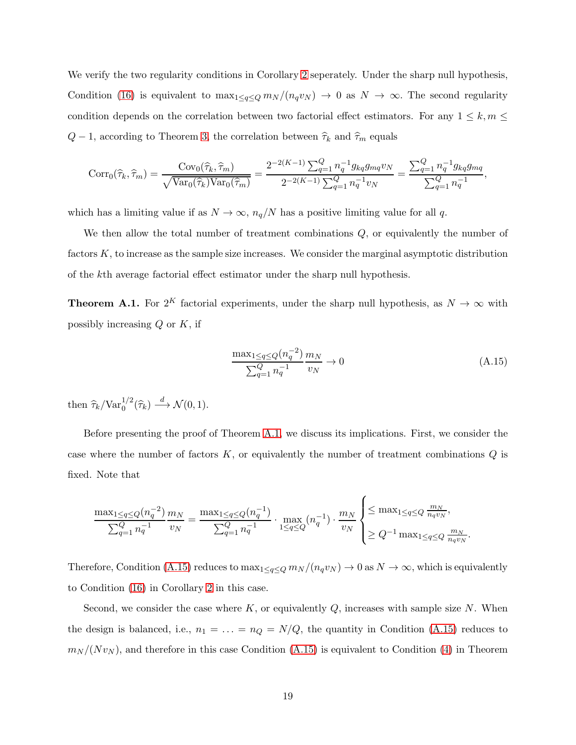We verify the two regularity conditions in Corollary [2](#page-14-0) seperately. Under the sharp null hypothesis, Condition [\(16\)](#page-14-3) is equivalent to  $\max_{1 \leq q \leq Q} m_N/(n_q v_N) \to 0$  as  $N \to \infty$ . The second regularity condition depends on the correlation between two factorial effect estimators. For any  $1 \leq k, m \leq$  $Q-1$ , according to Theorem [3,](#page-12-0) the correlation between  $\hat{\tau}_k$  and  $\hat{\tau}_m$  equals

$$
Corr_0(\widehat{\tau}_k, \widehat{\tau}_m) = \frac{Cov_0(\widehat{\tau}_k, \widehat{\tau}_m)}{\sqrt{\text{Var}_0(\widehat{\tau}_k)\text{Var}_0(\widehat{\tau}_m)}} = \frac{2^{-2(K-1)}\sum_{q=1}^Q n_q^{-1}g_{kq}g_{mq}v_N}{2^{-2(K-1)}\sum_{q=1}^Q n_q^{-1}v_N} = \frac{\sum_{q=1}^Q n_q^{-1}g_{kq}g_{mq}}{\sum_{q=1}^Q n_q^{-1}},
$$

which has a limiting value if as  $N \to \infty$ ,  $n_q/N$  has a positive limiting value for all q.

<span id="page-47-0"></span>We then allow the total number of treatment combinations  $Q$ , or equivalently the number of factors K, to increase as the sample size increases. We consider the marginal asymptotic distribution of the kth average factorial effect estimator under the sharp null hypothesis.

**Theorem A.1.** For 2<sup>K</sup> factorial experiments, under the sharp null hypothesis, as  $N \to \infty$  with possibly increasing  $Q$  or  $K$ , if

<span id="page-47-1"></span>
$$
\frac{\max_{1 \le q \le Q} (n_q^{-2})}{\sum_{q=1}^Q n_q^{-1}} \frac{m_N}{v_N} \to 0
$$
\n(A.15)

then  $\hat{\tau}_k / \text{Var}_0^{1/2}(\hat{\tau}_k) \stackrel{d}{\longrightarrow} \mathcal{N}(0, 1)$ .

Before presenting the proof of Theorem [A.1,](#page-47-0) we discuss its implications. First, we consider the case where the number of factors  $K$ , or equivalently the number of treatment combinations  $Q$  is fixed. Note that

$$
\frac{\max_{1 \leq q \leq Q} (n_q^{-2})}{\sum_{q=1}^Q n_q^{-1}} \frac{m_N}{v_N} = \frac{\max_{1 \leq q \leq Q} (n_q^{-1})}{\sum_{q=1}^Q n_q^{-1}} \cdot \max_{1 \leq q \leq Q} (n_q^{-1}) \cdot \frac{m_N}{v_N} \begin{cases} \leq \max_{1 \leq q \leq Q} \frac{m_N}{n_q v_N}, \\ \geq Q^{-1} \max_{1 \leq q \leq Q} \frac{m_N}{n_q v_N}. \end{cases}
$$

Therefore, Condition [\(A.15\)](#page-47-1) reduces to  $\max_{1 \leq q \leq Q} m_N/(n_q v_N) \to 0$  as  $N \to \infty$ , which is equivalently to Condition [\(16\)](#page-14-3) in Corollary [2](#page-14-0) in this case.

Second, we consider the case where  $K$ , or equivalently  $Q$ , increases with sample size  $N$ . When the design is balanced, i.e.,  $n_1 = \ldots = n_Q = N/Q$ , the quantity in Condition [\(A.15\)](#page-47-1) reduces to  $m_N/(Nv_N)$ , and therefore in this case Condition [\(A.15\)](#page-47-1) is equivalent to Condition [\(4\)](#page-4-1) in Theorem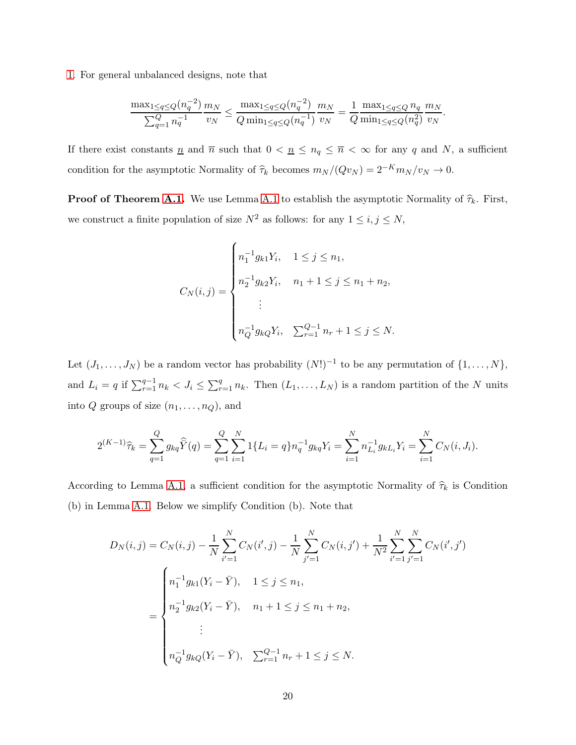[1.](#page-47-0) For general unbalanced designs, note that

$$
\frac{\max_{1 \leq q \leq Q} (n_q^{-2})}{\sum_{q=1}^Q n_q^{-1}} \frac{m_N}{v_N} \leq \frac{\max_{1 \leq q \leq Q} (n_q^{-2})}{Q \min_{1 \leq q \leq Q} (n_q^{-1})} \frac{m_N}{v_N} = \frac{1}{Q} \frac{\max_{1 \leq q \leq Q} n_q}{\min_{1 \leq q \leq Q} (n_q^2)} \frac{m_N}{v_N}.
$$

If there exist constants  $\underline{n}$  and  $\overline{n}$  such that  $0 < \underline{n} \le n_q \le \overline{n} < \infty$  for any q and N, a sufficient condition for the asymptotic Normality of  $\widehat{\tau}_k$  becomes  $m_N / (Qv_N) = 2^{-K} m_N / v_N \to 0$ .

**Proof of Theorem [A.1.](#page-47-0)** We use Lemma [A.1](#page-31-0) to establish the asymptotic Normality of  $\hat{\tau}_k$ . First, we construct a finite population of size  $N^2$  as follows: for any  $1 \leq i, j \leq N$ ,

$$
C_N(i,j) = \begin{cases} n_1^{-1}g_{k1}Y_i, & 1 \le j \le n_1, \\ n_2^{-1}g_{k2}Y_i, & n_1 + 1 \le j \le n_1 + n_2, \\ \vdots \\ n_Q^{-1}g_{kQ}Y_i, & \sum_{r=1}^{Q-1} n_r + 1 \le j \le N. \end{cases}
$$

Let  $(J_1, \ldots, J_N)$  be a random vector has probability  $(N!)^{-1}$  to be any permutation of  $\{1, \ldots, N\}$ , and  $L_i = q$  if  $\sum_{r=1}^{q-1} n_k < J_i \leq \sum_{r=1}^{q} n_k$ . Then  $(L_1, \ldots, L_N)$  is a random partition of the N units into  $Q$  groups of size  $(n_1, \ldots, n_Q)$ , and

$$
2^{(K-1)}\hat{\tau}_k = \sum_{q=1}^Q g_{kq} \hat{Y}(q) = \sum_{q=1}^Q \sum_{i=1}^N 1\{L_i = q\} n_q^{-1} g_{kq} Y_i = \sum_{i=1}^N n_{L_i}^{-1} g_{k} Y_i = \sum_{i=1}^N C_N(i, J_i).
$$

According to Lemma [A.1,](#page-31-0) a sufficient condition for the asymptotic Normality of  $\hat{\tau}_k$  is Condition (b) in Lemma [A.1.](#page-31-0) Below we simplify Condition (b). Note that

$$
D_N(i,j) = C_N(i,j) - \frac{1}{N} \sum_{i'=1}^N C_N(i',j) - \frac{1}{N} \sum_{j'=1}^N C_N(i,j') + \frac{1}{N^2} \sum_{i'=1}^N \sum_{j'=1}^N C_N(i',j')
$$
  

$$
= \begin{cases} n_1^{-1} g_{k1}(Y_i - \bar{Y}), & 1 \le j \le n_1, \\ n_2^{-1} g_{k2}(Y_i - \bar{Y}), & n_1 + 1 \le j \le n_1 + n_2, \\ \vdots \\ n_Q^{-1} g_{kQ}(Y_i - \bar{Y}), & \sum_{r=1}^{Q-1} n_r + 1 \le j \le N. \end{cases}
$$